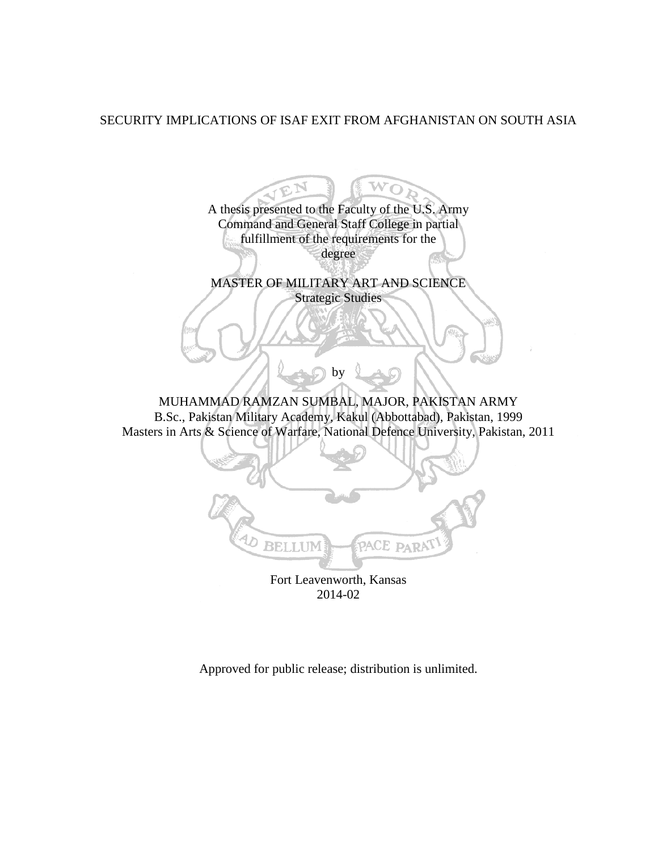# SECURITY IMPLICATIONS OF ISAF EXIT FROM AFGHANISTAN ON SOUTH ASIA

wō A thesis presented to the Faculty of the U.S. Army Command and General Staff College in partial fulfillment of the requirements for the degree MASTER OF MILITARY ART AND SCIENCE Strategic Studies by MUHAMMAD RAMZAN SUMBAL, MAJOR, PAKISTAN ARMY B.Sc., Pakistan Military Academy, Kakul (Abbottabad), Pakistan, 1999 Masters in Arts & Science of Warfare, National Defence University, Pakistan, 2011 PACE PARA BELLUM Fort Leavenworth, Kansas 2014-02

Approved for public release; distribution is unlimited.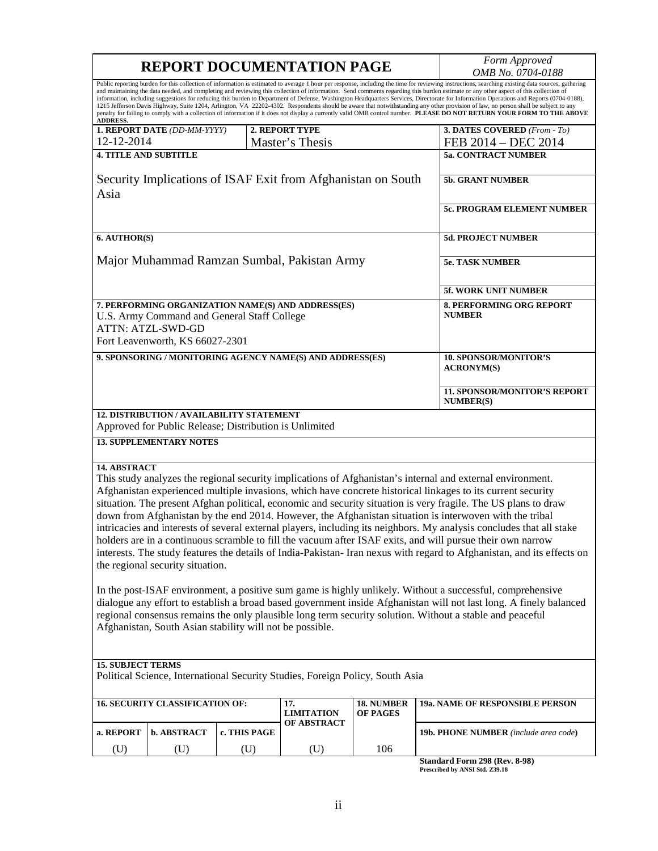|                                                                                                                                                                                                                                                                                                                                                                                                                                                                                                                                                                                                                                                                                                                                                                                                                                                                                                                                                                          | <b>REPORT DOCUMENTATION PAGE</b>                                                                                                                                 | Form Approved<br>OMB No. 0704-0188               |                          |                        |                                                         |  |  |
|--------------------------------------------------------------------------------------------------------------------------------------------------------------------------------------------------------------------------------------------------------------------------------------------------------------------------------------------------------------------------------------------------------------------------------------------------------------------------------------------------------------------------------------------------------------------------------------------------------------------------------------------------------------------------------------------------------------------------------------------------------------------------------------------------------------------------------------------------------------------------------------------------------------------------------------------------------------------------|------------------------------------------------------------------------------------------------------------------------------------------------------------------|--------------------------------------------------|--------------------------|------------------------|---------------------------------------------------------|--|--|
| Public reporting burden for this collection of information is estimated to average 1 hour per response, including the time for reviewing instructions, searching existing data sources, gathering<br>and maintaining the data needed, and completing and reviewing this collection of information. Send comments regarding this burden estimate or any other aspect of this collection of<br>information, including suggestions for reducing this burden to Department of Defense, Washington Headquarters Services, Directorate for Information Operations and Reports (0704-0188),<br>1215 Jefferson Davis Highway, Suite 1204, Arlington, VA 22202-4302. Respondents should be aware that notwithstanding any other provision of law, no person shall be subject to any<br>penalty for failing to comply with a collection of information if it does not display a currently valid OMB control number. PLEASE DO NOT RETURN YOUR FORM TO THE ABOVE<br><b>ADDRESS.</b> |                                                                                                                                                                  |                                                  |                          |                        |                                                         |  |  |
|                                                                                                                                                                                                                                                                                                                                                                                                                                                                                                                                                                                                                                                                                                                                                                                                                                                                                                                                                                          | 1. REPORT DATE (DD-MM-YYYY)                                                                                                                                      |                                                  | 2. REPORT TYPE           |                        | 3. DATES COVERED (From - To)                            |  |  |
| 12-12-2014<br><b>4. TITLE AND SUBTITLE</b>                                                                                                                                                                                                                                                                                                                                                                                                                                                                                                                                                                                                                                                                                                                                                                                                                                                                                                                               |                                                                                                                                                                  |                                                  | Master's Thesis          |                        | FEB 2014 - DEC 2014<br><b>5a. CONTRACT NUMBER</b>       |  |  |
|                                                                                                                                                                                                                                                                                                                                                                                                                                                                                                                                                                                                                                                                                                                                                                                                                                                                                                                                                                          |                                                                                                                                                                  |                                                  |                          |                        |                                                         |  |  |
| Security Implications of ISAF Exit from Afghanistan on South<br>Asia                                                                                                                                                                                                                                                                                                                                                                                                                                                                                                                                                                                                                                                                                                                                                                                                                                                                                                     |                                                                                                                                                                  |                                                  |                          |                        | 5b. GRANT NUMBER                                        |  |  |
|                                                                                                                                                                                                                                                                                                                                                                                                                                                                                                                                                                                                                                                                                                                                                                                                                                                                                                                                                                          |                                                                                                                                                                  | 5c. PROGRAM ELEMENT NUMBER                       |                          |                        |                                                         |  |  |
| 6. AUTHOR(S)                                                                                                                                                                                                                                                                                                                                                                                                                                                                                                                                                                                                                                                                                                                                                                                                                                                                                                                                                             |                                                                                                                                                                  |                                                  |                          |                        | <b>5d. PROJECT NUMBER</b>                               |  |  |
| Major Muhammad Ramzan Sumbal, Pakistan Army                                                                                                                                                                                                                                                                                                                                                                                                                                                                                                                                                                                                                                                                                                                                                                                                                                                                                                                              |                                                                                                                                                                  |                                                  |                          |                        | <b>5e. TASK NUMBER</b>                                  |  |  |
|                                                                                                                                                                                                                                                                                                                                                                                                                                                                                                                                                                                                                                                                                                                                                                                                                                                                                                                                                                          |                                                                                                                                                                  | 5f. WORK UNIT NUMBER                             |                          |                        |                                                         |  |  |
|                                                                                                                                                                                                                                                                                                                                                                                                                                                                                                                                                                                                                                                                                                                                                                                                                                                                                                                                                                          | 7. PERFORMING ORGANIZATION NAME(S) AND ADDRESS(ES)<br>U.S. Army Command and General Staff College<br><b>ATTN: ATZL-SWD-GD</b><br>Fort Leavenworth, KS 66027-2301 | <b>8. PERFORMING ORG REPORT</b><br><b>NUMBER</b> |                          |                        |                                                         |  |  |
| 9. SPONSORING / MONITORING AGENCY NAME(S) AND ADDRESS(ES)                                                                                                                                                                                                                                                                                                                                                                                                                                                                                                                                                                                                                                                                                                                                                                                                                                                                                                                |                                                                                                                                                                  |                                                  |                          |                        | <b>10. SPONSOR/MONITOR'S</b><br><b>ACRONYM(S)</b>       |  |  |
|                                                                                                                                                                                                                                                                                                                                                                                                                                                                                                                                                                                                                                                                                                                                                                                                                                                                                                                                                                          |                                                                                                                                                                  |                                                  |                          |                        | <b>11. SPONSOR/MONITOR'S REPORT</b><br><b>NUMBER(S)</b> |  |  |
|                                                                                                                                                                                                                                                                                                                                                                                                                                                                                                                                                                                                                                                                                                                                                                                                                                                                                                                                                                          | 12. DISTRIBUTION / AVAILABILITY STATEMENT<br>Approved for Public Release; Distribution is Unlimited                                                              |                                                  |                          |                        |                                                         |  |  |
| <b>13. SUPPLEMENTARY NOTES</b>                                                                                                                                                                                                                                                                                                                                                                                                                                                                                                                                                                                                                                                                                                                                                                                                                                                                                                                                           |                                                                                                                                                                  |                                                  |                          |                        |                                                         |  |  |
| 14. ABSTRACT<br>This study analyzes the regional security implications of Afghanistan's internal and external environment.<br>Afghanistan experienced multiple invasions, which have concrete historical linkages to its current security<br>situation. The present Afghan political, economic and security situation is very fragile. The US plans to draw<br>down from Afghanistan by the end 2014. However, the Afghanistan situation is interwoven with the tribal<br>intricacies and interests of several external players, including its neighbors. My analysis concludes that all stake<br>holders are in a continuous scramble to fill the vacuum after ISAF exits, and will pursue their own narrow<br>interests. The study features the details of India-Pakistan-Iran nexus with regard to Afghanistan, and its effects on<br>the regional security situation.                                                                                                |                                                                                                                                                                  |                                                  |                          |                        |                                                         |  |  |
| In the post-ISAF environment, a positive sum game is highly unlikely. Without a successful, comprehensive<br>dialogue any effort to establish a broad based government inside Afghanistan will not last long. A finely balanced<br>regional consensus remains the only plausible long term security solution. Without a stable and peaceful<br>Afghanistan, South Asian stability will not be possible.                                                                                                                                                                                                                                                                                                                                                                                                                                                                                                                                                                  |                                                                                                                                                                  |                                                  |                          |                        |                                                         |  |  |
| <b>15. SUBJECT TERMS</b><br>Political Science, International Security Studies, Foreign Policy, South Asia                                                                                                                                                                                                                                                                                                                                                                                                                                                                                                                                                                                                                                                                                                                                                                                                                                                                |                                                                                                                                                                  |                                                  |                          |                        |                                                         |  |  |
|                                                                                                                                                                                                                                                                                                                                                                                                                                                                                                                                                                                                                                                                                                                                                                                                                                                                                                                                                                          |                                                                                                                                                                  |                                                  |                          |                        |                                                         |  |  |
|                                                                                                                                                                                                                                                                                                                                                                                                                                                                                                                                                                                                                                                                                                                                                                                                                                                                                                                                                                          | <b>16. SECURITY CLASSIFICATION OF:</b>                                                                                                                           |                                                  | 17.<br><b>LIMITATION</b> | 18. NUMBER<br>OF PAGES | 19a. NAME OF RESPONSIBLE PERSON                         |  |  |
| a. REPORT                                                                                                                                                                                                                                                                                                                                                                                                                                                                                                                                                                                                                                                                                                                                                                                                                                                                                                                                                                | <b>b. ABSTRACT</b>                                                                                                                                               | c. THIS PAGE                                     | OF ABSTRACT              |                        | 19b. PHONE NUMBER (include area code)                   |  |  |
| (U)                                                                                                                                                                                                                                                                                                                                                                                                                                                                                                                                                                                                                                                                                                                                                                                                                                                                                                                                                                      | (U)                                                                                                                                                              | (U)                                              | (U)                      | 106                    |                                                         |  |  |

**Standard Form 298 (Rev. 8-98) Prescribed by ANSI Std. Z39.18**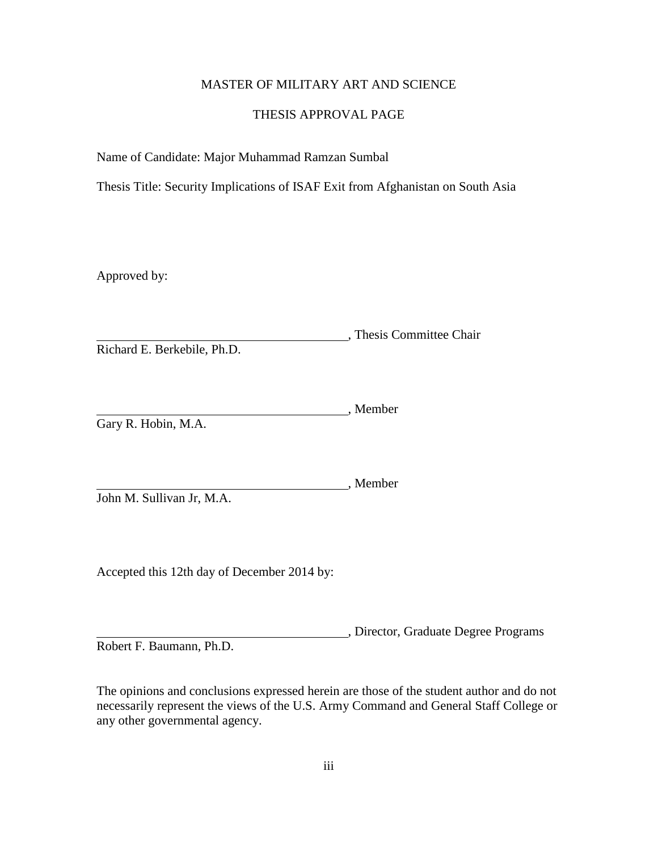# MASTER OF MILITARY ART AND SCIENCE

### THESIS APPROVAL PAGE

Name of Candidate: Major Muhammad Ramzan Sumbal

Thesis Title: Security Implications of ISAF Exit from Afghanistan on South Asia

Approved by:

, Thesis Committee Chair Richard E. Berkebile, Ph.D.

, Member Gary R. Hobin, M.A.

John M. Sullivan Jr, M.A.

Accepted this 12th day of December 2014 by:

, Director, Graduate Degree Programs Robert F. Baumann, Ph.D.

, Member

The opinions and conclusions expressed herein are those of the student author and do not necessarily represent the views of the U.S. Army Command and General Staff College or any other governmental agency.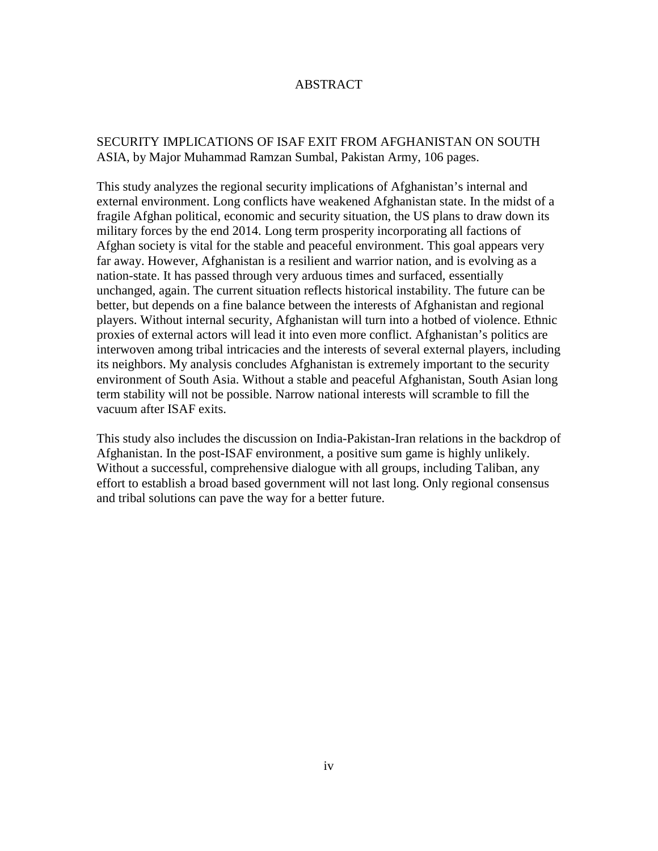# ABSTRACT

# SECURITY IMPLICATIONS OF ISAF EXIT FROM AFGHANISTAN ON SOUTH ASIA, by Major Muhammad Ramzan Sumbal, Pakistan Army, 106 pages.

This study analyzes the regional security implications of Afghanistan's internal and external environment. Long conflicts have weakened Afghanistan state. In the midst of a fragile Afghan political, economic and security situation, the US plans to draw down its military forces by the end 2014. Long term prosperity incorporating all factions of Afghan society is vital for the stable and peaceful environment. This goal appears very far away. However, Afghanistan is a resilient and warrior nation, and is evolving as a nation-state. It has passed through very arduous times and surfaced, essentially unchanged, again. The current situation reflects historical instability. The future can be better, but depends on a fine balance between the interests of Afghanistan and regional players. Without internal security, Afghanistan will turn into a hotbed of violence. Ethnic proxies of external actors will lead it into even more conflict. Afghanistan's politics are interwoven among tribal intricacies and the interests of several external players, including its neighbors. My analysis concludes Afghanistan is extremely important to the security environment of South Asia. Without a stable and peaceful Afghanistan, South Asian long term stability will not be possible. Narrow national interests will scramble to fill the vacuum after ISAF exits.

This study also includes the discussion on India-Pakistan-Iran relations in the backdrop of Afghanistan. In the post-ISAF environment, a positive sum game is highly unlikely. Without a successful, comprehensive dialogue with all groups, including Taliban, any effort to establish a broad based government will not last long. Only regional consensus and tribal solutions can pave the way for a better future.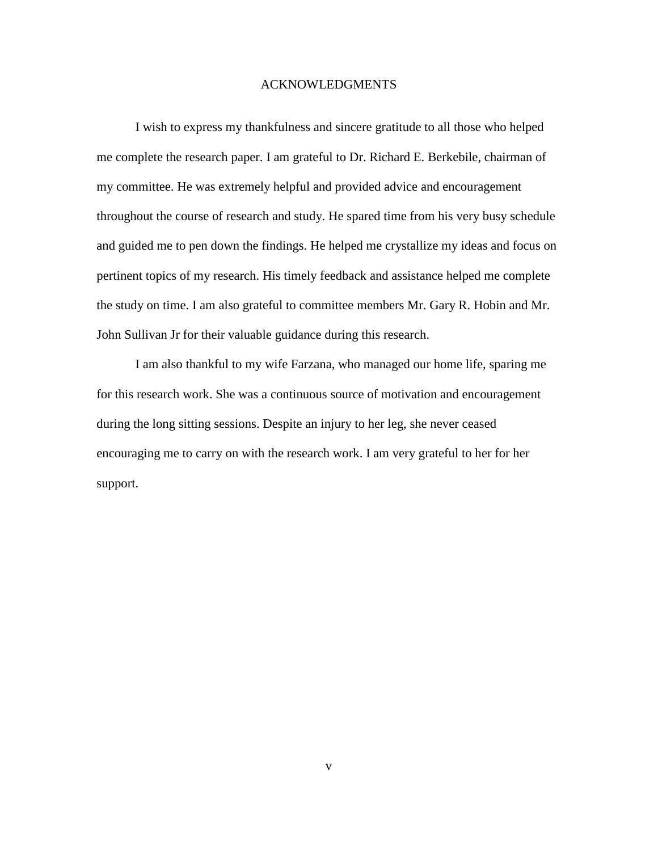#### ACKNOWLEDGMENTS

I wish to express my thankfulness and sincere gratitude to all those who helped me complete the research paper. I am grateful to Dr. Richard E. Berkebile, chairman of my committee. He was extremely helpful and provided advice and encouragement throughout the course of research and study. He spared time from his very busy schedule and guided me to pen down the findings. He helped me crystallize my ideas and focus on pertinent topics of my research. His timely feedback and assistance helped me complete the study on time. I am also grateful to committee members Mr. Gary R. Hobin and Mr. John Sullivan Jr for their valuable guidance during this research.

I am also thankful to my wife Farzana, who managed our home life, sparing me for this research work. She was a continuous source of motivation and encouragement during the long sitting sessions. Despite an injury to her leg, she never ceased encouraging me to carry on with the research work. I am very grateful to her for her support.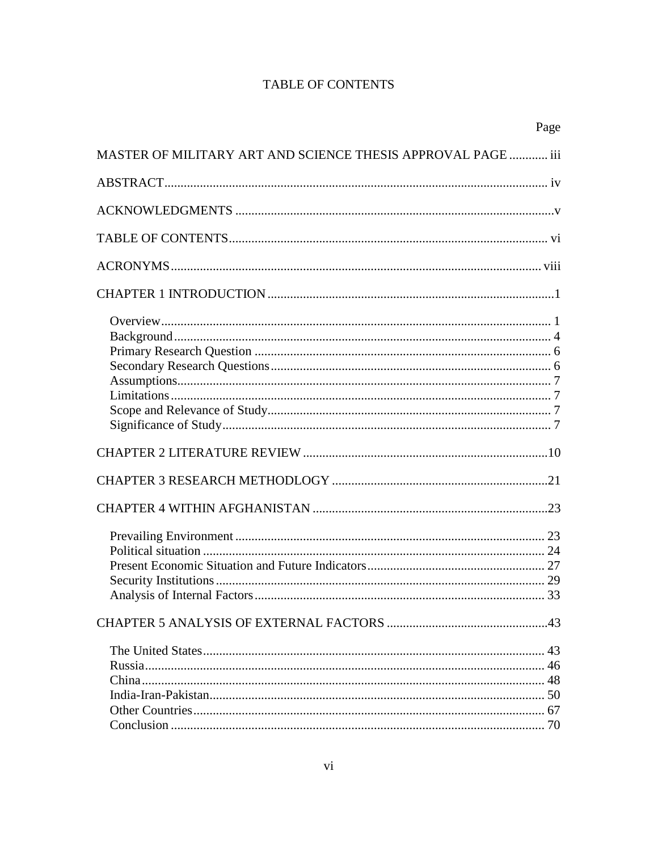# **TABLE OF CONTENTS**

|                                                              | Page |
|--------------------------------------------------------------|------|
| MASTER OF MILITARY ART AND SCIENCE THESIS APPROVAL PAGE  iii |      |
|                                                              |      |
|                                                              |      |
|                                                              |      |
|                                                              |      |
|                                                              |      |
|                                                              |      |
|                                                              |      |
|                                                              |      |
|                                                              |      |
|                                                              |      |
|                                                              |      |
|                                                              |      |
|                                                              |      |
|                                                              |      |
|                                                              |      |
|                                                              |      |
|                                                              |      |
|                                                              |      |
|                                                              |      |
|                                                              |      |
|                                                              |      |
|                                                              |      |
|                                                              | 43   |
|                                                              |      |
|                                                              |      |
|                                                              |      |
|                                                              |      |
|                                                              |      |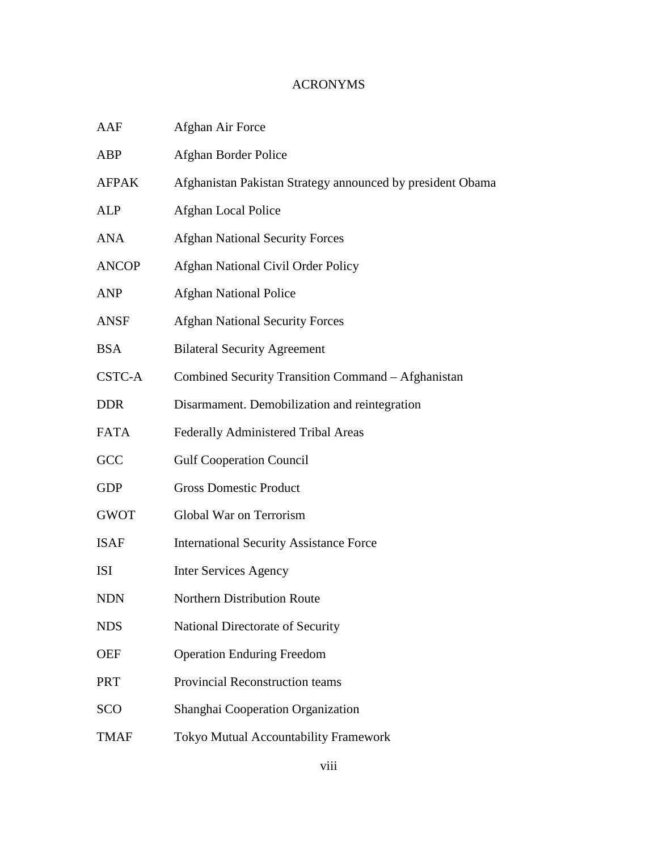# ACRONYMS

| AAF          | Afghan Air Force                                           |
|--------------|------------------------------------------------------------|
| ABP          | Afghan Border Police                                       |
| <b>AFPAK</b> | Afghanistan Pakistan Strategy announced by president Obama |
| <b>ALP</b>   | Afghan Local Police                                        |
| <b>ANA</b>   | <b>Afghan National Security Forces</b>                     |
| <b>ANCOP</b> | Afghan National Civil Order Policy                         |
| <b>ANP</b>   | <b>Afghan National Police</b>                              |
| ANSF         | <b>Afghan National Security Forces</b>                     |
| <b>BSA</b>   | <b>Bilateral Security Agreement</b>                        |
| CSTC-A       | Combined Security Transition Command - Afghanistan         |
| <b>DDR</b>   | Disarmament. Demobilization and reintegration              |
| <b>FATA</b>  | Federally Administered Tribal Areas                        |
| GCC          | <b>Gulf Cooperation Council</b>                            |
| <b>GDP</b>   | <b>Gross Domestic Product</b>                              |
| <b>GWOT</b>  | Global War on Terrorism                                    |
| <b>ISAF</b>  | <b>International Security Assistance Force</b>             |
| <b>ISI</b>   | <b>Inter Services Agency</b>                               |
| <b>NDN</b>   | <b>Northern Distribution Route</b>                         |
| <b>NDS</b>   | National Directorate of Security                           |
| <b>OEF</b>   | <b>Operation Enduring Freedom</b>                          |
| <b>PRT</b>   | Provincial Reconstruction teams                            |
| <b>SCO</b>   | Shanghai Cooperation Organization                          |
| <b>TMAF</b>  | <b>Tokyo Mutual Accountability Framework</b>               |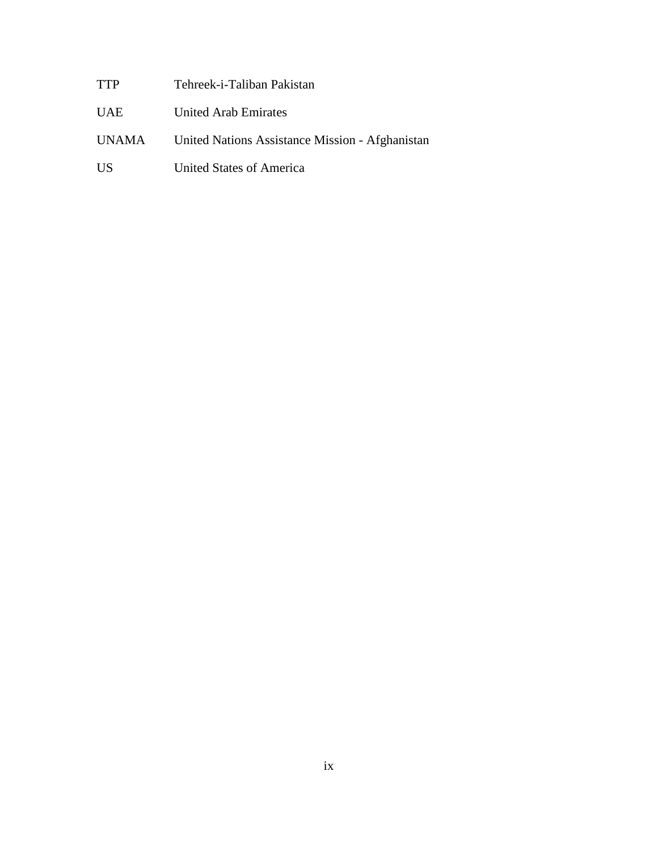TTP Tehreek-i-Taliban Pakistan

UAE United Arab Emirates

UNAMA United Nations Assistance Mission - Afghanistan

US United States of America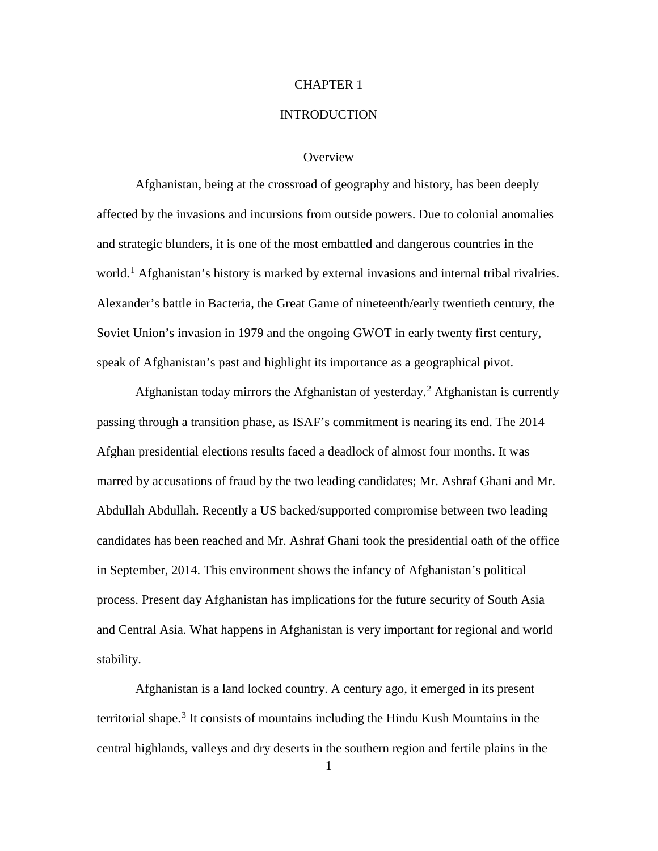### CHAPTER 1

### **INTRODUCTION**

### **Overview**

Afghanistan, being at the crossroad of geography and history, has been deeply affected by the invasions and incursions from outside powers. Due to colonial anomalies and strategic blunders, it is one of the most embattled and dangerous countries in the world.<sup>[1](#page-16-0)</sup> Afghanistan's history is marked by external invasions and internal tribal rivalries. Alexander's battle in Bacteria, the Great Game of nineteenth/early twentieth century, the Soviet Union's invasion in 1979 and the ongoing GWOT in early twenty first century, speak of Afghanistan's past and highlight its importance as a geographical pivot.

Afghanistan today mirrors the Afghanistan of yesterday.<sup>[2](#page-16-1)</sup> Afghanistan is currently passing through a transition phase, as ISAF's commitment is nearing its end. The 2014 Afghan presidential elections results faced a deadlock of almost four months. It was marred by accusations of fraud by the two leading candidates; Mr. Ashraf Ghani and Mr. Abdullah Abdullah. Recently a US backed/supported compromise between two leading candidates has been reached and Mr. Ashraf Ghani took the presidential oath of the office in September, 2014. This environment shows the infancy of Afghanistan's political process. Present day Afghanistan has implications for the future security of South Asia and Central Asia. What happens in Afghanistan is very important for regional and world stability.

Afghanistan is a land locked country. A century ago, it emerged in its present territorial shape.<sup>[3](#page-16-2)</sup> It consists of mountains including the Hindu Kush Mountains in the central highlands, valleys and dry deserts in the southern region and fertile plains in the

1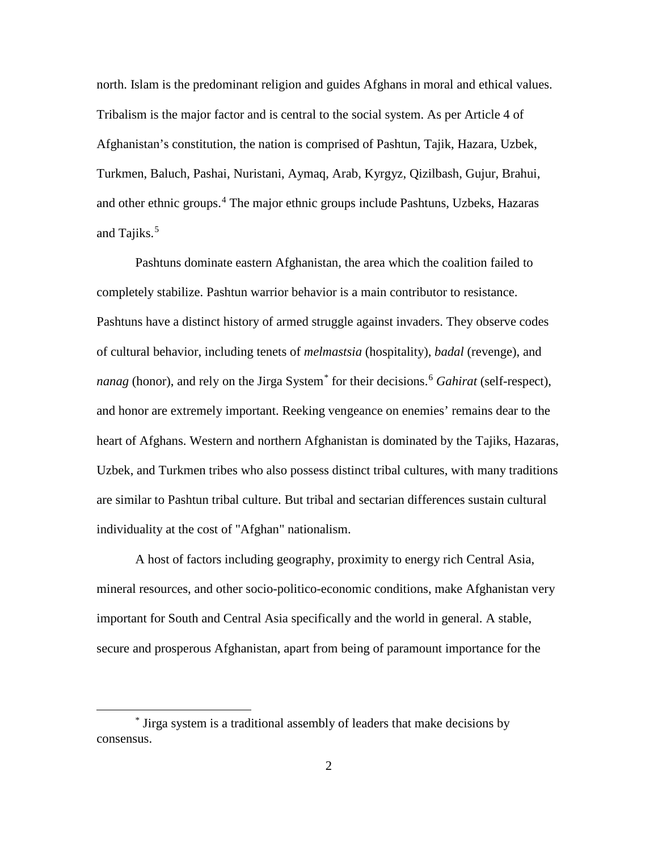north. Islam is the predominant religion and guides Afghans in moral and ethical values. Tribalism is the major factor and is central to the social system. As per Article 4 of Afghanistan's constitution, the nation is comprised of Pashtun, Tajik, Hazara, Uzbek, Turkmen, Baluch, Pashai, Nuristani, Aymaq, Arab, Kyrgyz, Qizilbash, Gujur, Brahui, and other ethnic groups.<sup>[4](#page-17-0)</sup> The major ethnic groups include Pashtuns, Uzbeks, Hazaras and Tajiks.<sup>[5](#page-17-1)</sup>

Pashtuns dominate eastern Afghanistan, the area which the coalition failed to completely stabilize. Pashtun warrior behavior is a main contributor to resistance. Pashtuns have a distinct history of armed struggle against invaders. They observe codes of cultural behavior, including tenets of *melmastsia* (hospitality), *badal* (revenge), and *nanag* (honor), and rely on the Jirga System<sup>[\\*](#page-10-0)</sup> for their decisions.<sup>[6](#page-17-2)</sup> *Gahirat* (self-respect), and honor are extremely important. Reeking vengeance on enemies' remains dear to the heart of Afghans. Western and northern Afghanistan is dominated by the Tajiks, Hazaras, Uzbek, and Turkmen tribes who also possess distinct tribal cultures, with many traditions are similar to Pashtun tribal culture. But tribal and sectarian differences sustain cultural individuality at the cost of "Afghan" nationalism.

A host of factors including geography, proximity to energy rich Central Asia, mineral resources, and other socio-politico-economic conditions, make Afghanistan very important for South and Central Asia specifically and the world in general. A stable, secure and prosperous Afghanistan, apart from being of paramount importance for the

 $\overline{a}$ 

<span id="page-10-0"></span><sup>\*</sup> Jirga system is a traditional assembly of leaders that make decisions by consensus.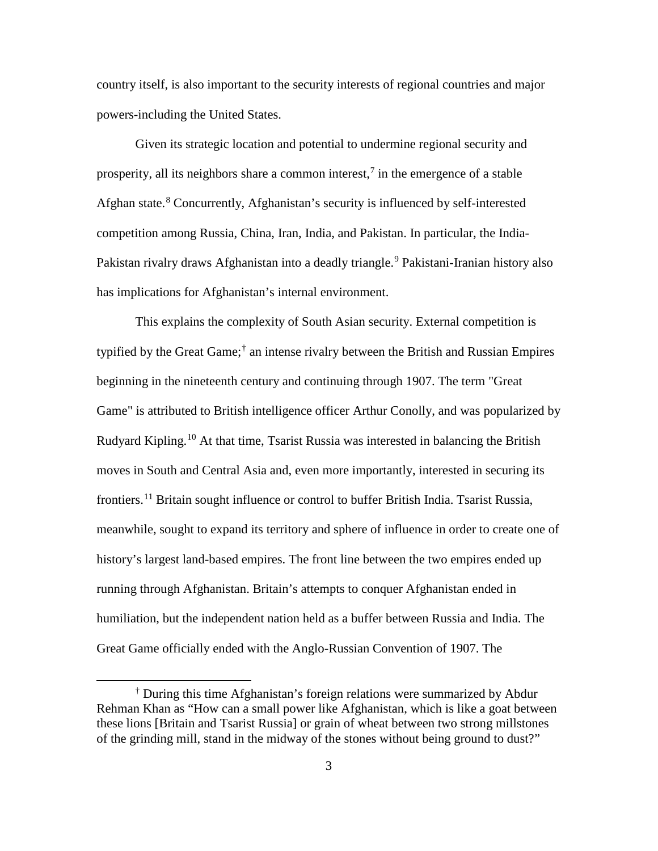country itself, is also important to the security interests of regional countries and major powers-including the United States.

Given its strategic location and potential to undermine regional security and prosperity, all its neighbors share a common interest,<sup>[7](#page-18-0)</sup> in the emergence of a stable Afghan state. [8](#page-18-1) Concurrently, Afghanistan's security is influenced by self-interested competition among Russia, China, Iran, India, and Pakistan. In particular, the India-Pakistan rivalry draws Afghanistan into a deadly triangle. [9](#page-18-2) Pakistani-Iranian history also has implications for Afghanistan's internal environment.

This explains the complexity of South Asian security. External competition is typified by the Great Game; [†](#page-11-0) an intense rivalry between the British and Russian Empires beginning in the nineteenth century and continuing through 1907. The term "Great Game" is attributed to British intelligence officer Arthur Conolly, and was popularized by Rudyard Kipling.<sup>[10](#page-18-3)</sup> At that time, Tsarist Russia was interested in balancing the British moves in South and Central Asia and, even more importantly, interested in securing its frontiers.<sup>[11](#page-18-4)</sup> Britain sought influence or control to buffer British India. Tsarist Russia, meanwhile, sought to expand its territory and sphere of influence in order to create one of history's largest land-based empires. The front line between the two empires ended up running through Afghanistan. Britain's attempts to conquer Afghanistan ended in humiliation, but the independent nation held as a buffer between Russia and India. The Great Game officially ended with the Anglo-Russian Convention of 1907. The

 $\overline{a}$ 

<span id="page-11-0"></span><sup>†</sup> During this time Afghanistan's foreign relations were summarized by Abdur Rehman Khan as "How can a small power like Afghanistan, which is like a goat between these lions [Britain and Tsarist Russia] or grain of wheat between two strong millstones of the grinding mill, stand in the midway of the stones without being ground to dust?"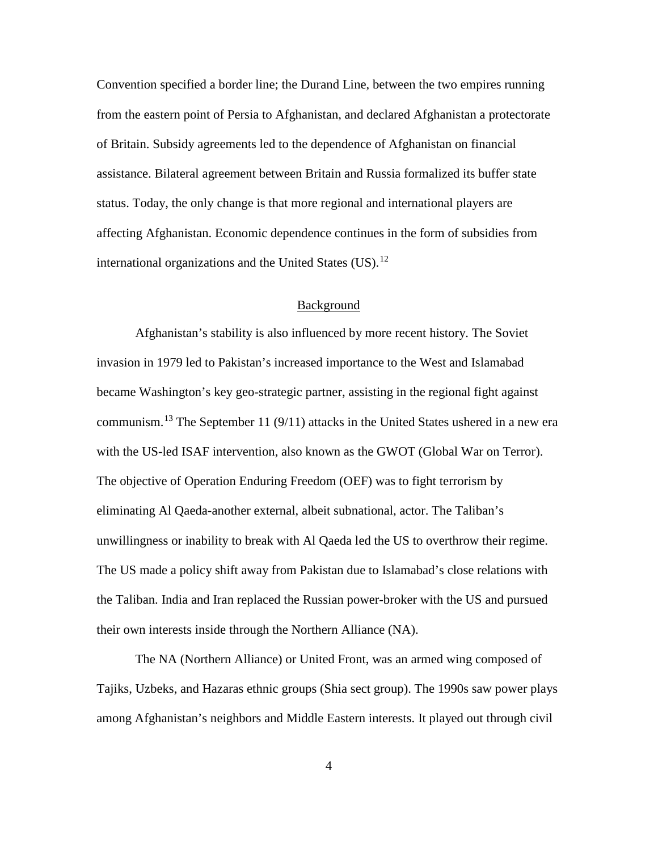Convention specified a border line; the Durand Line, between the two empires running from the eastern point of Persia to Afghanistan, and declared Afghanistan a protectorate of Britain. Subsidy agreements led to the dependence of Afghanistan on financial assistance. Bilateral agreement between Britain and Russia formalized its buffer state status. Today, the only change is that more regional and international players are affecting Afghanistan. Economic dependence continues in the form of subsidies from international organizations and the United States (US).<sup>[12](#page-19-0)</sup>

### Background

Afghanistan's stability is also influenced by more recent history. The Soviet invasion in 1979 led to Pakistan's increased importance to the West and Islamabad became Washington's key geo-strategic partner, assisting in the regional fight against communism.<sup>[13](#page-19-1)</sup> The September 11 (9/11) attacks in the United States ushered in a new era with the US-led ISAF intervention, also known as the GWOT (Global War on Terror). The objective of Operation Enduring Freedom (OEF) was to fight terrorism by eliminating Al Qaeda-another external, albeit subnational, actor. The Taliban's unwillingness or inability to break with Al Qaeda led the US to overthrow their regime. The US made a policy shift away from Pakistan due to Islamabad's close relations with the Taliban. India and Iran replaced the Russian power-broker with the US and pursued their own interests inside through the Northern Alliance (NA).

The NA (Northern Alliance) or United Front, was an armed wing composed of Tajiks, Uzbeks, and Hazaras ethnic groups (Shia sect group). The 1990s saw power plays among Afghanistan's neighbors and Middle Eastern interests. It played out through civil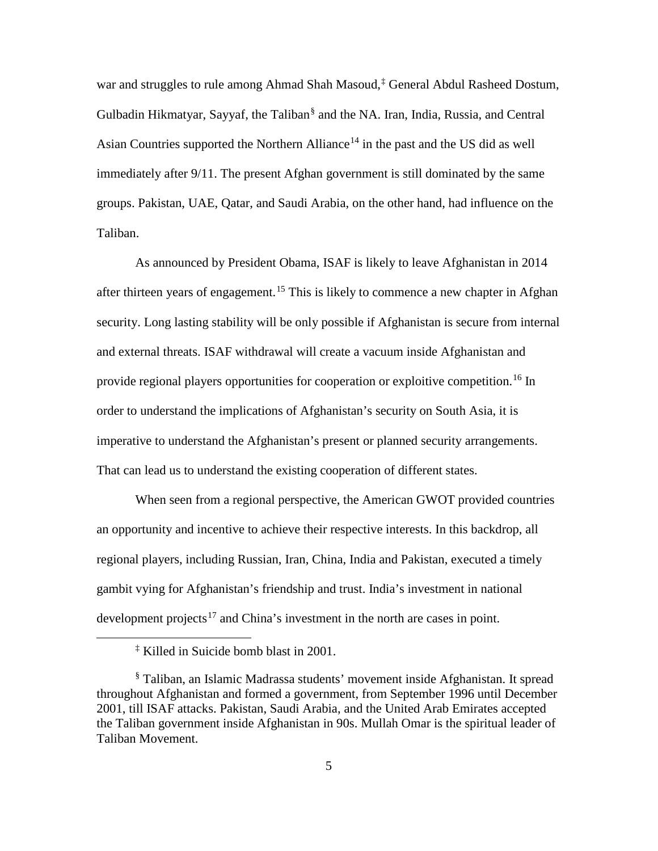war and struggles to rule among Ahmad Shah Masoud, [‡](#page-13-0) General Abdul Rasheed Dostum, Gulbadin Hikmatyar, Sayyaf, the Taliban[§](#page-13-1) and the NA. Iran, India, Russia, and Central Asian Countries supported the Northern Alliance<sup>[14](#page-20-0)</sup> in the past and the US did as well immediately after 9/11. The present Afghan government is still dominated by the same groups. Pakistan, UAE, Qatar, and Saudi Arabia, on the other hand, had influence on the Taliban.

As announced by President Obama, ISAF is likely to leave Afghanistan in 2014 after thirteen years of engagement.<sup>[15](#page-20-1)</sup> This is likely to commence a new chapter in Afghan security. Long lasting stability will be only possible if Afghanistan is secure from internal and external threats. ISAF withdrawal will create a vacuum inside Afghanistan and provide regional players opportunities for cooperation or exploitive competition.<sup>[16](#page-20-2)</sup> In order to understand the implications of Afghanistan's security on South Asia, it is imperative to understand the Afghanistan's present or planned security arrangements. That can lead us to understand the existing cooperation of different states.

When seen from a regional perspective, the American GWOT provided countries an opportunity and incentive to achieve their respective interests. In this backdrop, all regional players, including Russian, Iran, China, India and Pakistan, executed a timely gambit vying for Afghanistan's friendship and trust. India's investment in national development projects<sup>[17](#page-20-3)</sup> and China's investment in the north are cases in point.

<span id="page-13-0"></span> $\overline{a}$ 

<sup>‡</sup> Killed in Suicide bomb blast in 2001.

<span id="page-13-1"></span><sup>§</sup> Taliban, an Islamic Madrassa students' movement inside Afghanistan. It spread throughout Afghanistan and formed a government, from September 1996 until December 2001, till ISAF attacks. [Pakistan,](http://en.wikipedia.org/wiki/Pakistan) [Saudi Arabia,](http://en.wikipedia.org/wiki/Saudi_Arabia) and the [United Arab Emirates](http://en.wikipedia.org/wiki/United_Arab_Emirates) accepted the Taliban government inside Afghanistan in 90s. Mullah Omar is the spiritual leader of Taliban Movement.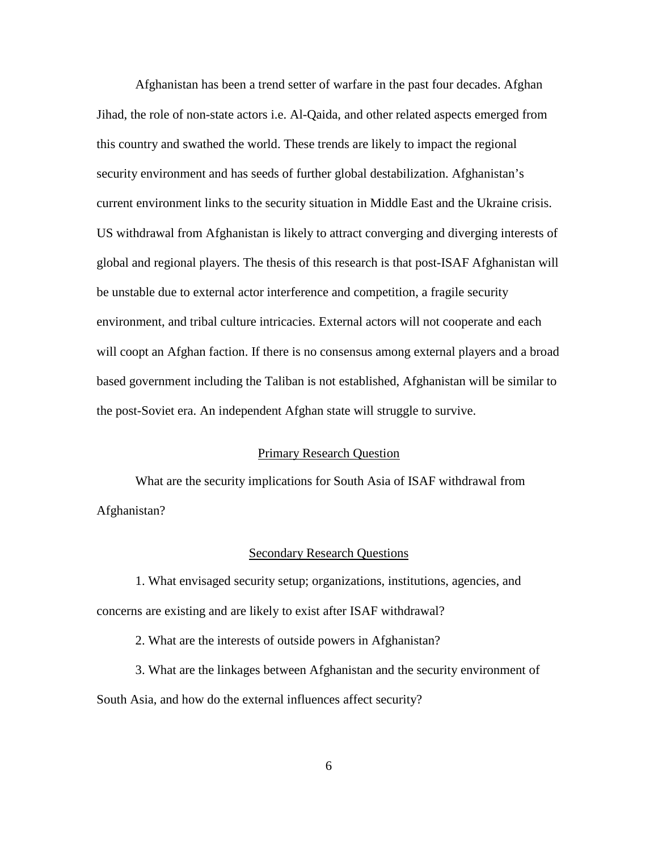Afghanistan has been a trend setter of warfare in the past four decades. Afghan Jihad, the role of non-state actors i.e. Al-Qaida, and other related aspects emerged from this country and swathed the world. These trends are likely to impact the regional security environment and has seeds of further global destabilization. Afghanistan's current environment links to the security situation in Middle East and the Ukraine crisis. US withdrawal from Afghanistan is likely to attract converging and diverging interests of global and regional players. The thesis of this research is that post-ISAF Afghanistan will be unstable due to external actor interference and competition, a fragile security environment, and tribal culture intricacies. External actors will not cooperate and each will coopt an Afghan faction. If there is no consensus among external players and a broad based government including the Taliban is not established, Afghanistan will be similar to the post-Soviet era. An independent Afghan state will struggle to survive.

#### Primary Research Question

What are the security implications for South Asia of ISAF withdrawal from Afghanistan?

#### Secondary Research Questions

1. What envisaged security setup; organizations, institutions, agencies, and concerns are existing and are likely to exist after ISAF withdrawal?

2. What are the interests of outside powers in Afghanistan?

3. What are the linkages between Afghanistan and the security environment of South Asia, and how do the external influences affect security?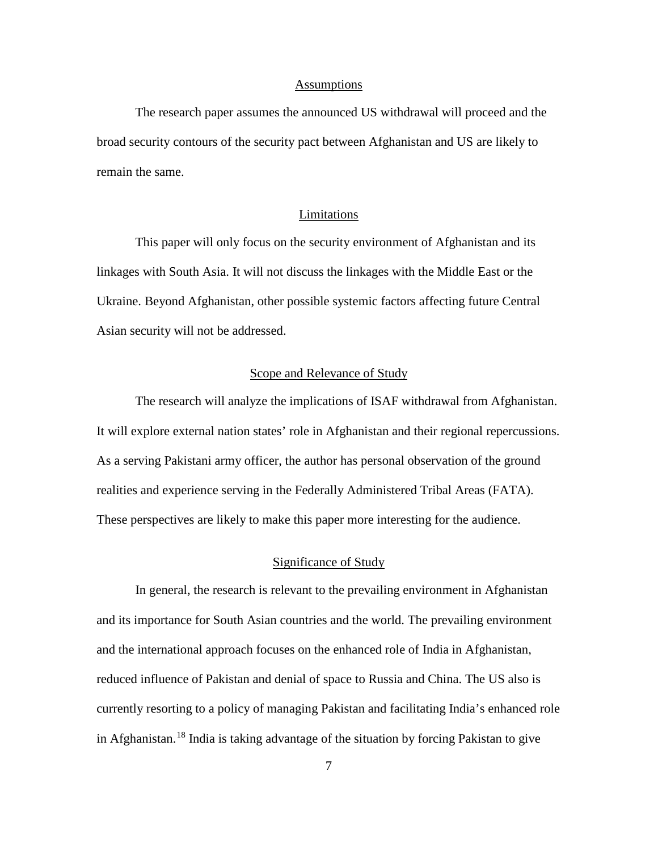#### **Assumptions**

The research paper assumes the announced US withdrawal will proceed and the broad security contours of the security pact between Afghanistan and US are likely to remain the same.

### Limitations

This paper will only focus on the security environment of Afghanistan and its linkages with South Asia. It will not discuss the linkages with the Middle East or the Ukraine. Beyond Afghanistan, other possible systemic factors affecting future Central Asian security will not be addressed.

# Scope and Relevance of Study

The research will analyze the implications of ISAF withdrawal from Afghanistan. It will explore external nation states' role in Afghanistan and their regional repercussions. As a serving Pakistani army officer, the author has personal observation of the ground realities and experience serving in the Federally Administered Tribal Areas (FATA). These perspectives are likely to make this paper more interesting for the audience.

### Significance of Study

In general, the research is relevant to the prevailing environment in Afghanistan and its importance for South Asian countries and the world. The prevailing environment and the international approach focuses on the enhanced role of India in Afghanistan, reduced influence of Pakistan and denial of space to Russia and China. The US also is currently resorting to a policy of managing Pakistan and facilitating India's enhanced role in Afghanistan. [18](#page-20-4) India is taking advantage of the situation by forcing Pakistan to give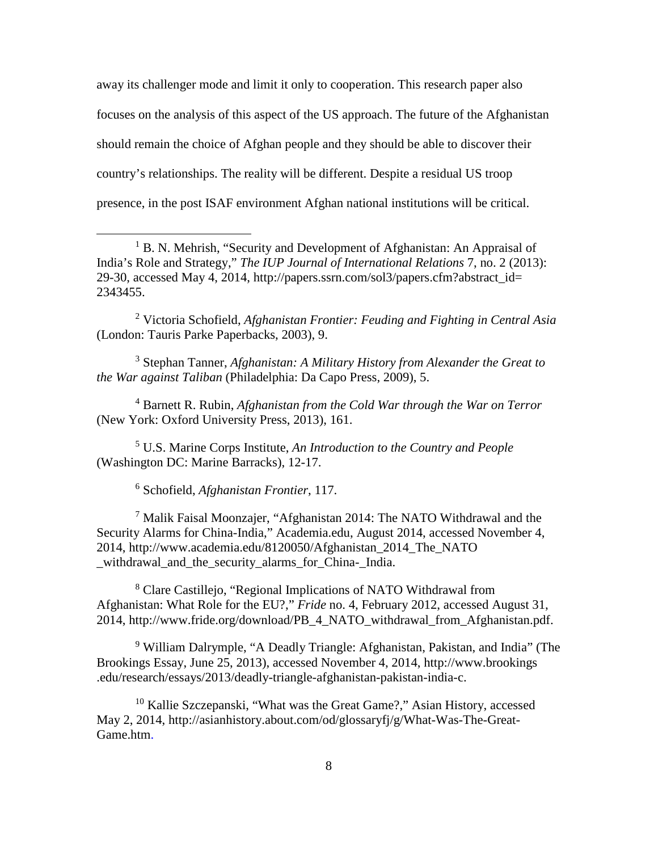away its challenger mode and limit it only to cooperation. This research paper also focuses on the analysis of this aspect of the US approach. The future of the Afghanistan should remain the choice of Afghan people and they should be able to discover their country's relationships. The reality will be different. Despite a residual US troop presence, in the post ISAF environment Afghan national institutions will be critical.

<span id="page-16-1"></span><sup>2</sup> Victoria Schofield, *Afghanistan Frontier: Feuding and Fighting in Central Asia* (London: Tauris Parke Paperbacks, 2003), 9.

<span id="page-16-2"></span><sup>3</sup> Stephan Tanner, *Afghanistan: A Military History from Alexander the Great to the War against Taliban* (Philadelphia: Da Capo Press, 2009), 5.

<sup>4</sup> Barnett R. Rubin, *Afghanistan from the Cold War through the War on Terror* (New York: Oxford University Press, 2013), 161.

<sup>5</sup> U.S. Marine Corps Institute, *An Introduction to the Country and People* (Washington DC: Marine Barracks), 12-17.

<sup>6</sup> Schofield, *Afghanistan Frontier*, 117.

 $\overline{a}$ 

<sup>7</sup> Malik Faisal Moonzajer, "Afghanistan 2014: The NATO Withdrawal and the Security Alarms for China-India," Academia.edu, August 2014, accessed November 4, 2014, http://www.academia.edu/8120050/Afghanistan\_2014\_The\_NATO withdrawal and the security alarms for China-India.

<sup>8</sup> Clare Castillejo, "Regional Implications of NATO Withdrawal from Afghanistan: What Role for the EU?," *Fride* no. 4, February 2012, accessed August 31, 2014, http://www.fride.org/download/PB\_4\_NATO\_withdrawal\_from\_Afghanistan.pdf.

<sup>9</sup> William Dalrymple, "A Deadly Triangle: Afghanistan, Pakistan, and India" (The Brookings Essay, June 25, 2013), accessed November 4, 2014, http://www.brookings .edu/research/essays/2013/deadly-triangle-afghanistan-pakistan-india-c.

<sup>10</sup> [Kallie Szczepanski,](http://asianhistory.about.com/bio/Kallie-Szczepanski-40912.htm) "What was the Great Game?," Asian History, accessed May 2, 2014, http://asianhistory.about.com/od/glossaryfj/g/What-Was-The-Great-Game.htm.

<span id="page-16-0"></span><sup>&</sup>lt;sup>1</sup> B. N. Mehrish, "Security and Development of Afghanistan: An Appraisal of India's Role and Strategy," *The IUP Journal of International Relations* 7, no. 2 (2013): 29-30, accessed May 4, 2014, http://papers.ssrn.com/sol3/papers.cfm?abstract\_id= 2343455.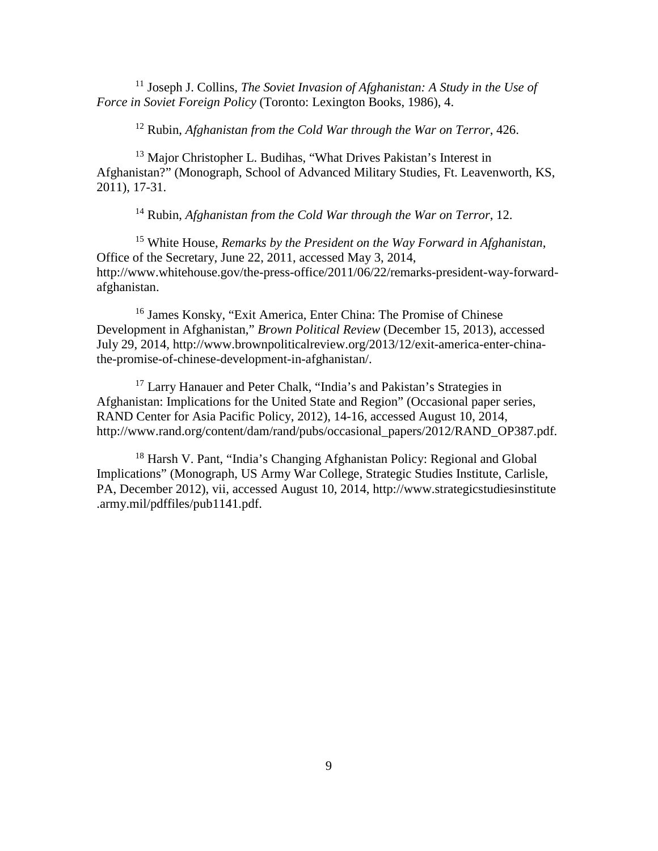<sup>11</sup> Joseph J. Collins, *The Soviet Invasion of Afghanistan: A Study in the Use of Force in Soviet Foreign Policy* (Toronto: Lexington Books, 1986), 4.

<sup>12</sup> Rubin, *Afghanistan from the Cold War through the War on Terror*, 426.

<sup>13</sup> Major Christopher L. Budihas, "What Drives Pakistan's Interest in Afghanistan?" (Monograph, School of Advanced Military Studies, Ft. Leavenworth, KS, 2011), 17-31.

<sup>14</sup> Rubin, *Afghanistan from the Cold War through the War on Terror*, 12.

<sup>15</sup> White House, *Remarks by the President on the Way Forward in Afghanistan*, Office of the Secretary, June 22, 2011, accessed May 3, 2014, http://www.whitehouse.gov/the-press-office/2011/06/22/remarks-president-way-forwardafghanistan.

<sup>16</sup> [James Konsky,](http://www.brownpoliticalreview.org/author/jkonsky/) ["Exit America, Enter China: The Promise of Chinese](http://www.brownpoliticalreview.org/2013/12/exit-america-enter-china-the-promise-of-chinese-development-in-afghanistan/)  [Development in Afghanistan,](http://www.brownpoliticalreview.org/2013/12/exit-america-enter-china-the-promise-of-chinese-development-in-afghanistan/)" *Brown Political Review* (December 15, 2013), accessed July 29, 2014, http://www.brownpoliticalreview.org/2013/12/exit-america-enter-chinathe-promise-of-chinese-development-in-afghanistan/.

<span id="page-17-0"></span><sup>17</sup> Larry Hanauer and Peter Chalk, "India's and Pakistan's Strategies in Afghanistan: Implications for the United State and Region" (Occasional paper series, RAND Center for Asia Pacific Policy, 2012), 14-16, accessed August 10, 2014, http://www.rand.org/content/dam/rand/pubs/occasional\_papers/2012/RAND\_OP387.pdf.

<span id="page-17-2"></span><span id="page-17-1"></span><sup>18</sup> Harsh V. Pant, "India's Changing Afghanistan Policy: Regional and Global Implications" (Monograph, US Army War College, Strategic Studies Institute, Carlisle, PA, December 2012), vii, accessed August 10, 2014, http://www.strategicstudiesinstitute .army.mil/pdffiles/pub1141.pdf.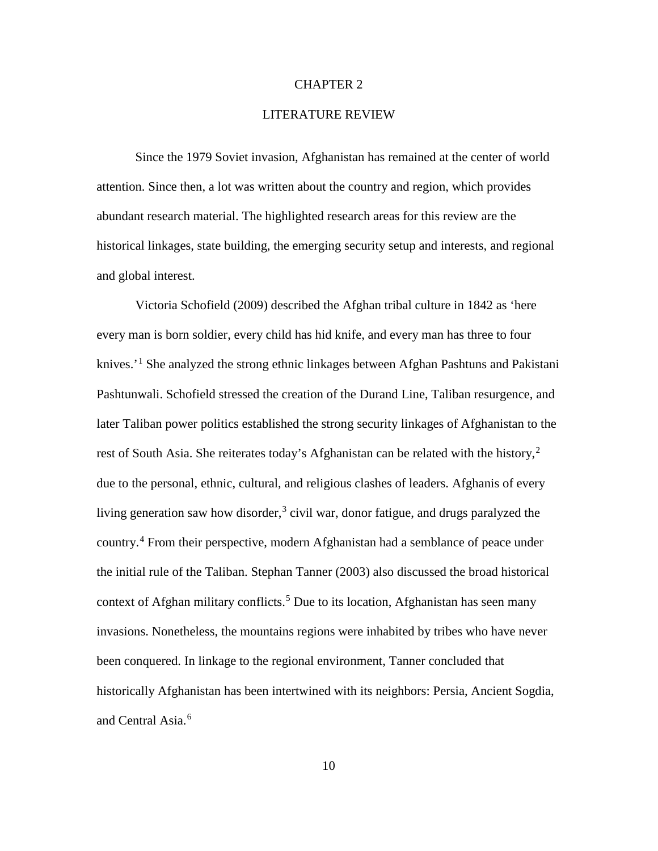### CHAPTER 2

### LITERATURE REVIEW

<span id="page-18-4"></span>Since the 1979 Soviet invasion, Afghanistan has remained at the center of world attention. Since then, a lot was written about the country and region, which provides abundant research material. The highlighted research areas for this review are the historical linkages, state building, the emerging security setup and interests, and regional and global interest.

<span id="page-18-3"></span><span id="page-18-2"></span><span id="page-18-1"></span><span id="page-18-0"></span>Victoria Schofield (2009) described the Afghan tribal culture in 1842 as 'here every man is born soldier, every child has hid knife, and every man has three to four knives.<sup>'[1](#page-29-0)</sup> She analyzed the strong ethnic linkages between Afghan Pashtuns and Pakistani Pashtunwali. Schofield stressed the creation of the Durand Line, Taliban resurgence, and later Taliban power politics established the strong security linkages of Afghanistan to the rest of South Asia. She reiterates today's Afghanistan can be related with the history,<sup>[2](#page-29-1)</sup> due to the personal, ethnic, cultural, and religious clashes of leaders. Afghanis of every living generation saw how disorder,<sup>[3](#page-29-2)</sup> civil war, donor fatigue, and drugs paralyzed the country. [4](#page-29-3) From their perspective, modern Afghanistan had a semblance of peace under the initial rule of the Taliban. Stephan Tanner (2003) also discussed the broad historical context of Afghan military conflicts. [5](#page-29-4) Due to its location, Afghanistan has seen many invasions. Nonetheless, the mountains regions were inhabited by tribes who have never been conquered. In linkage to the regional environment, Tanner concluded that historically Afghanistan has been intertwined with its neighbors: Persia, Ancient Sogdia, and Central Asia.<sup>[6](#page-29-5)</sup>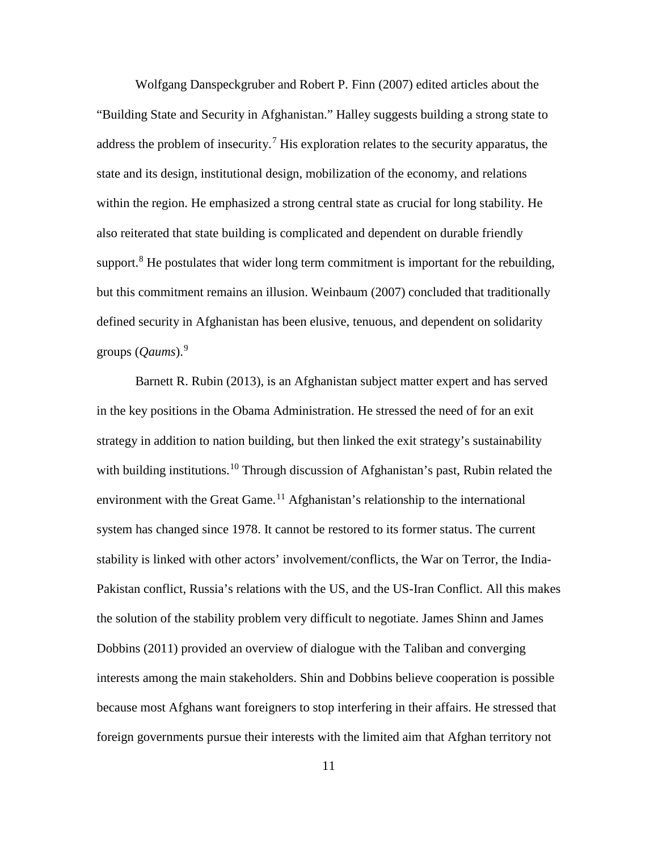<span id="page-19-1"></span><span id="page-19-0"></span>Wolfgang Danspeckgruber and Robert P. Finn (2007) edited articles about the "Building State and Security in Afghanistan." Halley suggests building a strong state to address the problem of insecurity.<sup>[7](#page-30-0)</sup> His exploration relates to the security apparatus, the state and its design, institutional design, mobilization of the economy, and relations within the region. He emphasized a strong central state as crucial for long stability. He also reiterated that state building is complicated and dependent on durable friendly support.<sup>[8](#page-30-1)</sup> He postulates that wider long term commitment is important for the rebuilding, but this commitment remains an illusion. Weinbaum (2007) concluded that traditionally defined security in Afghanistan has been elusive, tenuous, and dependent on solidarity groups (*Qaums*).[9](#page-30-2)

Barnett R. Rubin (2013)*,* is an Afghanistan subject matter expert and has served in the key positions in the Obama Administration. He stressed the need of for an exit strategy in addition to nation building, but then linked the exit strategy's sustainability with building institutions.<sup>[10](#page-30-3)</sup> Through discussion of Afghanistan's past, Rubin related the environment with the Great Game.<sup>[11](#page-30-4)</sup> Afghanistan's relationship to the international system has changed since 1978. It cannot be restored to its former status. The current stability is linked with other actors' involvement/conflicts, the War on Terror, the India-Pakistan conflict, Russia's relations with the US, and the US-Iran Conflict. All this makes the solution of the stability problem very difficult to negotiate. James Shinn and James Dobbins (2011) provided an overview of dialogue with the Taliban and converging interests among the main stakeholders. Shin and Dobbins believe cooperation is possible because most Afghans want foreigners to stop interfering in their affairs. He stressed that foreign governments pursue their interests with the limited aim that Afghan territory not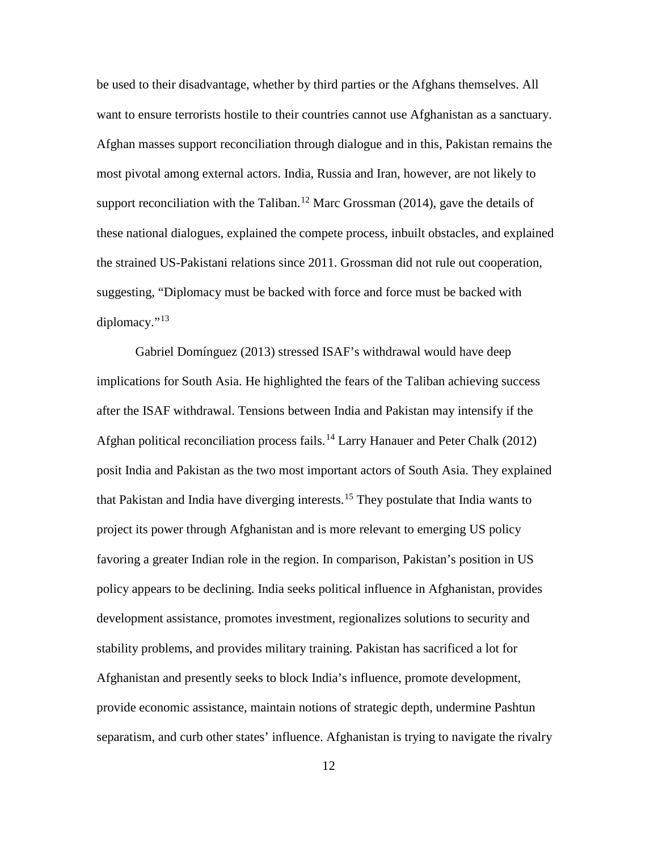<span id="page-20-0"></span>be used to their disadvantage, whether by third parties or the Afghans themselves. All want to ensure terrorists hostile to their countries cannot use Afghanistan as a sanctuary. Afghan masses support reconciliation through dialogue and in this, Pakistan remains the most pivotal among external actors. India, Russia and Iran, however, are not likely to support reconciliation with the Taliban.<sup>[12](#page-31-0)</sup> Marc Grossman (2014), gave the details of these national dialogues, explained the compete process, inbuilt obstacles, and explained the strained US-Pakistani relations since 2011. Grossman did not rule out cooperation, suggesting, "Diplomacy must be backed with force and force must be backed with diplomacy." $13$ 

<span id="page-20-4"></span><span id="page-20-3"></span><span id="page-20-2"></span><span id="page-20-1"></span>Gabriel Domínguez (2013) stressed ISAF's withdrawal would have deep implications for South Asia. He highlighted the fears of the Taliban achieving success after the ISAF withdrawal. Tensions between India and Pakistan may intensify if the Afghan political reconciliation process fails. [14](#page-31-2) Larry Hanauer and Peter Chalk (2012) posit India and Pakistan as the two most important actors of South Asia. They explained that Pakistan and India have diverging interests.[15](#page-31-3) They postulate that India wants to project its power through Afghanistan and is more relevant to emerging US policy favoring a greater Indian role in the region. In comparison, Pakistan's position in US policy appears to be declining. India seeks political influence in Afghanistan, provides development assistance, promotes investment, regionalizes solutions to security and stability problems, and provides military training. Pakistan has sacrificed a lot for Afghanistan and presently seeks to block India's influence, promote development, provide economic assistance, maintain notions of strategic depth, undermine Pashtun separatism, and curb other states' influence. Afghanistan is trying to navigate the rivalry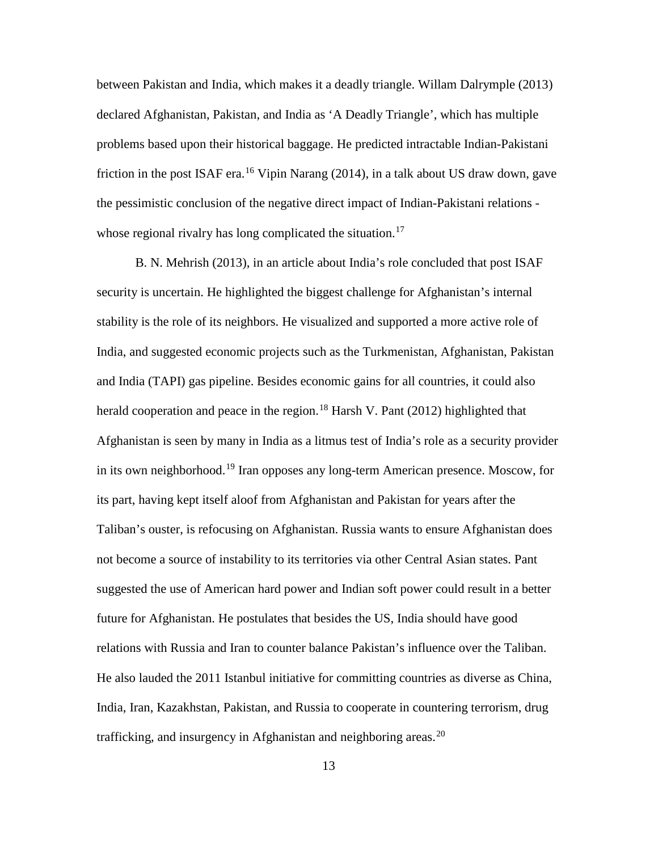between Pakistan and India, which makes it a deadly triangle. Willam Dalrymple (2013) declared Afghanistan, Pakistan, and India as 'A Deadly Triangle', which has multiple problems based upon their historical baggage. He predicted intractable Indian-Pakistani friction in the post ISAF era.<sup>[16](#page-32-0)</sup> Vipin Narang (2014), in a talk about US draw down, gave the pessimistic conclusion of the negative direct impact of Indian-Pakistani relations - whose regional rivalry has long complicated the situation.<sup>[17](#page-32-1)</sup>

B. N. Mehrish (2013), in an article about India's role concluded that post ISAF security is uncertain. He highlighted the biggest challenge for Afghanistan's internal stability is the role of its neighbors. He visualized and supported a more active role of India, and suggested economic projects such as the Turkmenistan, Afghanistan, Pakistan and India (TAPI) gas pipeline. Besides economic gains for all countries, it could also herald cooperation and peace in the region.<sup>[18](#page-32-2)</sup> Harsh V. Pant (2012) highlighted that Afghanistan is seen by many in India as a litmus test of India's role as a security provider in its own neighborhood.<sup>[19](#page-32-3)</sup> Iran opposes any long-term American presence. Moscow, for its part, having kept itself aloof from Afghanistan and Pakistan for years after the Taliban's ouster, is refocusing on Afghanistan. Russia wants to ensure Afghanistan does not become a source of instability to its territories via other Central Asian states. Pant suggested the use of American hard power and Indian soft power could result in a better future for Afghanistan. He postulates that besides the US, India should have good relations with Russia and Iran to counter balance Pakistan's influence over the Taliban. He also lauded the 2011 Istanbul initiative for committing countries as diverse as China, India, Iran, Kazakhstan, Pakistan, and Russia to cooperate in countering terrorism, drug trafficking, and insurgency in Afghanistan and neighboring areas.<sup>[20](#page-32-4)</sup>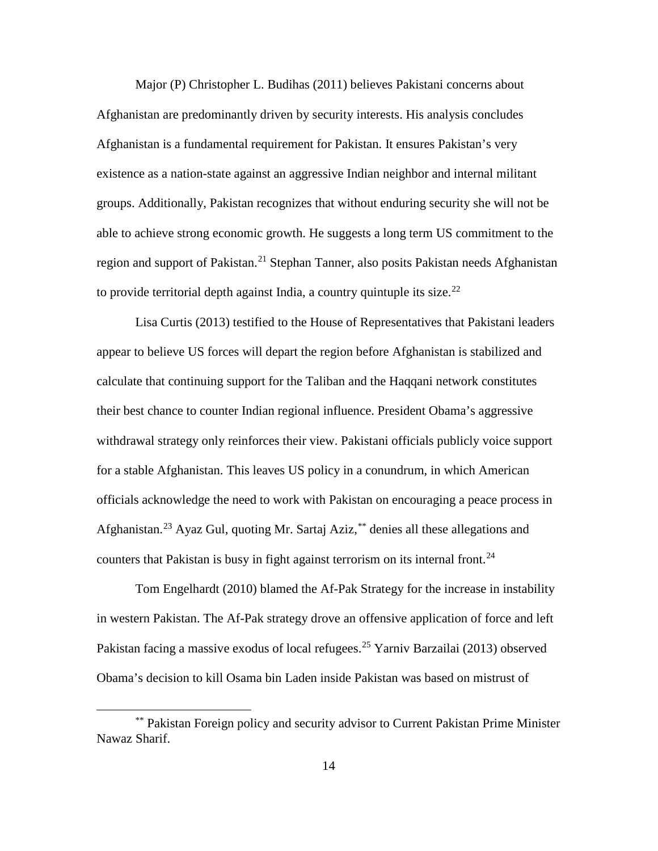Major (P) Christopher L. Budihas (2011) believes Pakistani concerns about Afghanistan are predominantly driven by security interests. His analysis concludes Afghanistan is a fundamental requirement for Pakistan. It ensures Pakistan's very existence as a nation-state against an aggressive Indian neighbor and internal militant groups. Additionally, Pakistan recognizes that without enduring security she will not be able to achieve strong economic growth. He suggests a long term US commitment to the region and support of Pakistan.<sup>[21](#page-33-0)</sup> Stephan Tanner, also posits Pakistan needs Afghanistan to provide territorial depth against India, a country quintuple its size.<sup>[22](#page-33-1)</sup>

Lisa Curtis (2013) testified to the House of Representatives that Pakistani leaders appear to believe US forces will depart the region before Afghanistan is stabilized and calculate that continuing support for the Taliban and the Haqqani network constitutes their best chance to counter Indian regional influence. President Obama's aggressive withdrawal strategy only reinforces their view. Pakistani officials publicly voice support for a stable Afghanistan. This leaves US policy in a conundrum, in which American officials acknowledge the need to work with Pakistan on encouraging a peace process in Afghanistan.<sup>[23](#page-33-2)</sup> Ayaz Gul, quoting Mr. Sartaj Aziz, [\\*\\*](#page-22-0) denies all these allegations and counters that Pakistan is busy in fight against terrorism on its internal front.<sup>[24](#page-33-3)</sup>

Tom Engelhardt (2010) blamed the Af-Pak Strategy for the increase in instability in western Pakistan. The Af-Pak strategy drove an offensive application of force and left Pakistan facing a massive exodus of local refugees.<sup>[25](#page-33-4)</sup> Yarniv Barzailai (2013) observed Obama's decision to kill Osama bin Laden inside Pakistan was based on mistrust of

 $\overline{a}$ 

<span id="page-22-0"></span><sup>\*\*</sup> Pakistan Foreign policy and security advisor to Current Pakistan Prime Minister Nawaz Sharif.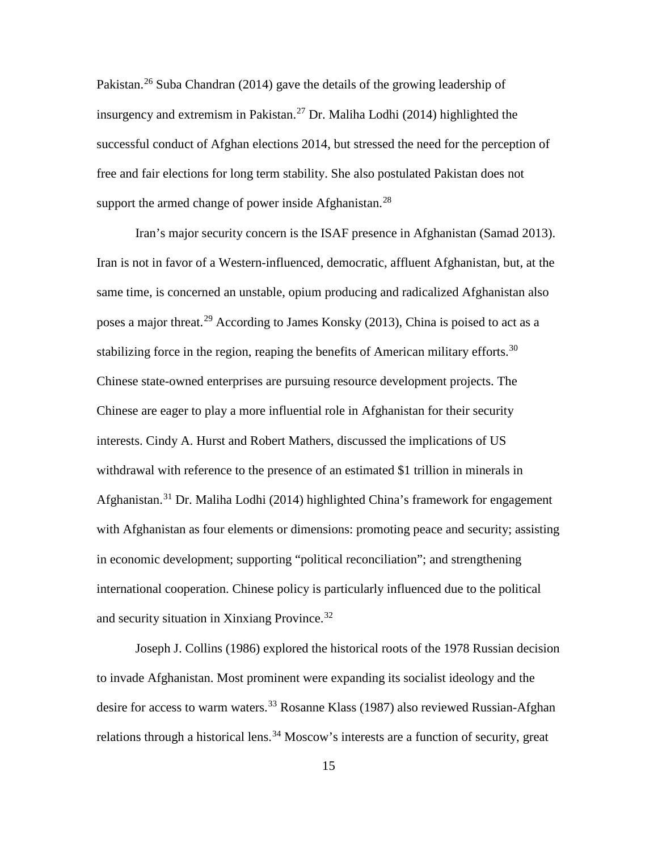Pakistan.[26](#page-34-0) Suba Chandran (2014) gave the details of the growing leadership of insurgency and extremism in Pakistan. [27](#page-34-1) Dr. Maliha Lodhi (2014) highlighted the successful conduct of Afghan elections 2014, but stressed the need for the perception of free and fair elections for long term stability. She also postulated Pakistan does not support the armed change of power inside Afghanistan.<sup>[28](#page-34-2)</sup>

Iran's major security concern is the ISAF presence in Afghanistan (Samad 2013). Iran is not in favor of a Western-influenced, democratic, affluent Afghanistan, but, at the same time, is concerned an unstable, opium producing and radicalized Afghanistan also poses a major threat.<sup>[29](#page-34-3)</sup> According to [James Konsky](http://www.brownpoliticalreview.org/author/jkonsky/) (2013), China is poised to act as a stabilizing force in the region, reaping the benefits of American military efforts.<sup>[30](#page-34-4)</sup> Chinese state-owned enterprises are pursuing resource development projects. The Chinese are eager to play a more influential role in Afghanistan for their security interests. Cindy A. Hurst and Robert Mathers, discussed the implications of US withdrawal with reference to the presence of an estimated \$1 trillion in minerals in Afghanistan.<sup>[31](#page-34-5)</sup> Dr. Maliha Lodhi (2014) highlighted China's framework for engagement with Afghanistan as four elements or dimensions: promoting peace and security; assisting in economic development; supporting "political reconciliation"; and strengthening international cooperation. Chinese policy is particularly influenced due to the political and security situation in Xinxiang Province.[32](#page-34-6)

Joseph J. Collins (1986) explored the historical roots of the 1978 Russian decision to invade Afghanistan. Most prominent were expanding its socialist ideology and the desire for access to warm waters.<sup>[33](#page-34-7)</sup> Rosanne Klass (1987) also reviewed Russian-Afghan relations through a historical lens.<sup>[34](#page-34-8)</sup> Moscow's interests are a function of security, great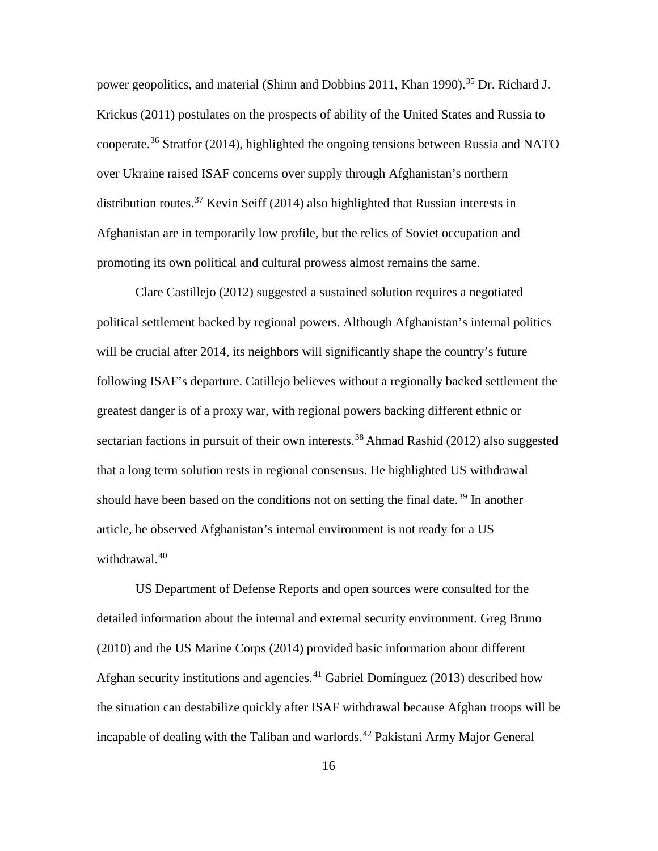power geopolitics, and material (Shinn and Dobbins 2011, Khan 1990).<sup>[35](#page-35-0)</sup> Dr. [Richard](http://www.strategicstudiesinstitute.army.mil/pubs/people.cfm?authorID=608) J. [Krickus](http://www.strategicstudiesinstitute.army.mil/pubs/people.cfm?authorID=608) (2011) postulates on the prospects of ability of the United States and Russia to cooperate.[36](#page-35-1) Stratfor (2014), highlighted the ongoing tensions between Russia and NATO over Ukraine raised ISAF concerns over supply through Afghanistan's northern distribution routes. [37](#page-35-2) Kevin Seiff (2014) also highlighted that Russian interests in Afghanistan are in temporarily low profile, but the relics of Soviet occupation and promoting its own political and cultural prowess almost remains the same.

Clare Castillejo (2012) suggested a sustained solution requires a negotiated political settlement backed by regional powers. Although Afghanistan's internal politics will be crucial after 2014, its neighbors will significantly shape the country's future following ISAF's departure. Catillejo believes without a regionally backed settlement the greatest danger is of a proxy war, with regional powers backing different ethnic or sectarian factions in pursuit of their own interests.<sup>[38](#page-35-3)</sup> Ahmad Rashid (2012) also suggested that a long term solution rests in regional consensus. He highlighted US withdrawal should have been based on the conditions not on setting the final date.<sup>[39](#page-35-4)</sup> In another article, he observed Afghanistan's internal environment is not ready for a US withdrawal.<sup>[40](#page-35-5)</sup>

US Department of Defense Reports and open sources were consulted for the detailed information about the internal and external security environment. Greg Bruno (2010) and the US Marine Corps (2014) provided basic information about different Afghan security institutions and agencies. $41$  Gabriel Domínguez (2013) described how the situation can destabilize quickly after ISAF withdrawal because Afghan troops will be incapable of dealing with the Taliban and warlords.<sup>[42](#page-35-7)</sup> Pakistani Army Major General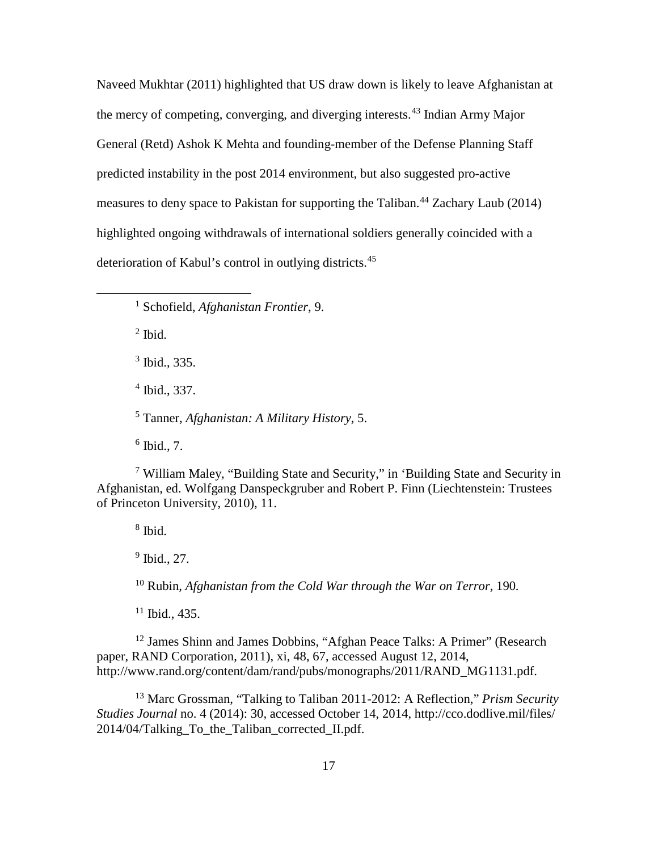Naveed Mukhtar (2011) highlighted that US draw down is likely to leave Afghanistan at the mercy of competing, converging, and diverging interests.[43](#page-36-0) Indian Army Major General (Retd) Ashok K Mehta and founding-member of the Defense Planning Staff predicted instability in the post 2014 environment, but also suggested pro-active measures to deny space to Pakistan for supporting the Taliban.<sup>[44](#page-36-1)</sup> [Zachary](http://www.cfr.org/experts/world/zachary-laub/b19316) Laub (2014) highlighted ongoing withdrawals of international soldiers generally coincided with a deterioration of Kabul's control in outlying districts.[45](#page-36-2)

<sup>1</sup> Schofield, *Afghanistan Frontier*, 9.

 $<sup>2</sup>$  Ibid.</sup>

 $\overline{a}$ 

<sup>3</sup> Ibid., 335.

<sup>4</sup> Ibid., 337.

<sup>5</sup> Tanner, *Afghanistan: A Military History*, 5.

 $6$  Ibid., 7.

<sup>7</sup> William Maley*,* "Building State and Security," in 'Building State and Security in Afghanistan*,* ed. Wolfgang Danspeckgruber and Robert P. Finn (Liechtenstein: Trustees of Princeton University, 2010), 11.

 $8$  Ibid.

 $9$  Ibid., 27.

<sup>10</sup> Rubin*, Afghanistan from the Cold War through the War on Terror,* 190*.*

 $11$  Ibid., 435.

<sup>12</sup> James Shinn and James Dobbins, "Afghan Peace Talks: A Primer" (Research paper, RAND Corporation, 2011), xi, 48, 67, accessed August 12, 2014, http://www.rand.org/content/dam/rand/pubs/monographs/2011/RAND\_MG1131.pdf.

<sup>13</sup> Marc Grossman, "Talking to Taliban 2011-2012: A Reflection," *Prism Security Studies Journal* no. 4 (2014): 30, accessed October 14, 2014, http://cco.dodlive.mil/files/ 2014/04/Talking\_To\_the\_Taliban\_corrected\_II.pdf.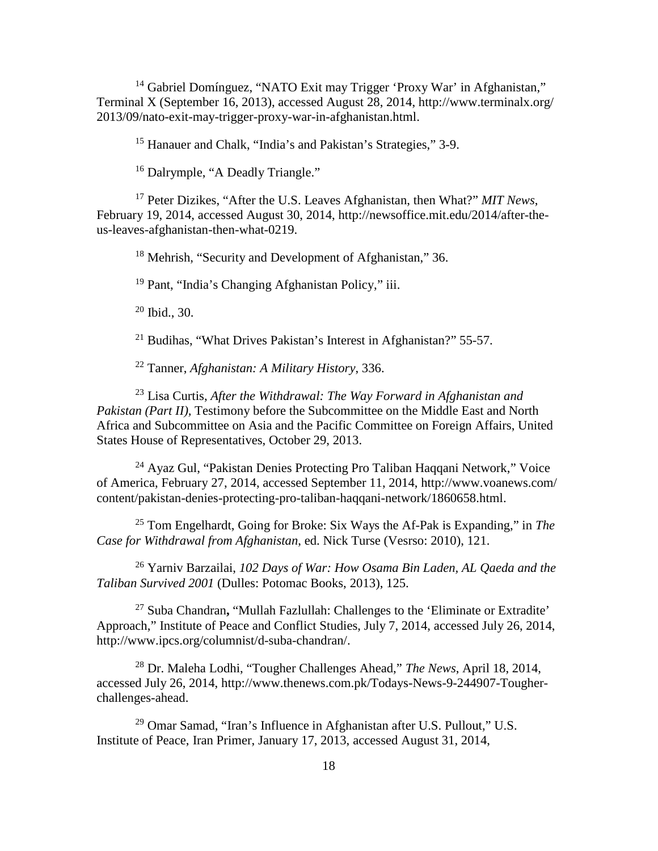<sup>14</sup> Gabriel Domínguez, "NATO Exit may Trigger 'Proxy War' in Afghanistan," Terminal X (September 16, 2013), accessed August 28, 2014, http://www.terminalx.org/ 2013/09/nato-exit-may-trigger-proxy-war-in-afghanistan.html.

<sup>15</sup> Hanauer and Chalk, "India's and Pakistan's Strategies," 3-9.

<sup>16</sup> Dalrymple, "A Deadly Triangle."

<sup>17</sup> Peter Dizikes, "After the U.S. Leaves Afghanistan, then What?" *MIT News*, February 19, 2014, accessed August 30, 2014, http://newsoffice.mit.edu/2014/after-theus-leaves-afghanistan-then-what-0219.

<sup>18</sup> Mehrish, "Security and Development of Afghanistan," 36.

<sup>19</sup> Pant, "India's Changing Afghanistan Policy," iii.

 $20$  Ibid., 30.

<sup>21</sup> Budihas, "What Drives Pakistan's Interest in Afghanistan?" 55-57.

<sup>22</sup> Tanner, *Afghanistan: A Military History*, 336.

<sup>23</sup> Lisa Curtis, *After the Withdrawal: The Way Forward in Afghanistan and Pakistan (Part II),* Testimony before the Subcommittee on the Middle East and North Africa and Subcommittee on Asia and the Pacific Committee on Foreign Affairs, United States House of Representatives, October 29, 2013.

<sup>24</sup> Ayaz Gul, "Pakistan Denies Protecting Pro Taliban Haqqani Network," Voice of America, February 27, 2014, accessed September 11, 2014, http://www.voanews.com/ content/pakistan-denies-protecting-pro-taliban-haqqani-network/1860658.html.

<sup>25</sup> Tom Engelhardt, Going for Broke: Six Ways the Af-Pak is Expanding," in *The Case for Withdrawal from Afghanistan*, ed. Nick Turse (Vesrso: 2010), 121.

<sup>26</sup> Yarniv Barzailai, *102 Days of War: How Osama Bin Laden, AL Qaeda and the Taliban Survived 2001* (Dulles: Potomac Books, 2013), 125.

<sup>27</sup> Suba Chandran**,** "Mullah Fazlullah: Challenges to the 'Eliminate or Extradite' Approach," Institute of Peace and Conflict Studies, July 7, 2014, accessed July 26, 2014, http://www.ipcs.org/columnist/d-suba-chandran/.

<sup>28</sup> Dr. Maleha Lodhi, "Tougher Challenges Ahead," *The News*, April 18, 2014, accessed July 26, 2014, http://www.thenews.com.pk/Todays-News-9-244907-Tougherchallenges-ahead.

<sup>29</sup> Omar Samad, "Iran's Influence in Afghanistan after U.S. Pullout," U.S. Institute of Peace, Iran Primer, January 17, 2013, accessed August 31, 2014,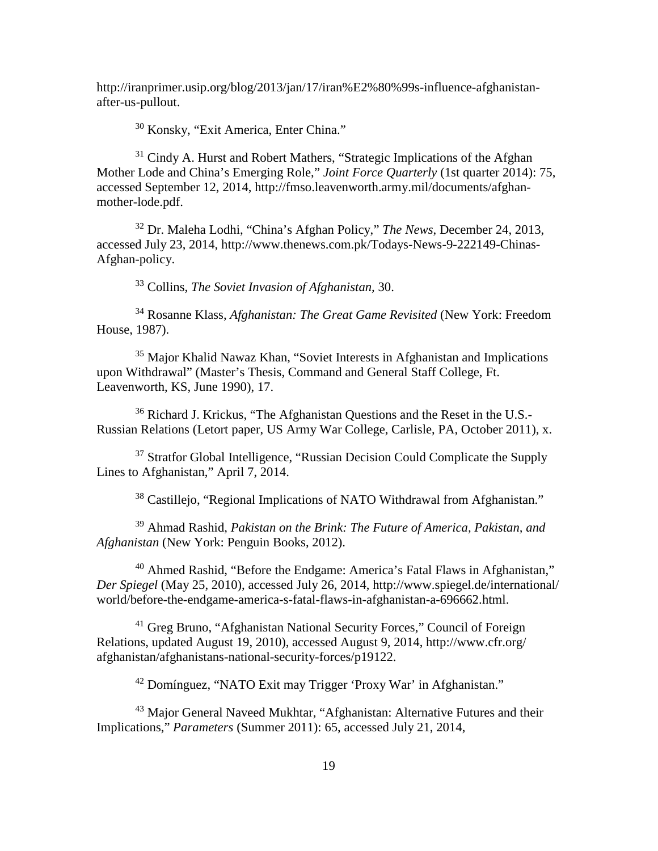http://iranprimer.usip.org/blog/2013/jan/17/iran%E2%80%99s-influence-afghanistanafter-us-pullout.

<sup>30</sup> [Konsky,](http://www.brownpoliticalreview.org/author/jkonsky/) ["Exit America, Enter China.](http://www.brownpoliticalreview.org/2013/12/exit-america-enter-china-the-promise-of-chinese-development-in-afghanistan/)"

 $31$  Cindy A. Hurst and Robert Mathers, "Strategic Implications of the Afghan Mother Lode and China's Emerging Role," *Joint Force Quarterly* (1st quarter 2014): 75, accessed September 12, 2014, http://fmso.leavenworth.army.mil/documents/afghanmother-lode.pdf.

<sup>32</sup> Dr. Maleha Lodhi, "China's Afghan Policy," *The News*, December 24, 2013, accessed July 23, 2014, http://www.thenews.com.pk/Todays-News-9-222149-Chinas-Afghan-policy.

<sup>33</sup> Collins, *The Soviet Invasion of Afghanistan,* 30.

<sup>34</sup> Rosanne Klass, *Afghanistan: The Great Game Revisited* (New York: Freedom House, 1987).

<sup>35</sup> Major Khalid Nawaz Khan, "Soviet Interests in Afghanistan and Implications upon Withdrawal" (Master's Thesis, Command and General Staff College, Ft. Leavenworth, KS, June 1990), 17.

<sup>36</sup> Richard J. Krickus, "The Afghanistan Questions and the Reset in the U.S.- Russian Relations (Letort paper, US Army War College, Carlisle, PA, October 2011), x.

<sup>37</sup> Stratfor Global Intelligence, "Russian Decision Could Complicate the Supply Lines to Afghanistan," April 7, 2014.

<sup>38</sup> Castillejo, "Regional Implications of NATO Withdrawal from Afghanistan."

<sup>39</sup> Ahmad Rashid, *Pakistan on the Brink: The Future of America, Pakistan, and Afghanistan* (New York: Penguin Books, 2012).

<sup>40</sup> Ahmed Rashid, "Before the Endgame: America's Fatal Flaws in Afghanistan," *Der Spiegel* (May 25, 2010), accessed July 26, 2014, http://www.spiegel.de/international/ world/before-the-endgame-america-s-fatal-flaws-in-afghanistan-a-696662.html.

<sup>41</sup> Greg Bruno, "Afghanistan National Security Forces," Council of Foreign Relations, updated August 19, 2010), accessed August 9, 2014, http://www.cfr.org/ afghanistan/afghanistans-national-security-forces/p19122.

<sup>42</sup> Domínguez, "NATO Exit may Trigger 'Proxy War' in Afghanistan."

<sup>43</sup> Major General Naveed Mukhtar, "Afghanistan: Alternative Futures and their Implications," *Parameters* (Summer 2011): 65, accessed July 21, 2014,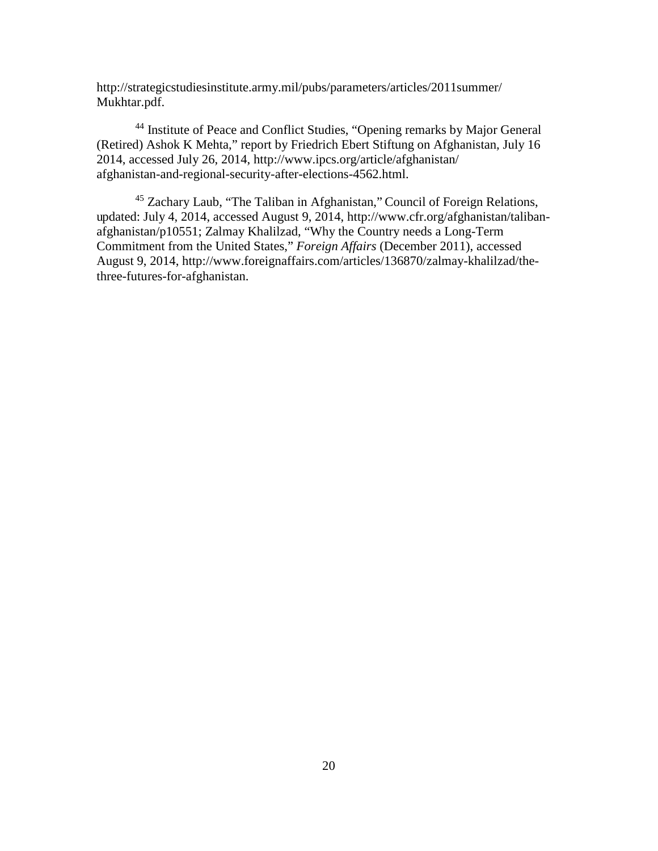http://strategicstudiesinstitute.army.mil/pubs/parameters/articles/2011summer/ Mukhtar.pdf.

<sup>44</sup> Institute of Peace and Conflict Studies, "Opening remarks by Major General (Retired) Ashok K Mehta," report by Friedrich Ebert Stiftung on Afghanistan*,* July 16 2014, accessed July 26, 2014, http://www.ipcs.org/article/afghanistan/ afghanistan-and-regional-security-after-elections-4562.html.

<sup>45</sup> [Zachary](http://www.cfr.org/experts/world/zachary-laub/b19316) Laub, "The Taliban in Afghanistan," Council of Foreign Relations, updated: July 4, 2014, accessed August 9, 2014, http://www.cfr.org/afghanistan/talibanafghanistan/p10551; [Zalmay Khalilzad,](http://www.foreignaffairs.com/author/zalmay-khalilzad) "Why the Country needs a Long-Term Commitment from the United States," *Foreign Affairs* (December 2011), accessed August 9, 2014, http://www.foreignaffairs.com/articles/136870/zalmay-khalilzad/thethree-futures-for-afghanistan.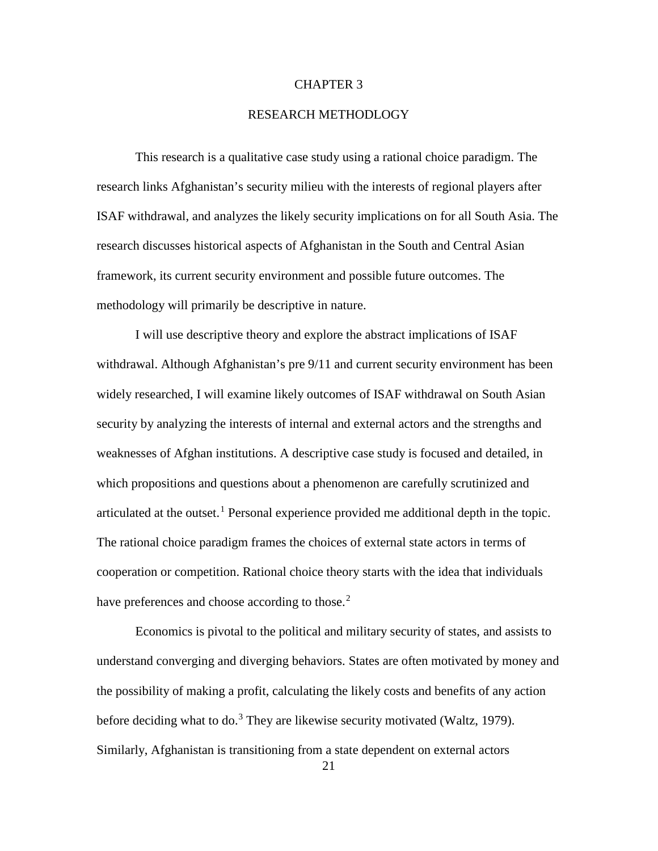### CHAPTER 3

### RESEARCH METHODLOGY

This research is a qualitative case study using a rational choice paradigm. The research links Afghanistan's security milieu with the interests of regional players after ISAF withdrawal, and analyzes the likely security implications on for all South Asia. The research discusses historical aspects of Afghanistan in the South and Central Asian framework, its current security environment and possible future outcomes. The methodology will primarily be descriptive in nature.

<span id="page-29-5"></span><span id="page-29-4"></span><span id="page-29-3"></span><span id="page-29-2"></span><span id="page-29-1"></span><span id="page-29-0"></span>I will use descriptive theory and explore the abstract implications of ISAF withdrawal. Although Afghanistan's pre 9/11 and current security environment has been widely researched, I will examine likely outcomes of ISAF withdrawal on South Asian security by analyzing the interests of internal and external actors and the strengths and weaknesses of Afghan institutions. A descriptive case study is focused and detailed, in which propositions and questions about a phenomenon are carefully scrutinized and articulated at the outset.<sup>[1](#page-30-5)</sup> Personal experience provided me additional depth in the topic. The rational choice paradigm frames the choices of external state actors in terms of cooperation or competition. Rational choice theory starts with the idea that individuals have preferences and choose according to those.<sup>[2](#page-30-6)</sup>

Economics is pivotal to the political and military security of states, and assists to understand converging and diverging behaviors. States are often motivated by money and the possibility of making a profit, calculating the likely costs and benefits of any action before deciding what to do.<sup>[3](#page-30-7)</sup> They are likewise security motivated (Waltz, 1979). Similarly, Afghanistan is transitioning from a state dependent on external actors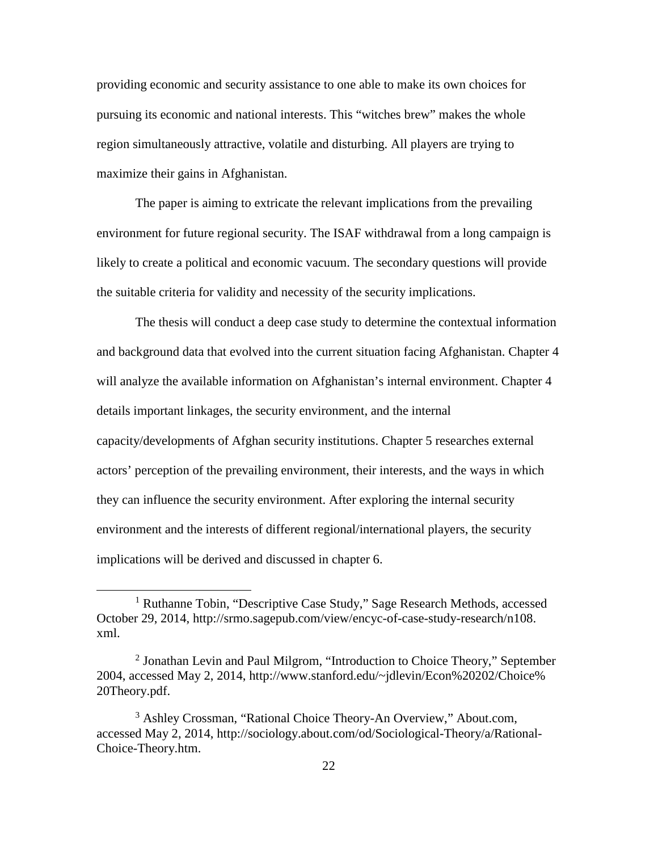providing economic and security assistance to one able to make its own choices for pursuing its economic and national interests. This "witches brew" makes the whole region simultaneously attractive, volatile and disturbing. All players are trying to maximize their gains in Afghanistan.

The paper is aiming to extricate the relevant implications from the prevailing environment for future regional security. The ISAF withdrawal from a long campaign is likely to create a political and economic vacuum. The secondary questions will provide the suitable criteria for validity and necessity of the security implications.

The thesis will conduct a deep case study to determine the contextual information and background data that evolved into the current situation facing Afghanistan. Chapter 4 will analyze the available information on Afghanistan's internal environment. Chapter 4 details important linkages, the security environment, and the internal capacity/developments of Afghan security institutions. Chapter 5 researches external actors' perception of the prevailing environment, their interests, and the ways in which they can influence the security environment. After exploring the internal security environment and the interests of different regional/international players, the security implications will be derived and discussed in chapter 6.

<span id="page-30-3"></span><span id="page-30-2"></span><span id="page-30-1"></span><span id="page-30-0"></span> $\overline{a}$ 

<span id="page-30-5"></span><span id="page-30-4"></span><sup>&</sup>lt;sup>1</sup> Ruthanne Tobin, "Descriptive Case Study," Sage Research Methods, accessed October 29, 2014, http://srmo.sagepub.com/view/encyc-of-case-study-research/n108. xml.

<span id="page-30-6"></span><sup>2</sup> Jonathan Levin and Paul Milgrom, "Introduction to Choice Theory," September 2004, accessed May 2, 2014, http://www.stanford.edu/~jdlevin/Econ%20202/Choice% 20Theory.pdf.

<span id="page-30-7"></span><sup>&</sup>lt;sup>3</sup> [Ashley Crossman,](http://sociology.about.com/bio/Ashley-Crossman-38827.htm) "Rational Choice Theory-An Overview," About.com, accessed May 2, 2014, http://sociology.about.com/od/Sociological-Theory/a/Rational-Choice-Theory.htm.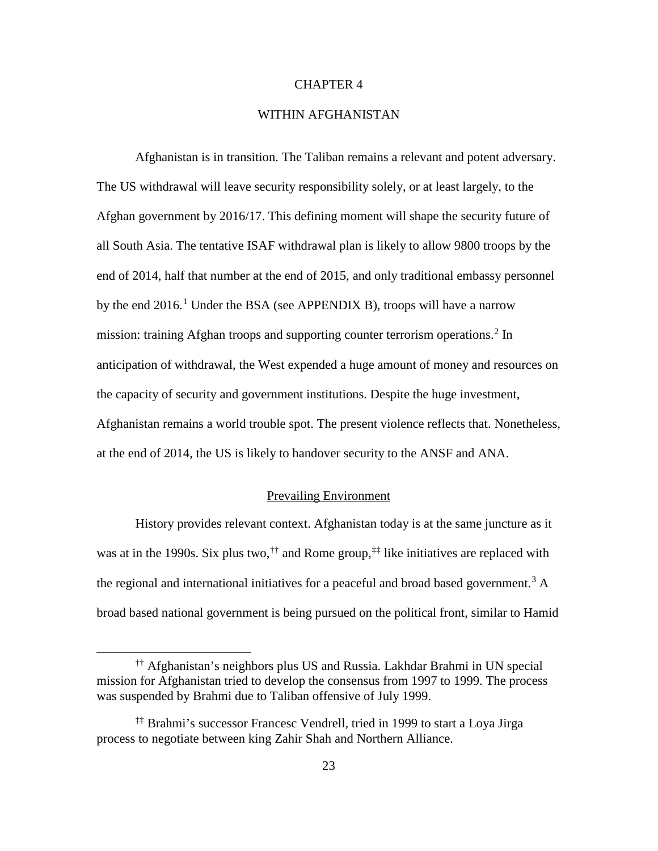### CHAPTER 4

### WITHIN AFGHANISTAN

<span id="page-31-3"></span><span id="page-31-2"></span>Afghanistan is in transition. The Taliban remains a relevant and potent adversary. The US withdrawal will leave security responsibility solely, or at least largely, to the Afghan government by 2016/17. This defining moment will shape the security future of all South Asia. The tentative ISAF withdrawal plan is likely to allow 9800 troops by the end of 2014, half that number at the end of 2015, and only traditional embassy personnel by the end  $2016$  $2016$  $2016$ .<sup>1</sup> Under the BSA (see APPENDIX B), troops will have a narrow mission: training Afghan troops and supporting counter terrorism operations.<sup>[2](#page-58-1)</sup> In anticipation of withdrawal, the West expended a huge amount of money and resources on the capacity of security and government institutions. Despite the huge investment, Afghanistan remains a world trouble spot. The present violence reflects that. Nonetheless, at the end of 2014, the US is likely to handover security to the ANSF and ANA.

### Prevailing Environment

History provides relevant context. Afghanistan today is at the same juncture as it was at in the 1990s. Six plus two,  $\phi^{\dagger}$  and Rome group,  $\phi^{\dagger}$  like initiatives are replaced with the regional and international initiatives for a peaceful and broad based government.<sup>[3](#page-58-2)</sup> A broad based national government is being pursued on the political front, similar to Hamid

<span id="page-31-0"></span> $\overline{a}$ 

<span id="page-31-4"></span><sup>††</sup> Afghanistan's neighbors plus US and Russia. Lakhdar Brahmi in UN special mission for Afghanistan tried to develop the consensus from 1997 to 1999. The process was suspended by Brahmi due to Taliban offensive of July 1999.

<span id="page-31-5"></span><span id="page-31-1"></span><sup>‡‡</sup> Brahmi's successor Francesc Vendrell, tried in 1999 to start a Loya Jirga process to negotiate between king Zahir Shah and Northern Alliance.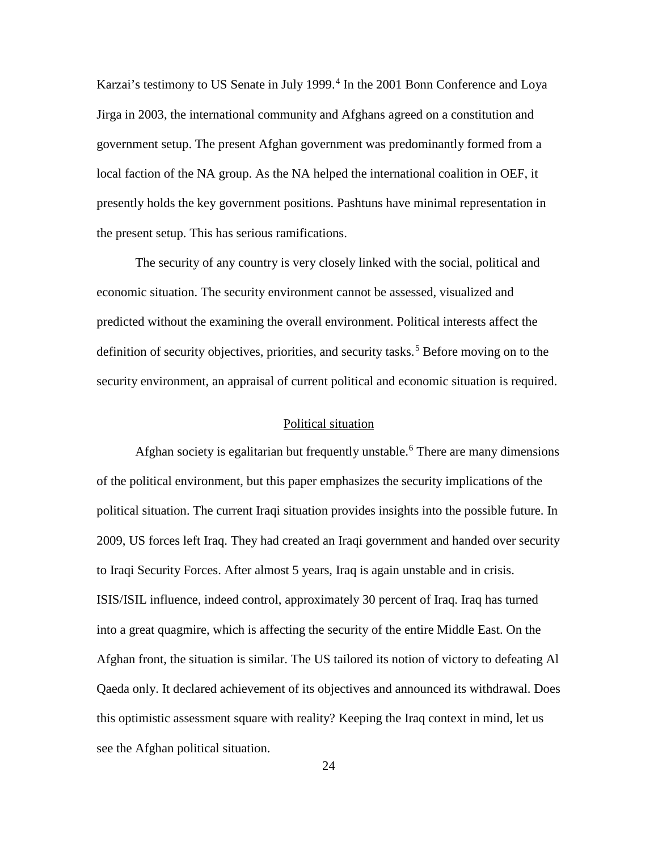<span id="page-32-0"></span>Karzai's testimony to US Senate in July 1999.<sup>[4](#page-59-0)</sup> In the 2001 Bonn Conference and Loya Jirga in 2003, the international community and Afghans agreed on a constitution and government setup. The present Afghan government was predominantly formed from a local faction of the NA group. As the NA helped the international coalition in OEF, it presently holds the key government positions. Pashtuns have minimal representation in the present setup. This has serious ramifications.

<span id="page-32-4"></span><span id="page-32-3"></span><span id="page-32-2"></span><span id="page-32-1"></span>The security of any country is very closely linked with the social, political and economic situation. The security environment cannot be assessed, visualized and predicted without the examining the overall environment. Political interests affect the definition of security objectives, priorities, and security tasks.<sup>[5](#page-59-1)</sup> Before moving on to the security environment, an appraisal of current political and economic situation is required.

### Political situation

Afghan society is egalitarian but frequently unstable. [6](#page-59-2) There are many dimensions of the political environment, but this paper emphasizes the security implications of the political situation. The current Iraqi situation provides insights into the possible future. In 2009, US forces left Iraq. They had created an Iraqi government and handed over security to Iraqi Security Forces. After almost 5 years, Iraq is again unstable and in crisis. ISIS/ISIL influence, indeed control, approximately 30 percent of Iraq. Iraq has turned into a great quagmire, which is affecting the security of the entire Middle East. On the Afghan front, the situation is similar. The US tailored its notion of victory to defeating Al Qaeda only. It declared achievement of its objectives and announced its withdrawal. Does this optimistic assessment square with reality? Keeping the Iraq context in mind, let us see the Afghan political situation.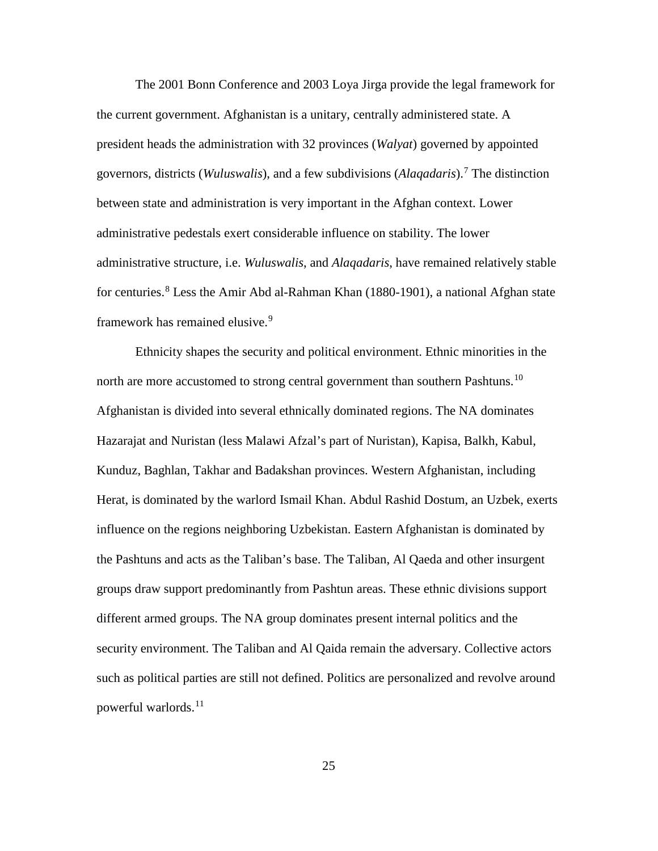The 2001 Bonn Conference and 2003 Loya Jirga provide the legal framework for the current government. Afghanistan is a unitary, centrally administered state. A president heads the administration with 32 provinces (*Walyat*) governed by appointed governors, districts (*Wuluswalis*), and a few subdivisions (*Alaqadaris*).[7](#page-60-0) The distinction between state and administration is very important in the Afghan context. Lower administrative pedestals exert considerable influence on stability. The lower administrative structure, i.e. *Wuluswalis*, and *Alaqadaris*, have remained relatively stable for centuries.<sup>[8](#page-60-1)</sup> Less the Amir Abd al-Rahman Khan (1880-1901), a national Afghan state framework has remained elusive.<sup>[9](#page-60-2)</sup>

<span id="page-33-4"></span><span id="page-33-3"></span><span id="page-33-2"></span><span id="page-33-1"></span><span id="page-33-0"></span>Ethnicity shapes the security and political environment. Ethnic minorities in the north are more accustomed to strong central government than southern Pashtuns.<sup>[10](#page-60-3)</sup> Afghanistan is divided into several ethnically dominated regions. The NA dominates Hazarajat and Nuristan (less Malawi Afzal's part of Nuristan), Kapisa, Balkh, Kabul, Kunduz, Baghlan, Takhar and Badakshan provinces. Western Afghanistan, including Herat, is dominated by the warlord Ismail Khan. Abdul Rashid Dostum, an Uzbek, exerts influence on the regions neighboring Uzbekistan. Eastern Afghanistan is dominated by the Pashtuns and acts as the Taliban's base. The Taliban, Al Qaeda and other insurgent groups draw support predominantly from Pashtun areas. These ethnic divisions support different armed groups. The NA group dominates present internal politics and the security environment. The Taliban and Al Qaida remain the adversary. Collective actors such as political parties are still not defined. Politics are personalized and revolve around powerful warlords.<sup>[11](#page-60-4)</sup>

25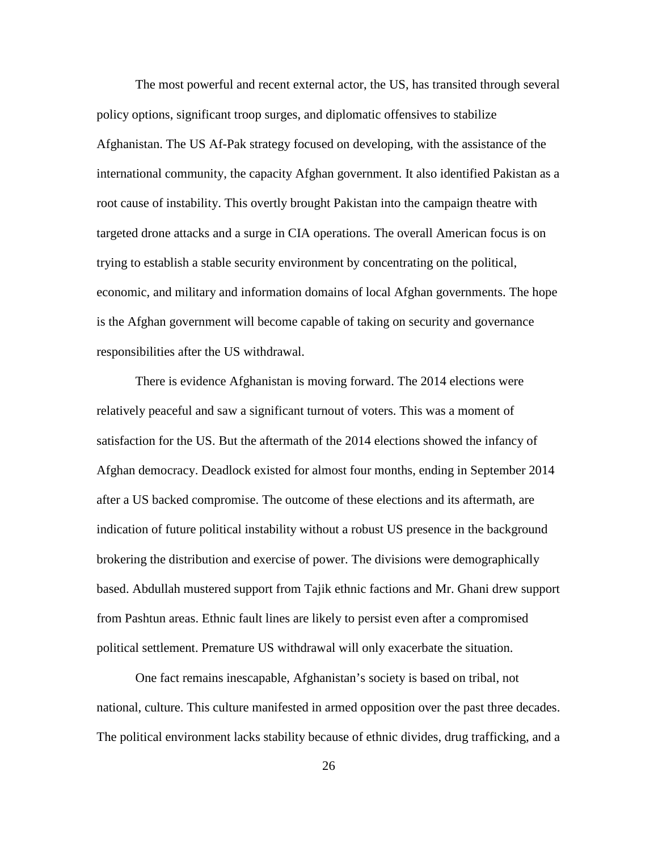<span id="page-34-6"></span><span id="page-34-5"></span><span id="page-34-4"></span>The most powerful and recent external actor, the US, has transited through several policy options, significant troop surges, and diplomatic offensives to stabilize Afghanistan. The US Af-Pak strategy focused on developing, with the assistance of the international community, the capacity Afghan government. It also identified Pakistan as a root cause of instability. This overtly brought Pakistan into the campaign theatre with targeted drone attacks and a surge in CIA operations. The overall American focus is on trying to establish a stable security environment by concentrating on the political, economic, and military and information domains of local Afghan governments. The hope is the Afghan government will become capable of taking on security and governance responsibilities after the US withdrawal.

<span id="page-34-8"></span><span id="page-34-7"></span>There is evidence Afghanistan is moving forward. The 2014 elections were relatively peaceful and saw a significant turnout of voters. This was a moment of satisfaction for the US. But the aftermath of the 2014 elections showed the infancy of Afghan democracy. Deadlock existed for almost four months, ending in September 2014 after a US backed compromise. The outcome of these elections and its aftermath, are indication of future political instability without a robust US presence in the background brokering the distribution and exercise of power. The divisions were demographically based. Abdullah mustered support from Tajik ethnic factions and Mr. Ghani drew support from Pashtun areas. Ethnic fault lines are likely to persist even after a compromised political settlement. Premature US withdrawal will only exacerbate the situation.

<span id="page-34-3"></span><span id="page-34-2"></span><span id="page-34-1"></span><span id="page-34-0"></span>One fact remains inescapable, Afghanistan's society is based on tribal, not national, culture. This culture manifested in armed opposition over the past three decades. The political environment lacks stability because of ethnic divides, drug trafficking, and a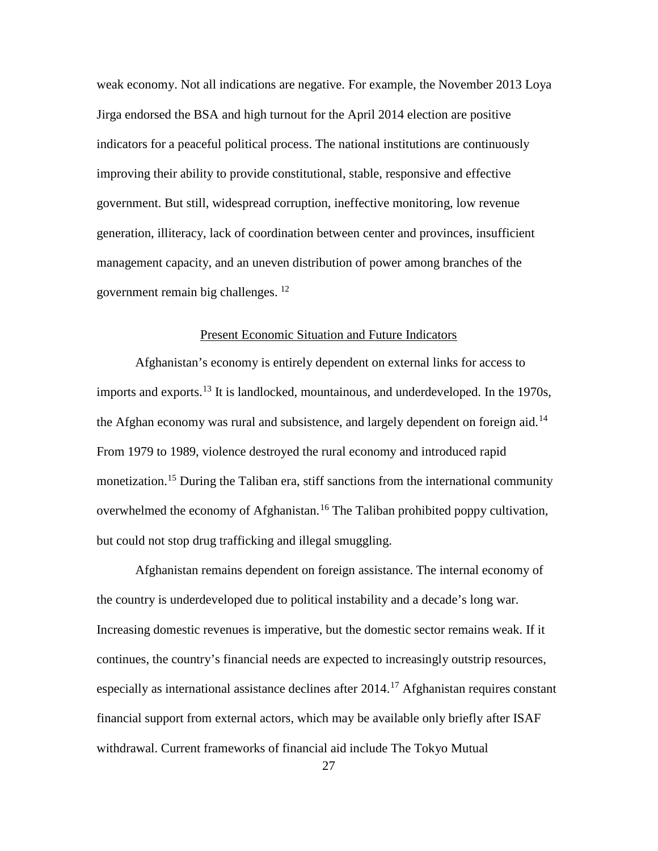weak economy. Not all indications are negative. For example, the November 2013 Loya Jirga endorsed the BSA and high turnout for the April 2014 election are positive indicators for a peaceful political process. The national institutions are continuously improving their ability to provide constitutional, stable, responsive and effective government. But still, widespread corruption, ineffective monitoring, low revenue generation, illiteracy, lack of coordination between center and provinces, insufficient management capacity, and an uneven distribution of power among branches of the government remain big challenges. [12](#page-61-0)

### Present Economic Situation and Future Indicators

<span id="page-35-2"></span><span id="page-35-1"></span><span id="page-35-0"></span>Afghanistan's economy is entirely dependent on external links for access to imports and exports.<sup>[13](#page-61-1)</sup> It is landlocked, mountainous, and underdeveloped. In the 1970s, the Afghan economy was rural and subsistence, and largely dependent on foreign aid.<sup>[14](#page-61-2)</sup> From 1979 to 1989, violence destroyed the rural economy and introduced rapid monetization.<sup>[15](#page-61-3)</sup> During the Taliban era, stiff sanctions from the international community overwhelmed the economy of Afghanistan.<sup>[16](#page-61-4)</sup> The Taliban prohibited poppy cultivation, but could not stop drug trafficking and illegal smuggling.

<span id="page-35-7"></span><span id="page-35-6"></span><span id="page-35-5"></span><span id="page-35-4"></span><span id="page-35-3"></span>Afghanistan remains dependent on foreign assistance. The internal economy of the country is underdeveloped due to political instability and a decade's long war. Increasing domestic revenues is imperative, but the domestic sector remains weak. If it continues, the country's financial needs are expected to increasingly outstrip resources, especially as international assistance declines after 2014.<sup>[17](#page-61-5)</sup> Afghanistan requires constant financial support from external actors, which may be available only briefly after ISAF withdrawal. Current frameworks of financial aid include The Tokyo Mutual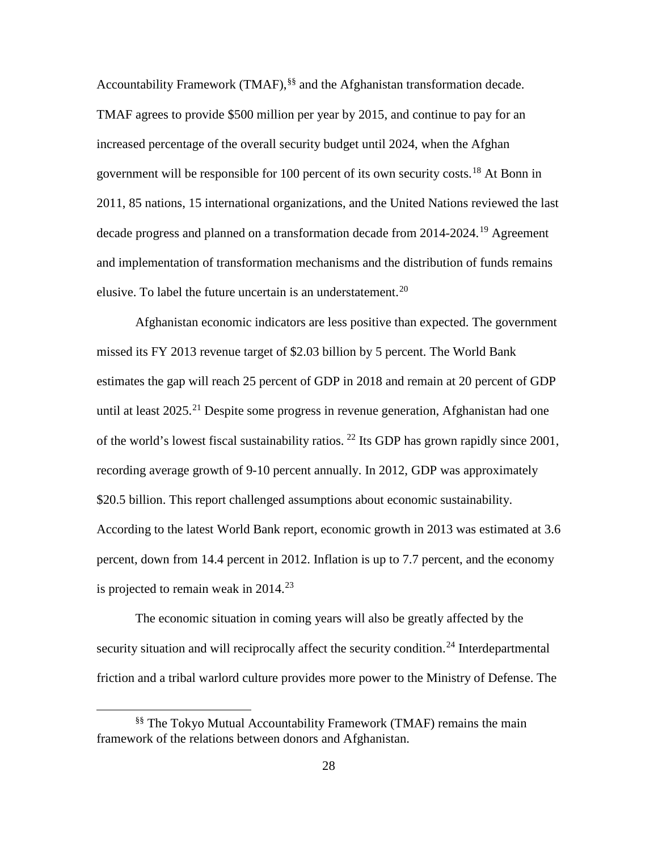Accountability Framework (TMAF), [§§](#page-36-0) and the Afghanistan transformation decade. TMAF agrees to provide \$500 million per year by 2015, and continue to pay for an increased percentage of the overall security budget until 2024, when the Afghan government will be responsible for 100 percent of its own security costs.[18](#page-62-0) At Bonn in 2011, 85 nations, 15 international organizations, and the United Nations reviewed the last decade progress and planned on a transformation decade from 2014-2024.<sup>[19](#page-62-1)</sup> Agreement and implementation of transformation mechanisms and the distribution of funds remains elusive. To label the future uncertain is an understatement.<sup>[20](#page-62-2)</sup>

Afghanistan economic indicators are less positive than expected. The government missed its FY 2013 revenue target of \$2.03 billion by 5 percent. The World Bank estimates the gap will reach 25 percent of GDP in 2018 and remain at 20 percent of GDP until at least  $2025$ <sup>[21](#page-62-3)</sup> Despite some progress in revenue generation, Afghanistan had one of the world's lowest fiscal sustainability ratios. <sup>[22](#page-62-4)</sup> Its GDP has grown rapidly since 2001, recording average growth of 9-10 percent annually. In 2012, GDP was approximately \$20.5 billion. This report challenged assumptions about economic sustainability. According to the latest World Bank report, economic growth in 2013 was estimated at 3.6 percent, down from 14.4 percent in 2012. Inflation is up to 7.7 percent, and the economy is projected to remain weak in  $2014.<sup>23</sup>$  $2014.<sup>23</sup>$  $2014.<sup>23</sup>$ 

The economic situation in coming years will also be greatly affected by the security situation and will reciprocally affect the security condition.<sup>[24](#page-62-6)</sup> Interdepartmental friction and a tribal warlord culture provides more power to the Ministry of Defense. The

<span id="page-36-0"></span><sup>§§</sup> The Tokyo Mutual Accountability Framework (TMAF) remains the main framework of the relations between donors and Afghanistan.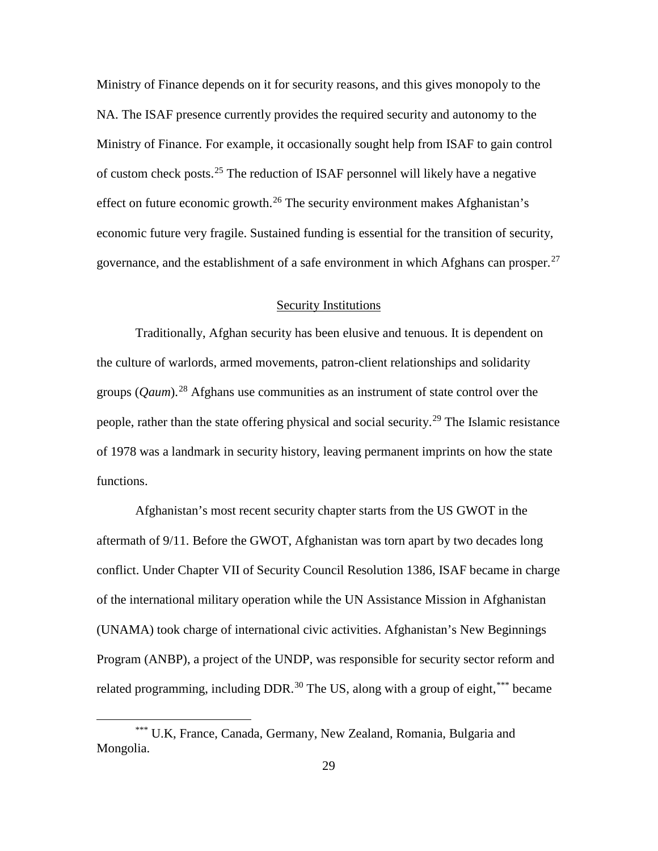Ministry of Finance depends on it for security reasons, and this gives monopoly to the NA. The ISAF presence currently provides the required security and autonomy to the Ministry of Finance. For example, it occasionally sought help from ISAF to gain control of custom check posts.<sup>[25](#page-63-0)</sup> The reduction of ISAF personnel will likely have a negative effect on future economic growth.<sup>[26](#page-63-1)</sup> The security environment makes Afghanistan's economic future very fragile. Sustained funding is essential for the transition of security, governance, and the establishment of a safe environment in which Afghans can prosper.<sup>[27](#page-63-2)</sup>

# Security Institutions

Traditionally, Afghan security has been elusive and tenuous. It is dependent on the culture of warlords, armed movements, patron-client relationships and solidarity groups (*Qaum*).[28](#page-63-3) Afghans use communities as an instrument of state control over the people, rather than the state offering physical and social security.<sup>[29](#page-63-4)</sup> The Islamic resistance of 1978 was a landmark in security history, leaving permanent imprints on how the state functions.

Afghanistan's most recent security chapter starts from the US GWOT in the aftermath of 9/11. Before the GWOT, Afghanistan was torn apart by two decades long conflict. Under Chapter VII of Security Council Resolution 1386, ISAF became in charge of the international military operation while the UN Assistance Mission in Afghanistan (UNAMA) took charge of international civic activities. Afghanistan's New Beginnings Program (ANBP), a project of the UNDP, was responsible for security sector reform and related programming, including DDR.<sup>[30](#page-63-5)</sup> The US, along with a group of eight, [\\*\\*\\*](#page-37-0) became

<span id="page-37-0"></span><sup>\*\*\*</sup> U.K, France, Canada, Germany, New Zealand, Romania, Bulgaria and Mongolia.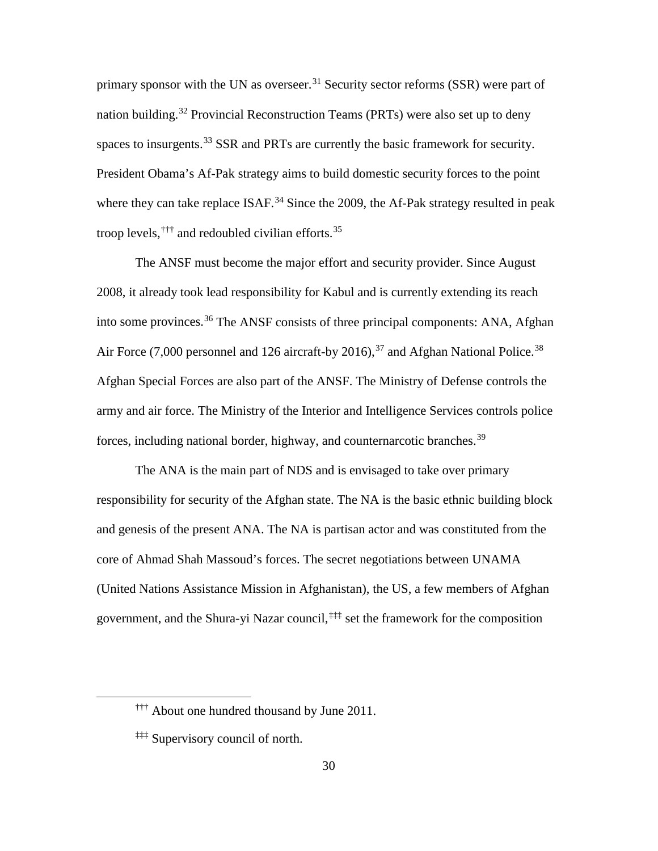primary sponsor with the UN as overseer.<sup>[31](#page-64-0)</sup> Security sector reforms (SSR) were part of nation building.<sup>[32](#page-64-1)</sup> Provincial Reconstruction Teams (PRTs) were also set up to deny spaces to insurgents.<sup>[33](#page-64-2)</sup> SSR and PRTs are currently the basic framework for security. President Obama's Af-Pak strategy aims to build domestic security forces to the point where they can take replace ISAF.<sup>[34](#page-64-3)</sup> Since the 2009, the Af-Pak strategy resulted in peak troop levels, <sup>[†††](#page-38-0)</sup> and redoubled [civilian](http://www.washingtonpost.com/blogs/checkpoint-washington/post/cost-of-civilian-surge-in-afghanistan-17-billion/2011/09/08/gIQARu9qCK_blog.html) efforts.<sup>[35](#page-64-4)</sup>

The ANSF must become the major effort and security provider. Since August 2008, it already took lead responsibility for Kabul and is currently extending its reach into some provinces.<sup>[36](#page-64-5)</sup> The ANSF consists of three principal components: ANA, Afghan Air Force (7,000 personnel and 126 aircraft-by 2016),  $37$  and Afghan National Police.  $38$ Afghan Special Forces are also part of the ANSF. The Ministry of Defense controls the army and air force. The Ministry of the Interior and Intelligence Services controls police forces, including national border, highway, and counternarcotic branches.<sup>[39](#page-64-8)</sup>

The ANA is the main part of NDS and is envisaged to take over primary responsibility for security of the Afghan state. The NA is the basic ethnic building block and genesis of the present ANA. The NA is partisan actor and was constituted from the core of Ahmad Shah Massoud's forces. The secret negotiations between UNAMA (United Nations Assistance Mission in Afghanistan), the US, a few members of Afghan government, and the Shura-yi Nazar council, [‡‡‡](#page-38-1) set the framework for the composition

<span id="page-38-0"></span><sup>&</sup>lt;sup>†††</sup> About one hundred thousand by June 2011.

<span id="page-38-1"></span><sup>‡‡‡</sup> Supervisory council of north.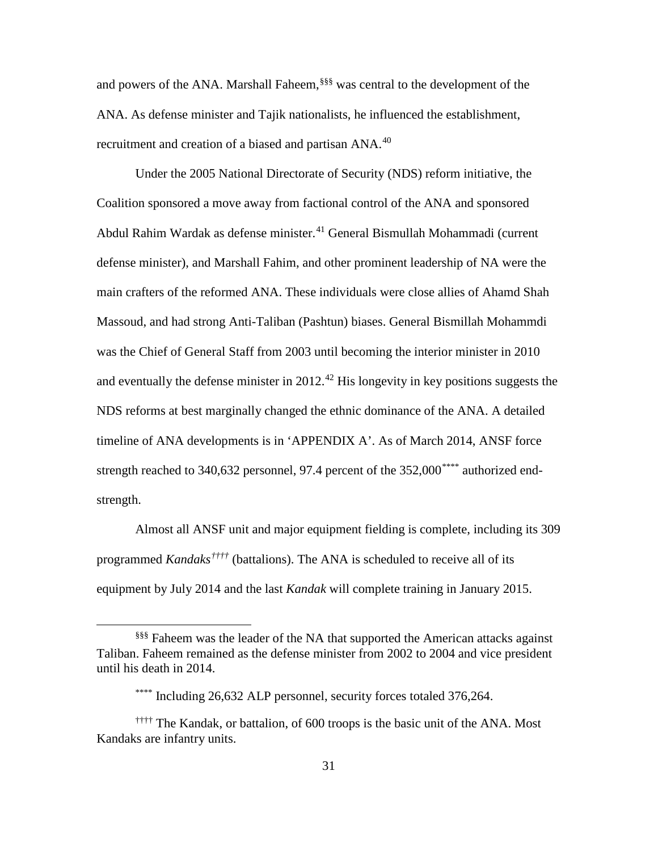and powers of the ANA. Marshall Faheem, [§§§](#page-39-0) was central to the development of the ANA. As defense minister and Tajik nationalists, he influenced the establishment, recruitment and creation of a biased and partisan ANA.<sup>[40](#page-65-0)</sup>

Under the 2005 National Directorate of Security (NDS) reform initiative, the Coalition sponsored a move away from factional control of the ANA and sponsored Abdul Rahim Wardak as defense minister.<sup>[41](#page-65-1)</sup> General Bismullah Mohammadi (current defense minister), and Marshall Fahim, and other prominent leadership of NA were the main crafters of the reformed ANA. These individuals were close allies of Ahamd Shah Massoud, and had strong Anti-Taliban (Pashtun) biases. General Bismillah Mohammdi was the Chief of General Staff from 2003 until becoming the interior minister in 2010 and eventually the defense minister in  $2012<sup>42</sup>$  $2012<sup>42</sup>$  $2012<sup>42</sup>$  His longevity in key positions suggests the NDS reforms at best marginally changed the ethnic dominance of the ANA. A detailed timeline of ANA developments is in 'APPENDIX A'. As of March 2014, ANSF force strength reached to 340,632 personnel, 97.4 percent of the 352,000<sup>[\\*\\*\\*\\*](#page-39-1)</sup> authorized endstrength.

Almost all ANSF unit and major equipment fielding is complete, including its 309 programmed *Kandaks[††††](#page-39-2)* (battalions). The ANA is scheduled to receive all of its equipment by July 2014 and the last *Kandak* will complete training in January 2015.

<span id="page-39-0"></span><sup>§§§</sup> Faheem was the leader of the NA that supported the American attacks against Taliban. Faheem remained as the defense minister from 2002 to 2004 and vice president until his death in 2014.

<sup>\*\*\*\*</sup> Including 26,632 ALP personnel, security forces totaled 376,264.

<span id="page-39-2"></span><span id="page-39-1"></span><sup>††††</sup> The Kandak, or battalion, of 600 troops is the basic unit of the ANA. Most Kandaks are infantry units.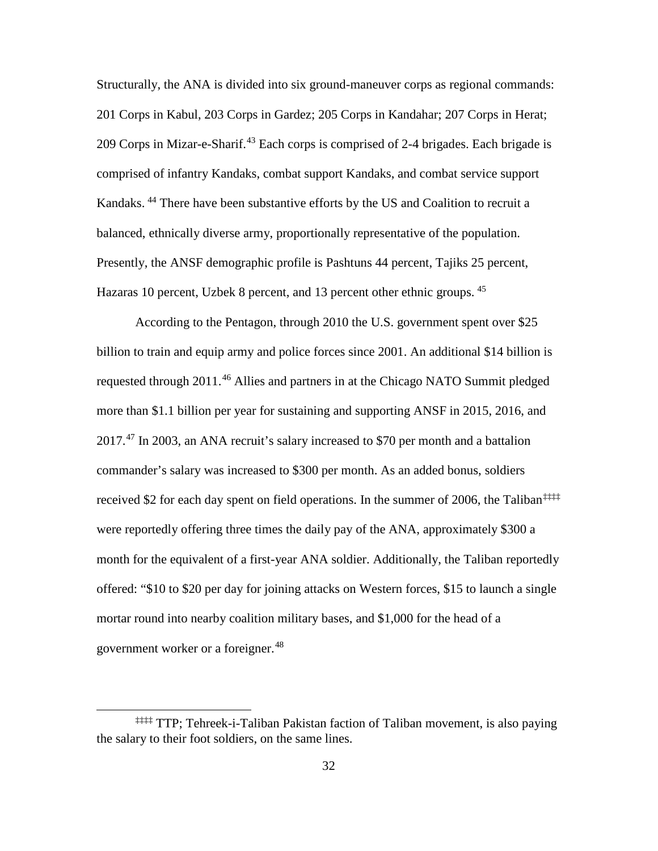Structurally, the ANA is divided into six ground-maneuver corps as regional commands: 201 Corps in Kabul, 203 Corps in Gardez; 205 Corps in Kandahar; 207 Corps in Herat; 209 Corps in Mizar-e-Sharif.<sup>[43](#page-66-0)</sup> Each corps is comprised of 2-4 brigades. Each brigade is comprised of infantry Kandaks, combat support Kandaks, and combat service support Kandaks.<sup>[44](#page-66-1)</sup> There have been substantive efforts by the US and Coalition to recruit a balanced, ethnically diverse army, proportionally representative of the population. Presently, the ANSF demographic profile is Pashtuns 44 percent, Tajiks 25 percent, Hazaras 10 percent, Uzbek 8 percent, and 13 percent other ethnic groups. <sup>[45](#page-66-2)</sup>

According to the Pentagon, through 2010 the U.S. government spent over \$25 billion to train and equip army and police forces since 2001. An additional \$14 billion is requested through 2011.[46](#page-66-3) Allies and partners in at the Chicago NATO Summit pledged more than \$1.1 billion per year for sustaining and supporting ANSF in 2015, 2016, and 2017.[47](#page-66-4) In 2003, an ANA recruit's salary increased to \$70 per month and a battalion commander's salary was increased to \$300 per month. As an added bonus, soldiers received \$2 for each day spent on field operations. In the summer of 2006, the Taliban<sup>[‡‡‡‡](#page-40-0)</sup> were reportedly offering three times the daily pay of the ANA, approximately \$300 a month for the equivalent of a first-year ANA soldier. Additionally, the Taliban reportedly offered: "\$10 to \$20 per day for joining attacks on Western forces, \$15 to launch a single mortar round into nearby coalition military bases, and \$1,000 for the head of a government worker or a foreigner.<sup>[48](#page-66-5)</sup>

<span id="page-40-0"></span><sup>‡‡‡‡</sup> TTP; Tehreek-i-Taliban Pakistan faction of Taliban movement, is also paying the salary to their foot soldiers, on the same lines.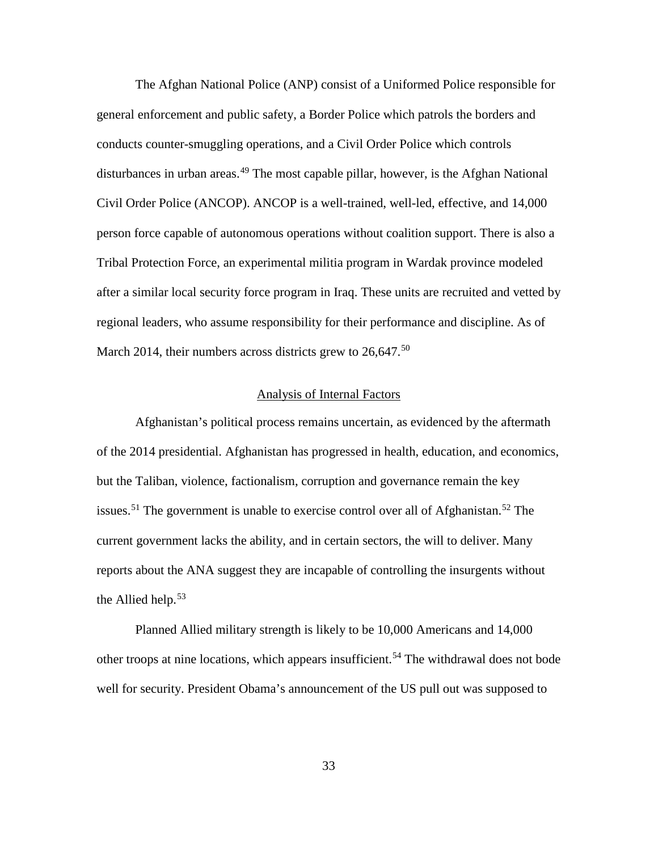The Afghan National Police (ANP) consist of a Uniformed Police responsible for general enforcement and public safety, a Border Police which patrols the borders and conducts counter-smuggling operations, and a Civil Order Police which controls disturbances in urban areas.<sup>[49](#page-67-0)</sup> The most capable pillar, however, is the Afghan National Civil Order Police (ANCOP). ANCOP is a well-trained, well-led, effective, and 14,000 person force capable of autonomous operations without coalition support. There is also a Tribal Protection Force, an experimental militia program in Wardak province modeled after a similar local security force program in Iraq. These units are recruited and vetted by regional leaders, who assume responsibility for their performance and discipline. As of March 2014, their numbers across districts grew to  $26,647.^{50}$  $26,647.^{50}$  $26,647.^{50}$ 

#### Analysis of Internal Factors

Afghanistan's political process remains uncertain, as evidenced by the aftermath of the 2014 presidential. Afghanistan has progressed in health, education, and economics, but the Taliban, violence, factionalism, corruption and governance remain the key issues.<sup>[51](#page-67-2)</sup> The government is unable to exercise control over all of Afghanistan.<sup>[52](#page-67-3)</sup> The current government lacks the ability, and in certain sectors, the will to deliver. Many reports about the ANA suggest they are incapable of controlling the insurgents without the Allied help.<sup>[53](#page-67-4)</sup>

Planned Allied military strength is likely to be 10,000 Americans and 14,000 other troops at nine locations, which appears insufficient.<sup>[54](#page-67-5)</sup> The withdrawal does not bode well for security. President Obama's announcement of the US pull out was supposed to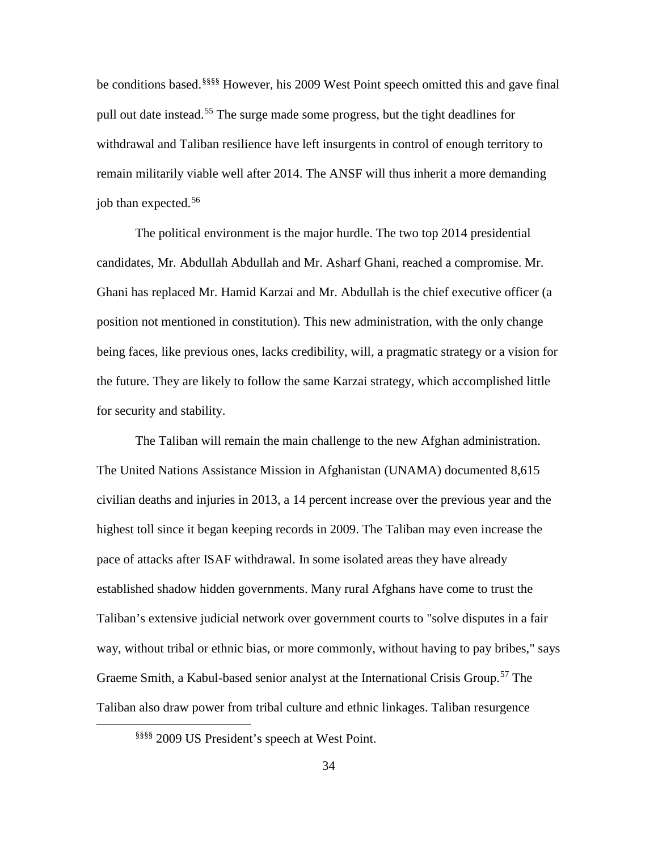be conditions based.<sup>[§§§§](#page-42-0)§</sup> However, his 2009 West Point speech omitted this and gave final pull out date instead.<sup>[55](#page-68-0)</sup> The surge made some progress, but the tight deadlines for withdrawal and Taliban resilience have left insurgents in control of enough territory to remain militarily viable well after 2014. The ANSF will thus inherit a more demanding job than expected.<sup>[56](#page-68-1)</sup>

The political environment is the major hurdle. The two top 2014 presidential candidates, Mr. Abdullah Abdullah and Mr. Asharf Ghani, reached a compromise. Mr. Ghani has replaced Mr. Hamid Karzai and Mr. Abdullah is the chief executive officer (a position not mentioned in constitution). This new administration, with the only change being faces, like previous ones, lacks credibility, will, a pragmatic strategy or a vision for the future. They are likely to follow the same Karzai strategy, which accomplished little for security and stability.

The Taliban will remain the main challenge to the new Afghan administration. The United Nations Assistance Mission in Afghanistan (UNAMA) documented [8,615](http://unama.unmissions.org/Portals/UNAMA/human%20rights/Feb_8_2014_PoC-report_2013-Full-report-ENG.pdf) [civilian](http://unama.unmissions.org/Portals/UNAMA/human%20rights/Feb_8_2014_PoC-report_2013-Full-report-ENG.pdf) deaths and injuries in 2013, a 14 percent increase over the previous year and the highest toll since it began keeping records in 2009. The Taliban may even increase the pace of attacks after ISAF withdrawal. In some isolated areas they have already established shadow hidden governments. Many rural Afghans have come to trust the Taliban's extensive judicial [network](http://www.iwaweb.org/_docs/reports/research/shadow_justice-how_the_taliban_run_their_judiciary.pdf) over government courts to "solve disputes in a fair way, without tribal or ethnic bias, or more commonly, without having to pay bribes," says [Graeme](http://www.crisisgroup.org/en/about/staff/field/asia/smith-graeme.aspx) Smith, a Kabul-based senior analyst at the International Crisis Group.<sup>[57](#page-68-2)</sup> The Taliban also draw power from tribal culture and ethnic linkages. Taliban resurgence

<span id="page-42-0"></span>§§§§ 2009 US President's speech at West Point.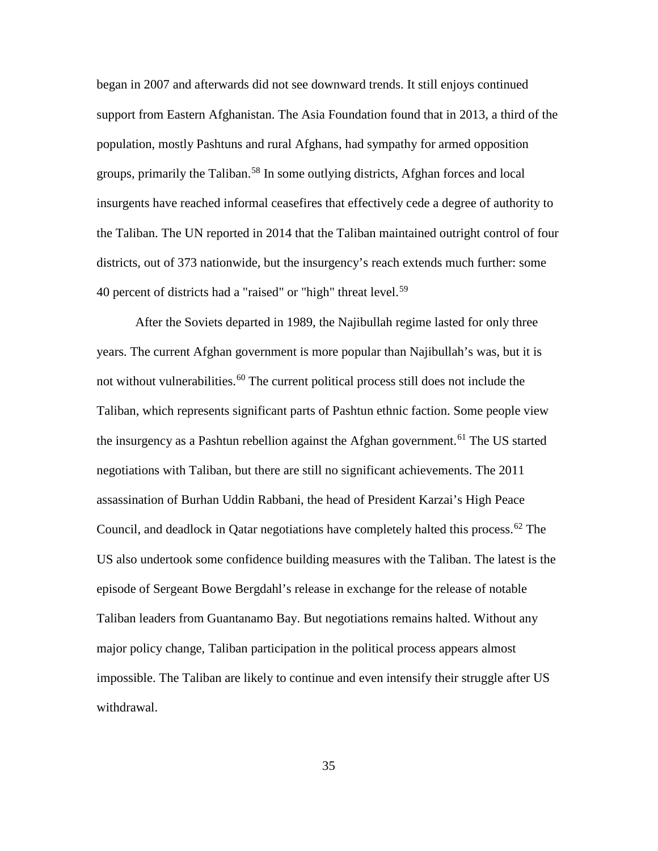began in 2007 and afterwards did not see downward trends. It still enjoys continued support from Eastern Afghanistan. The Asia [Foundation](http://asiafoundation.org/country/afghanistan/2013-poll.php) found that in 2013, a third of the population, mostly Pashtuns and rural Afghans, had sympathy for armed opposition groups, primarily the Taliban.<sup>[58](#page-69-0)</sup> In some outlying districts, Afghan forces and local insurgents have reached informal ceasefires that effectively cede a degree of authority to the Taliban. The UN reported in 2014 that the Taliban maintained outright control of four districts, out of 373 nationwide, but the insurgency's reach extends much further: some 40 percent of districts had a "raised" or "high" threat level.<sup>[59](#page-69-1)</sup>

After the Soviets departed in 1989, the Najibullah regime lasted for only three years. The current Afghan government is more popular than Najibullah's was, but it is not without vulnerabilities.<sup>[60](#page-69-2)</sup> The current political process still does not include the Taliban, which represents significant parts of Pashtun ethnic faction. Some people view the insurgency as a Pashtun rebellion against the Afghan government.<sup>[61](#page-69-3)</sup> The US started negotiations with Taliban, but there are still no significant achievements. The 2011 assassination of Burhan Uddin Rabbani, the head of President Karzai's High Peace Council, and deadlock in Qatar negotiations have completely halted this process.<sup>[62](#page-69-4)</sup> The US also undertook some confidence building measures with the Taliban. The latest is the episode of Sergeant Bowe Bergdahl's release in exchange for the release of notable Taliban leaders from Guantanamo Bay. But negotiations remains halted. Without any major policy change, Taliban participation in the political process appears almost impossible. The Taliban are likely to continue and even intensify their struggle after US withdrawal.

35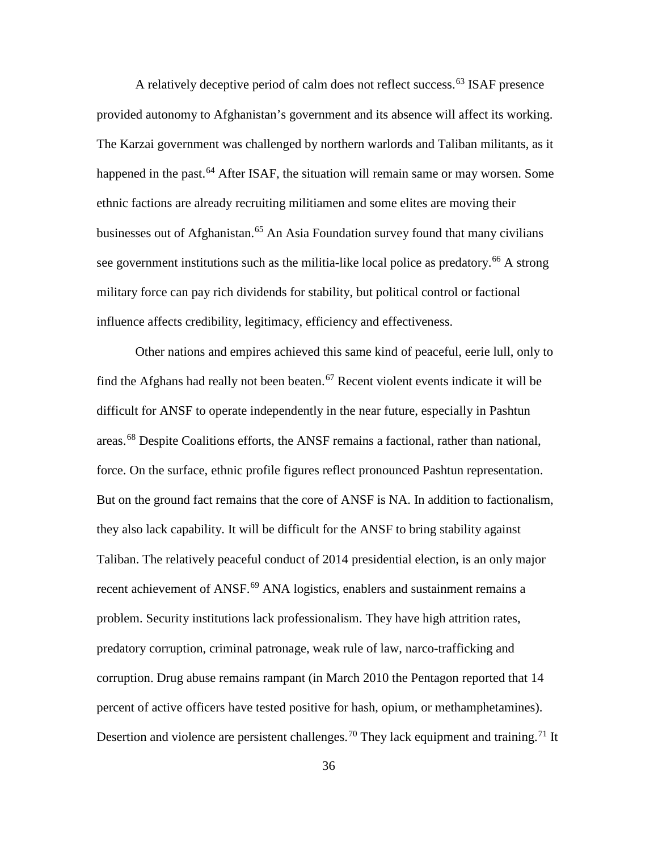A relatively deceptive period of calm does not reflect success.<sup>[63](#page-70-0)</sup> ISAF presence provided autonomy to Afghanistan's government and its absence will affect its working. The Karzai government was challenged by northern warlords and Taliban militants, as it happened in the past.<sup>[64](#page-70-1)</sup> After ISAF, the situation will remain same or may worsen. Some ethnic factions are already recruiting militiamen and some elites are moving their businesses out of Afghanistan.<sup>[65](#page-70-2)</sup> An Asia Foundation survey found that many civilians see government institutions such as the militia-like local police as predatory.<sup>[66](#page-70-3)</sup> A strong military force can pay rich dividends for stability, but political control or factional influence affects credibility, legitimacy, efficiency and effectiveness.

Other nations and empires achieved this same kind of peaceful, eerie lull, only to find the Afghans had really not been beaten.<sup>[67](#page-70-4)</sup> Recent violent events indicate it will be difficult for ANSF to operate independently in the near future, especially in Pashtun areas.[68](#page-70-5) Despite Coalitions efforts, the ANSF remains a factional, rather than national, force. On the surface, ethnic profile figures reflect pronounced Pashtun representation. But on the ground fact remains that the core of ANSF is NA. In addition to factionalism, they also lack capability. It will be difficult for the ANSF to bring stability against Taliban. The relatively peaceful conduct of 2014 presidential election, is an only major recent achievement of ANSF.<sup>[69](#page-70-6)</sup> ANA logistics, enablers and sustainment remains a problem. Security institutions lack professionalism. They have high attrition rates, predatory corruption, criminal patronage, weak rule of law, narco-trafficking and corruption. Drug abuse remains rampant (in March 2010 the Pentagon reported that 14 percent of active officers have tested positive for hash, opium, or methamphetamines). Desertion and violence are persistent challenges.<sup>[70](#page-70-7)</sup> They lack equipment and training.<sup>[71](#page-70-8)</sup> It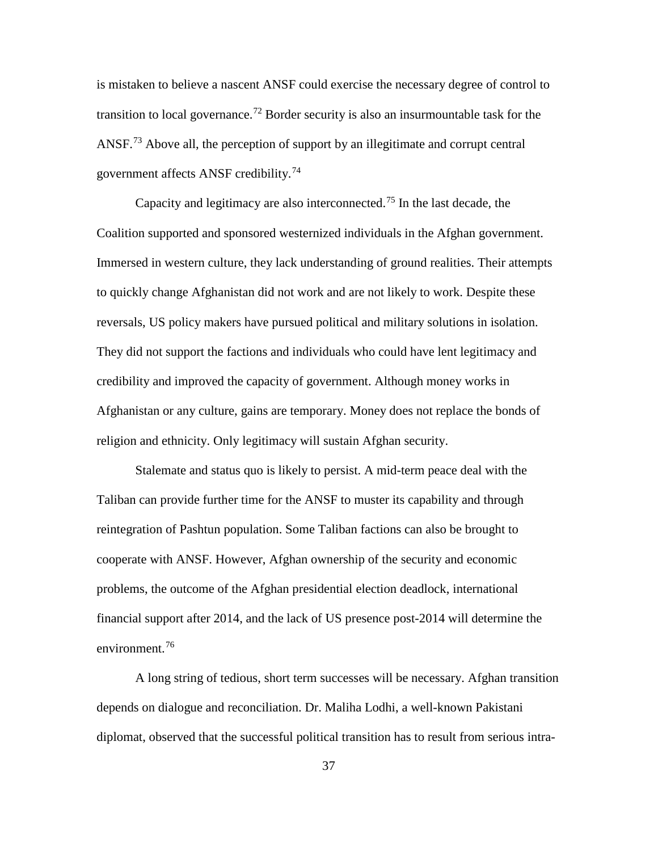is mistaken to believe a nascent ANSF could exercise the necessary degree of control to transition to local governance.<sup>[72](#page-71-0)</sup> Border security is also an insurmountable task for the ANSF.<sup>[73](#page-71-1)</sup> Above all, the perception of support by an illegitimate and corrupt central government affects ANSF credibility.<sup>[74](#page-71-2)</sup>

Capacity and legitimacy are also interconnected.<sup>[75](#page-71-3)</sup> In the last decade, the Coalition supported and sponsored westernized individuals in the Afghan government. Immersed in western culture, they lack understanding of ground realities. Their attempts to quickly change Afghanistan did not work and are not likely to work. Despite these reversals, US policy makers have pursued political and military solutions in isolation. They did not support the factions and individuals who could have lent legitimacy and credibility and improved the capacity of government. Although money works in Afghanistan or any culture, gains are temporary. Money does not replace the bonds of religion and ethnicity. Only legitimacy will sustain Afghan security.

Stalemate and status quo is likely to persist. A mid-term peace deal with the Taliban can provide further time for the ANSF to muster its capability and through reintegration of Pashtun population. Some Taliban factions can also be brought to cooperate with ANSF. However, Afghan ownership of the security and economic problems, the outcome of the Afghan presidential election deadlock, international financial support after 2014, and the lack of US presence post-2014 will determine the environment.<sup>[76](#page-71-4)</sup>

A long string of tedious, short term successes will be necessary. Afghan transition depends on dialogue and reconciliation. Dr. Maliha Lodhi, a well-known Pakistani diplomat, observed that the successful political transition has to result from serious intra-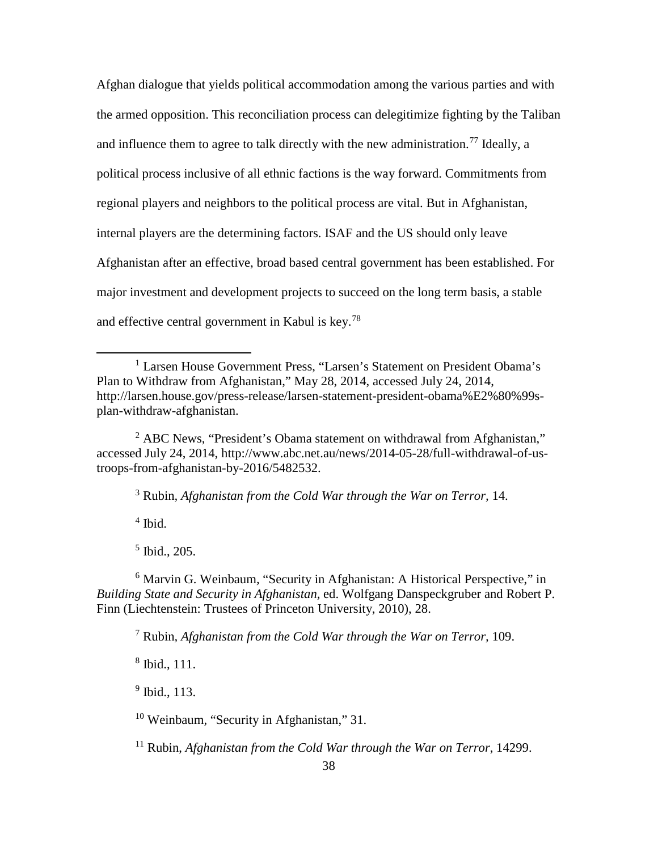Afghan dialogue that yields political accommodation among the various parties and with the armed opposition. This reconciliation process can delegitimize fighting by the Taliban and influence them to agree to talk directly with the new administration.<sup>[77](#page-72-0)</sup> Ideally, a political process inclusive of all ethnic factions is the way forward. Commitments from regional players and neighbors to the political process are vital. But in Afghanistan, internal players are the determining factors. ISAF and the US should only leave Afghanistan after an effective, broad based central government has been established. For major investment and development projects to succeed on the long term basis, a stable and effective central government in Kabul is key.[78](#page-72-1)

<sup>2</sup> ABC News, "President's Obama statement on withdrawal from Afghanistan," accessed July 24, 2014, http://www.abc.net.au/news/2014-05-28/full-withdrawal-of-ustroops-from-afghanistan-by-2016/5482532.

<sup>3</sup> Rubin*, Afghanistan from the Cold War through the War on Terror,* 14.

 $4$  Ibid.

 $\overline{a}$ 

<sup>5</sup> Ibid., 205.

<sup>6</sup> Marvin G. Weinbaum*,* "Security in Afghanistan: A Historical Perspective," in *Building State and Security in Afghanistan,* ed. Wolfgang Danspeckgruber and Robert P. Finn (Liechtenstein: Trustees of Princeton University, 2010), 28.

<sup>7</sup> Rubin*, Afghanistan from the Cold War through the War on Terror,* 109.

<sup>8</sup> Ibid., 111.

 $<sup>9</sup>$  Ibid., 113.</sup>

<sup>10</sup> Weinbaum*,* "Security in Afghanistan," 31.

<sup>11</sup> Rubin, *Afghanistan from the Cold War through the War on Terror*, 14299.

<sup>&</sup>lt;sup>1</sup> Larsen House Government Press, "Larsen's Statement on President Obama's Plan to Withdraw from Afghanistan," May 28, 2014, accessed July 24, 2014, http://larsen.house.gov/press-release/larsen-statement-president-obama%E2%80%99splan-withdraw-afghanistan.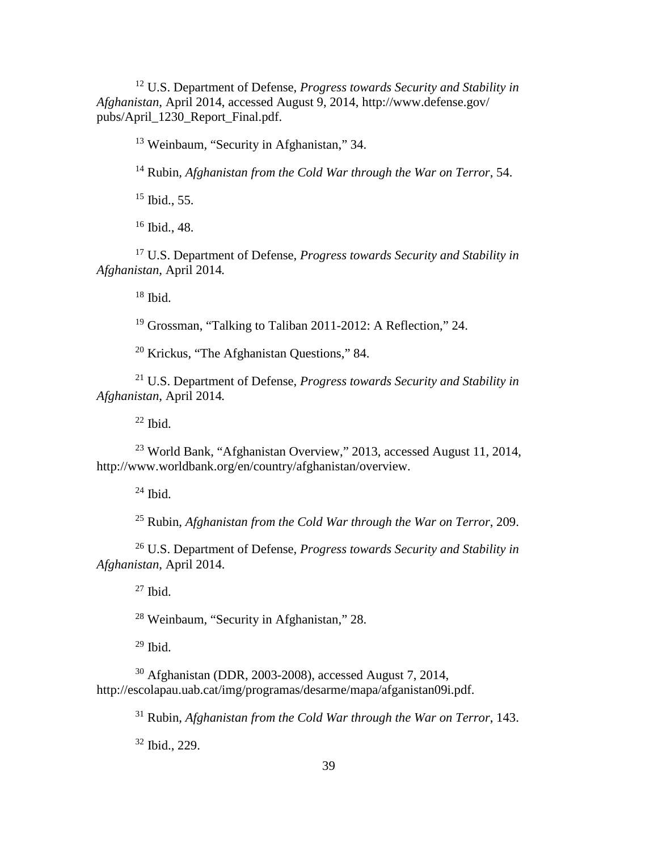U.S. Department of Defense, *Progress towards Security and Stability in Afghanistan*, April 2014, accessed August 9, 2014, http://www.defense.gov/ pubs/April\_1230\_Report\_Final.pdf.

Weinbaum*,* "Security in Afghanistan," 34.

Rubin*, Afghanistan from the Cold War through the War on Terror*, 54.

Ibid., 55.

Ibid., 48.

 U.S. Department of Defense, *Progress towards Security and Stability in Afghanistan*, April 2014*.*

Ibid.

Grossman, "Talking to Taliban 2011-2012: A Reflection," 24.

Krickus, "The Afghanistan Questions," 84.

 U.S. Department of Defense, *Progress towards Security and Stability in Afghanistan*, April 2014*.*

Ibid.

 World Bank, "Afghanistan Overview," 2013, accessed August 11, 2014, http://www.worldbank.org/en/country/afghanistan/overview.

 $^{24}$  Ibid.

Rubin, *Afghanistan from the Cold War through the War on Terror*, 209.

 U.S. Department of Defense, *Progress towards Security and Stability in Afghanistan*, April 2014.

Ibid.

Weinbaum*,* "Security in Afghanistan," 28.

Ibid.

 Afghanistan (DDR, 2003-2008), accessed August 7, 2014, http://escolapau.uab.cat/img/programas/desarme/mapa/afganistan09i.pdf.

Rubin, *Afghanistan from the Cold War through the War on Terror*, 143.

Ibid., 229.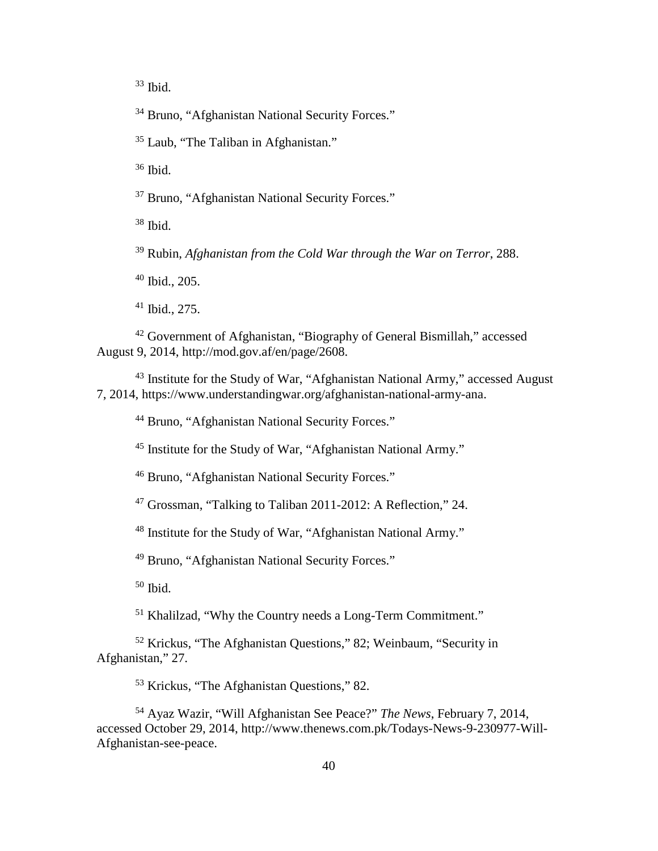Ibid.

<sup>34</sup> Bruno, "Afghanistan National Security Forces."

[Laub,](http://www.cfr.org/experts/world/zachary-laub/b19316) "The Taliban in Afghanistan."

Ibid.

Bruno, "Afghanistan National Security Forces."

Ibid.

Rubin, *Afghanistan from the Cold War through the War on Terror*, 288.

Ibid., 205.

Ibid., 275.

 Government of Afghanistan, "Biography of General Bismillah," accessed August 9, 2014, http://mod.gov.af/en/page/2608.

 Institute for the Study of War, "Afghanistan National Army," accessed August 7, 2014, https://www.understandingwar.org/afghanistan-national-army-ana.

Bruno, "Afghanistan National Security Forces."

Institute for the Study of War, "Afghanistan National Army."

Bruno, "Afghanistan National Security Forces."

Grossman, "Talking to Taliban 2011-2012: A Reflection," 24.

Institute for the Study of War, "Afghanistan National Army."

Bruno, "Afghanistan National Security Forces."

Ibid.

[Khalilzad,](http://www.foreignaffairs.com/author/zalmay-khalilzad) "Why the Country needs a Long-Term Commitment."

 Krickus, "The Afghanistan Questions," 82; Weinbaum, "Security in Afghanistan," 27.

Krickus, "The Afghanistan Questions," 82.

 Ayaz Wazir, "Will Afghanistan See Peace?" *The News*, February 7, 2014, accessed October 29, 2014, http://www.thenews.com.pk/Todays-News-9-230977-Will-Afghanistan-see-peace.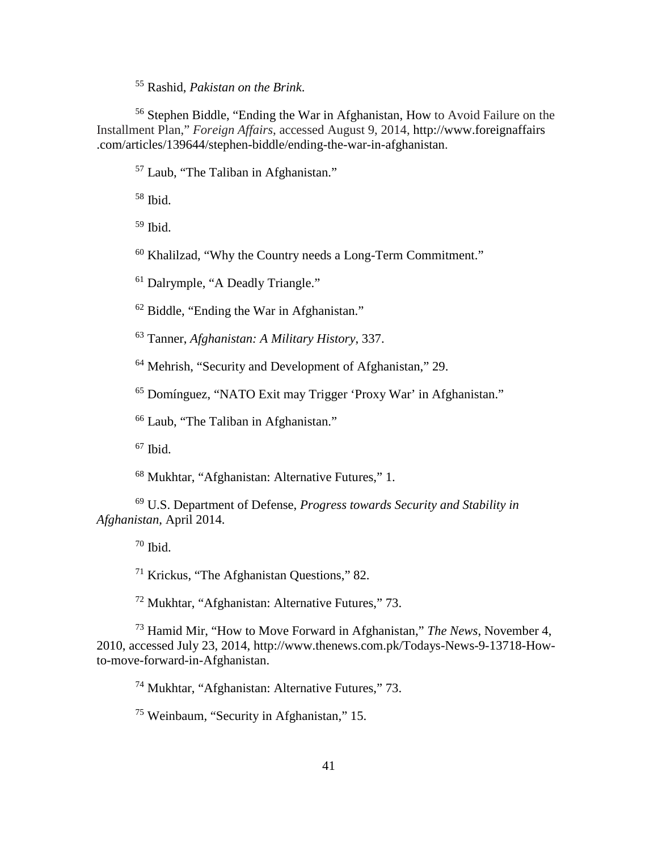Rashid, *Pakistan on the Brink*.

 [Stephen Biddle,](http://www.foreignaffairs.com/author/stephen-biddle) "Ending the War in Afghanistan, How to Avoid Failure on the Installment Plan," *Foreign Affairs*, accessed August 9, 2014, http://www.foreignaffairs .com/articles/139644/stephen-biddle/ending-the-war-in-afghanistan.

[Laub,](http://www.cfr.org/experts/world/zachary-laub/b19316) "The Taliban in Afghanistan."

Ibid.

Ibid.

[Khalilzad,](http://www.foreignaffairs.com/author/zalmay-khalilzad) "Why the Country needs a Long-Term Commitment."

<sup>61</sup> Dalrymple, "A Deadly Triangle."

Biddle, "Ending the War in Afghanistan."

Tanner, *Afghanistan: A Military History*, 337.

Mehrish, "Security and Development of Afghanistan," 29.

Domínguez, "NATO Exit may Trigger 'Proxy War' in Afghanistan."

[Laub,](http://www.cfr.org/experts/world/zachary-laub/b19316) "The Taliban in Afghanistan."

Ibid.

Mukhtar, "Afghanistan: Alternative Futures," 1.

 U.S. Department of Defense, *Progress towards Security and Stability in Afghanistan*, April 2014.

Ibid.

Krickus, "The Afghanistan Questions," 82.

Mukhtar, "Afghanistan: Alternative Futures," 73.

 [Hamid Mir,](http://www.thenews.com.pk/TodaysPrintWriterName.aspx?ID=9&URL=Hamid%20Mir) "How to Move Forward in Afghanistan," *The News*, November 4, 2010, accessed July 23, 2014, http://www.thenews.com.pk/Todays-News-9-13718-Howto-move-forward-in-Afghanistan.

Mukhtar, "Afghanistan: Alternative Futures," 73.

Weinbaum*,* "Security in Afghanistan," 15.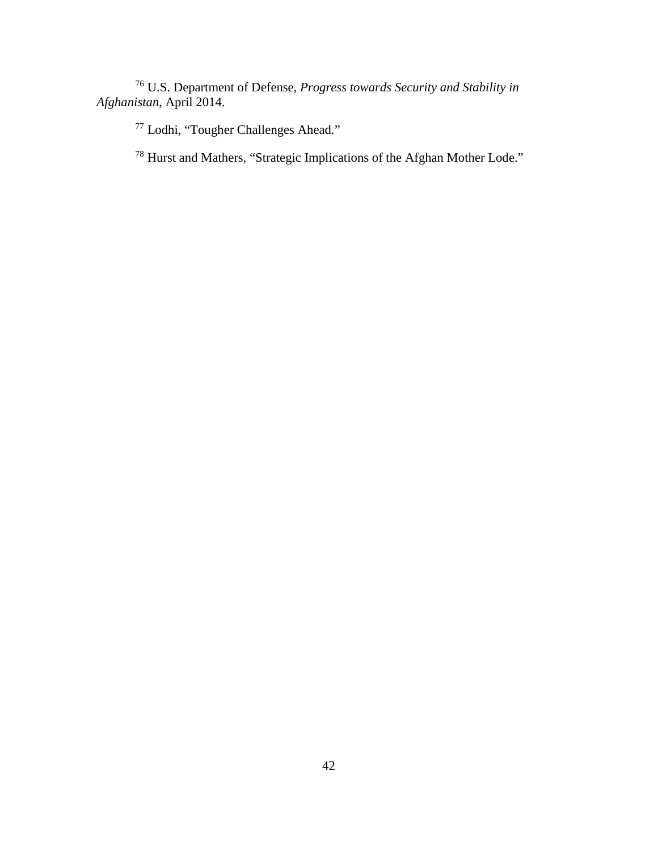U.S. Department of Defense, *Progress towards Security and Stability in Afghanistan*, April 2014.

Lodhi, "Tougher Challenges Ahead."

Hurst and Mathers, "Strategic Implications of the Afghan Mother Lode."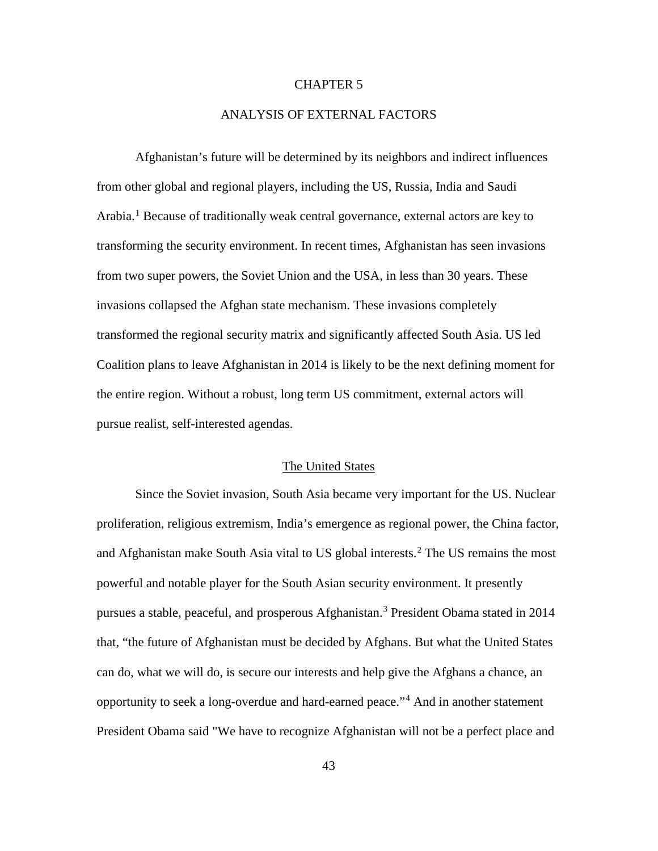### CHAPTER 5

## ANALYSIS OF EXTERNAL FACTORS

Afghanistan's future will be determined by its neighbors and indirect influences from other global and regional players, including the US, Russia, India and Saudi Arabia.<sup>[1](#page-105-0)</sup> Because of traditionally weak central governance, external actors are key to transforming the security environment. In recent times, Afghanistan has seen invasions from two super powers, the Soviet Union and the USA, in less than 30 years. These invasions collapsed the Afghan state mechanism. These invasions completely transformed the regional security matrix and significantly affected South Asia. US led Coalition plans to leave Afghanistan in 2014 is likely to be the next defining moment for the entire region. Without a robust, long term US commitment, external actors will pursue realist, self-interested agendas.

### The United States

Since the Soviet invasion, South Asia became very important for the US. Nuclear proliferation, religious extremism, India's emergence as regional power, the China factor, and Afghanistan make South Asia vital to US global interests.<sup>[2](#page-105-1)</sup> The US remains the most powerful and notable player for the South Asian security environment. It presently pursues a stable, peaceful, and prosperous Afghanistan. [3](#page-105-2) President Obama stated in 2014 that, "the future of Afghanistan must be decided by Afghans. But what the United States can do, what we will do, is secure our interests and help give the Afghans a chance, an opportunity to seek a long-overdue and hard-earned peace."[4](#page-105-3) And in another statement President Obama said "We have to recognize Afghanistan will not be a perfect place and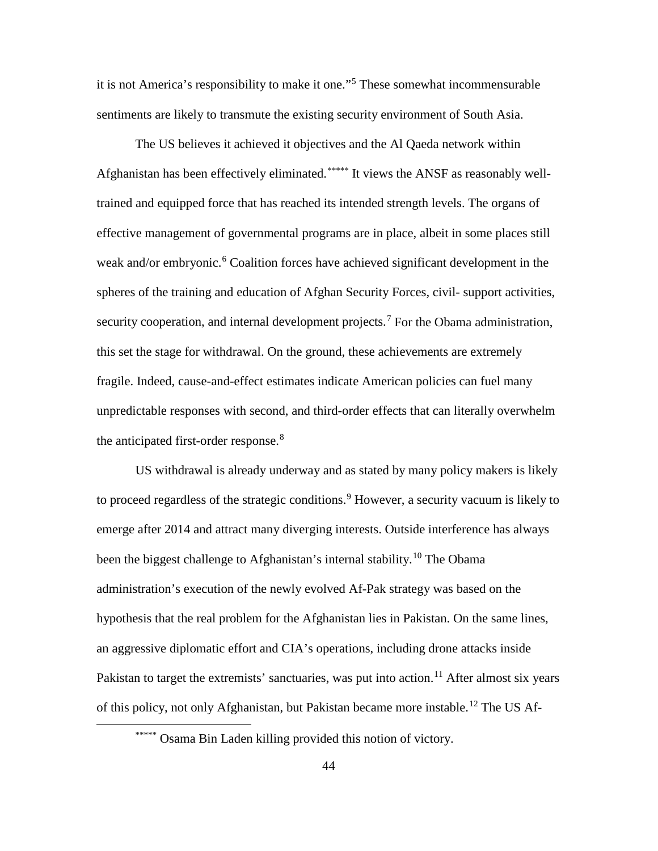it is not America's responsibility to make it one."[5](#page-105-4) These somewhat incommensurable sentiments are likely to transmute the existing security environment of South Asia.

The US believes it achieved it objectives and the Al Qaeda network within Afghanistan has been effectively eliminated.\*\*\*\*\* [I](#page-52-0)t views the ANSF as reasonably welltrained and equipped force that has reached its intended strength levels. The organs of effective management of governmental programs are in place, albeit in some places still weak and/or embryonic.<sup>[6](#page-105-5)</sup> Coalition forces have achieved significant development in the spheres of the training and education of Afghan Security Forces, civil- support activities, security cooperation, and internal development projects.<sup>[7](#page-105-6)</sup> For the Obama administration, this set the stage for withdrawal. On the ground, these achievements are extremely fragile. Indeed, cause-and-effect estimates indicate American policies can fuel many unpredictable responses with second, and third-order effects that can literally overwhelm the anticipated first-order response.<sup>[8](#page-105-7)</sup>

US withdrawal is already underway and as stated by many policy makers is likely to proceed regardless of the strategic conditions.<sup>[9](#page-105-8)</sup> However, a security vacuum is likely to emerge after 2014 and attract many diverging interests. Outside interference has always been the biggest challenge to Afghanistan's internal stability.<sup>[10](#page-105-9)</sup> The Obama administration's execution of the newly evolved Af-Pak strategy was based on the hypothesis that the real problem for the Afghanistan lies in Pakistan. On the same lines, an aggressive diplomatic effort and CIA's operations, including drone attacks inside Pakistan to target the extremists' sanctuaries, was put into action.<sup>[11](#page-105-10)</sup> After almost six years of this policy, not only Afghanistan, but Pakistan became more instable.[12](#page-105-11) The US Af-

<span id="page-52-0"></span>\*\*\*\*\* Osama Bin Laden killing provided this notion of victory.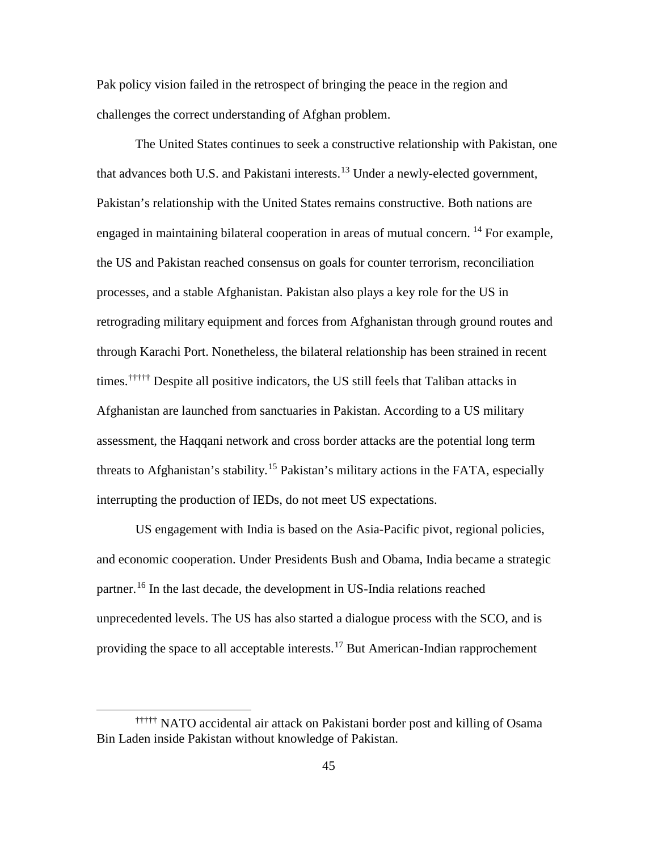Pak policy vision failed in the retrospect of bringing the peace in the region and challenges the correct understanding of Afghan problem.

The United States continues to seek a constructive relationship with Pakistan, one that advances both U.S. and Pakistani interests.<sup>[13](#page-105-12)</sup> Under a newly-elected government, times.<sup>†††††</sup> [D](#page-53-0)espite all positive indicators, the US still feels that Taliban attacks in Pakistan's relationship with the United States remains constructive. Both nations are engaged in maintaining bilateral cooperation in areas of mutual concern.<sup>[14](#page-105-13)</sup> For example, the US and Pakistan reached consensus on goals for counter terrorism, reconciliation processes, and a stable Afghanistan. Pakistan also plays a key role for the US in retrograding military equipment and forces from Afghanistan through ground routes and through Karachi Port. Nonetheless, the bilateral relationship has been strained in recent Afghanistan are launched from sanctuaries in Pakistan. According to a US military assessment, the Haqqani network and cross border attacks are the potential long term threats to Afghanistan's stability.<sup>[15](#page-105-14)</sup> Pakistan's military actions in the FATA, especially interrupting the production of IEDs, do not meet US expectations.

US engagement with India is based on the Asia-Pacific pivot, regional policies, and economic cooperation. Under Presidents Bush and Obama, India became a strategic partner. [16](#page-105-15) In the last decade, the development in US-India relations reached unprecedented levels. The US has also started a dialogue process with the SCO, and is providing the space to all acceptable interests.<sup>[17](#page-105-16)</sup> But American-Indian rapprochement

<span id="page-53-0"></span><sup>†††††</sup> NATO accidental air attack on Pakistani border post and killing of Osama Bin Laden inside Pakistan without knowledge of Pakistan.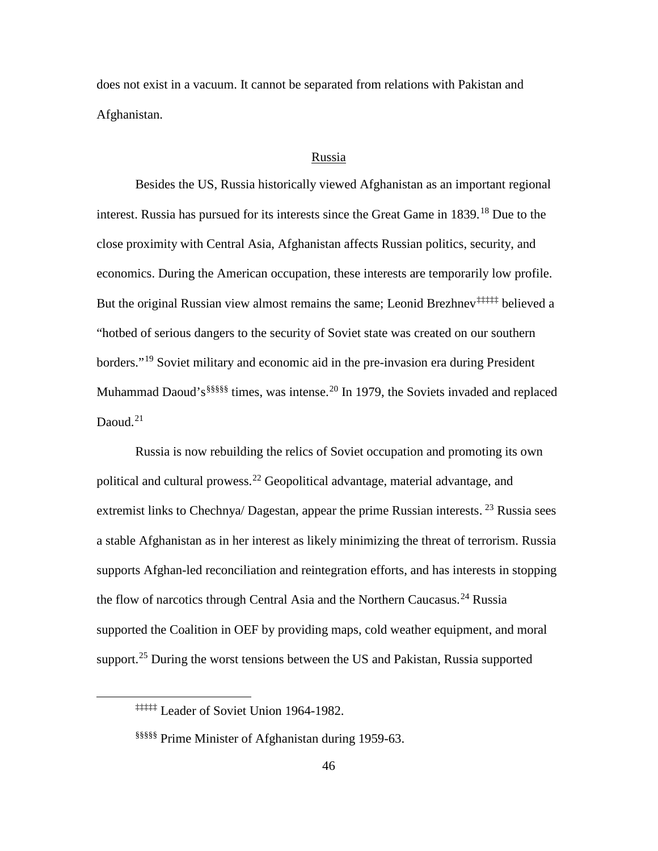does not exist in a vacuum. It cannot be separated from relations with Pakistan and Afghanistan.

#### Russia

Besides the US, Russia historically viewed Afghanistan as an important regional interest. Russia has pursued for its interests since the Great Game in 1839. [18](#page-105-17) Due to the But the original Russian view almost remains the same; Leonid Brezhnev<sup>#####</sup> believed a Muhammad Daoud's  $$§§§§§$  [t](#page-54-1)imes, was intense.<sup>[20](#page-105-19)</sup> In 1979, the Soviets invaded and replaced close proximity with Central Asia, Afghanistan affects Russian politics, security, and economics. During the American occupation, these interests are temporarily low profile. "hotbed of serious dangers to the security of Soviet state was created on our southern borders."<sup>[19](#page-105-18)</sup> Soviet military and economic aid in the pre-invasion era during President Daoud. $21$ 

Russia is now rebuilding the relics of Soviet occupation and promoting its own political and cultural prowess.<sup>[22](#page-105-21)</sup> Geopolitical advantage, material advantage, and extremist links to Chechnya/ Dagestan, appear the prime Russian interests.  $^{23}$  $^{23}$  $^{23}$  Russia sees a stable Afghanistan as in her interest as likely minimizing the threat of terrorism. Russia supports Afghan-led reconciliation and reintegration efforts, and has interests in stopping the flow of narcotics through Central Asia and the Northern Caucasus.<sup>[24](#page-105-23)</sup> Russia supported the Coalition in OEF by providing maps, cold weather equipment, and moral support.<sup>[25](#page-105-24)</sup> During the worst tensions between the US and Pakistan, Russia supported

<span id="page-54-0"></span><sup>‡‡‡‡‡</sup> Leader of Soviet Union 1964-1982.

<span id="page-54-1"></span><sup>§§§§§</sup> Prime Minister of Afghanistan during 1959-63.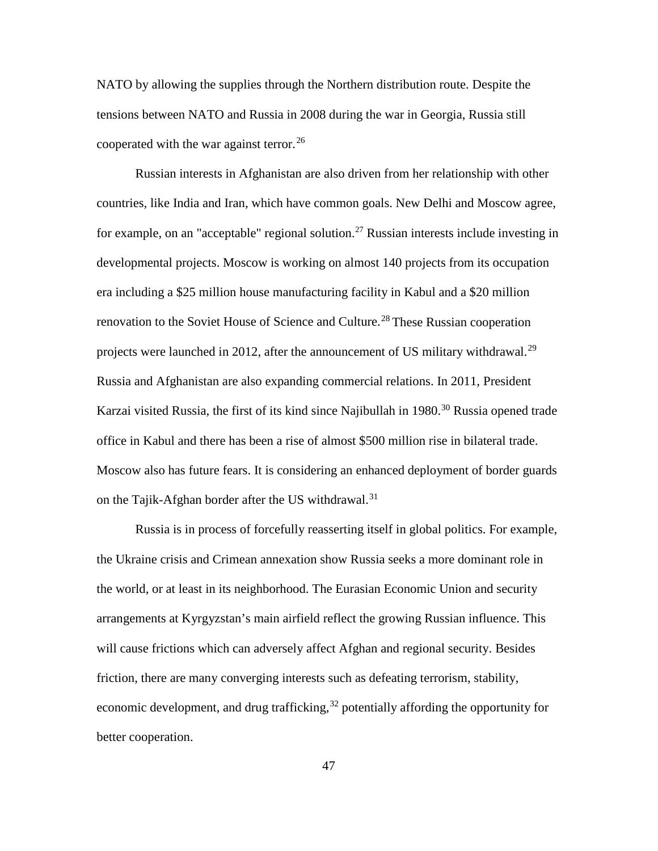NATO by allowing the supplies through the Northern distribution route. Despite the tensions between NATO and Russia in 2008 during the war in Georgia, Russia still cooperated with the war against terror.<sup>[26](#page-105-25)</sup>

Russian interests in Afghanistan are also driven from her relationship with other countries, like India and Iran, which have common goals. New Delhi and Moscow agree, for example, on an "acceptable" regional solution.<sup>[27](#page-105-26)</sup> Russian interests include investing in developmental projects. Moscow is working on almost 140 projects from its occupation era including a \$25 million house manufacturing facility in Kabul and a \$20 million renovation to the Soviet House of Science and Culture.<sup>[28](#page-105-27)</sup> These Russian cooperation projects were launched in 2012, after the announcement of US military withdrawal.<sup>[29](#page-105-28)</sup> Russia and Afghanistan are also expanding commercial relations. In 2011, President Karzai visited Russia, the first of its kind since Najibullah in 1980.<sup>[30](#page-105-29)</sup> Russia opened trade office in Kabul and there has been a rise of almost \$500 million rise in bilateral trade. Moscow also has future fears. It is considering an enhanced deployment of border guards on the Tajik-Afghan border after the US withdrawal.<sup>[31](#page-105-30)</sup>

Russia is in process of forcefully reasserting itself in global politics. For example, the Ukraine crisis and Crimean annexation show Russia seeks a more dominant role in the world, or at least in its neighborhood. The Eurasian Economic Union and security arrangements at Kyrgyzstan's main airfield reflect the growing Russian influence. This will cause frictions which can adversely affect Afghan and regional security. Besides friction, there are many converging interests such as defeating terrorism, stability, economic development, and drug trafficking,<sup>[32](#page-105-31)</sup> potentially affording the opportunity for better cooperation.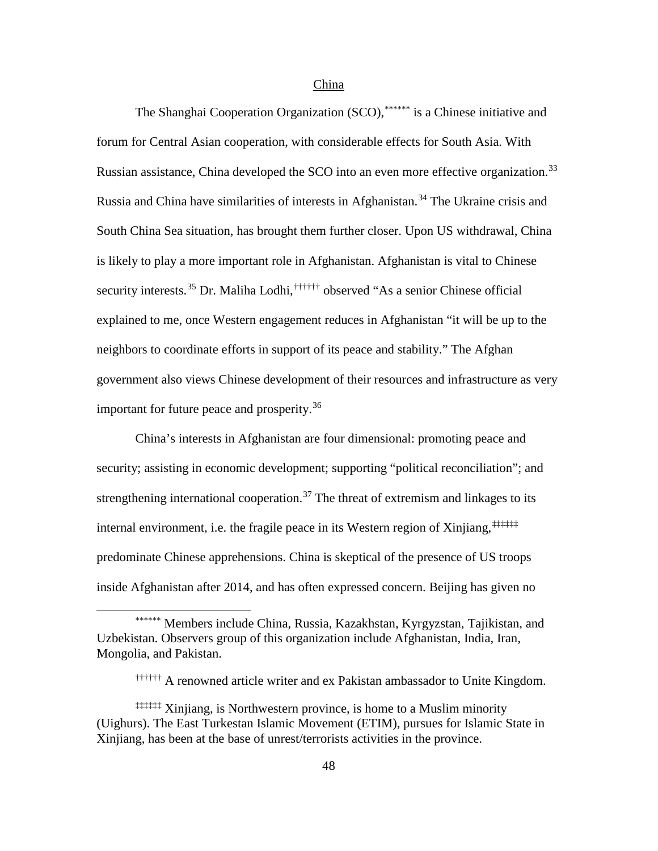#### China

The Shangha[i](#page-56-0) Cooperation Organization (SCO), \*\*\*\*\*\*\* is a Chinese initiative and security interests.<sup>[35](#page-105-34)</sup> Dr. Maliha L[o](#page-56-1)dhi,<sup>††††††</sup> observed "As a senior Chinese official forum for Central Asian cooperation, with considerable effects for South Asia. With Russian assistance, China developed the SCO into an even more effective organization.<sup>[33](#page-105-32)</sup> Russia and China have similarities of interests in Afghanistan.<sup>[34](#page-105-33)</sup> The Ukraine crisis and South China Sea situation, has brought them further closer. Upon US withdrawal, China is likely to play a more important role in Afghanistan. Afghanistan is vital to Chinese explained to me, once Western engagement reduces in Afghanistan "it will be up to the neighbors to coordinate efforts in support of its peace and stability." The Afghan government also views Chinese development of their resources and infrastructure as very important for future peace and prosperity.<sup>[36](#page-105-35)</sup>

China's interests in Afghanistan are four dimensional: promoting peace and security; assisting in economic development; supporting "political reconciliation"; and strengthening international cooperation.<sup>[37](#page-105-36)</sup> The threat of extremism and linkages to its internal environment, i.e. the fragile peace in its Western region of Xinjiang,<sup>‡‡‡‡‡‡</sup> predominate Chinese apprehensions. China is skeptical of the presence of US troops inside Afghanistan after 2014, and has often expressed concern. Beijing has given no

<span id="page-56-0"></span><sup>\*\*\*\*\*\*</sup> Members include China, Russia, Kazakhstan, Kyrgyzstan, Tajikistan, and Uzbekistan. Observers group of this organization include Afghanistan, India, Iran, Mongolia, and Pakistan.

<sup>††††††</sup> A renowned article writer and ex Pakistan ambassador to Unite Kingdom.

<span id="page-56-1"></span> $\ddagger$ <sup>†††††‡</sup> $\ddagger$  Xinjiang, is Northwestern province, is home to a Muslim minority (Uighurs). The East Turkestan Islamic Movement (ETIM), pursues for Islamic State in Xinjiang, has been at the base of unrest/terrorists activities in the province.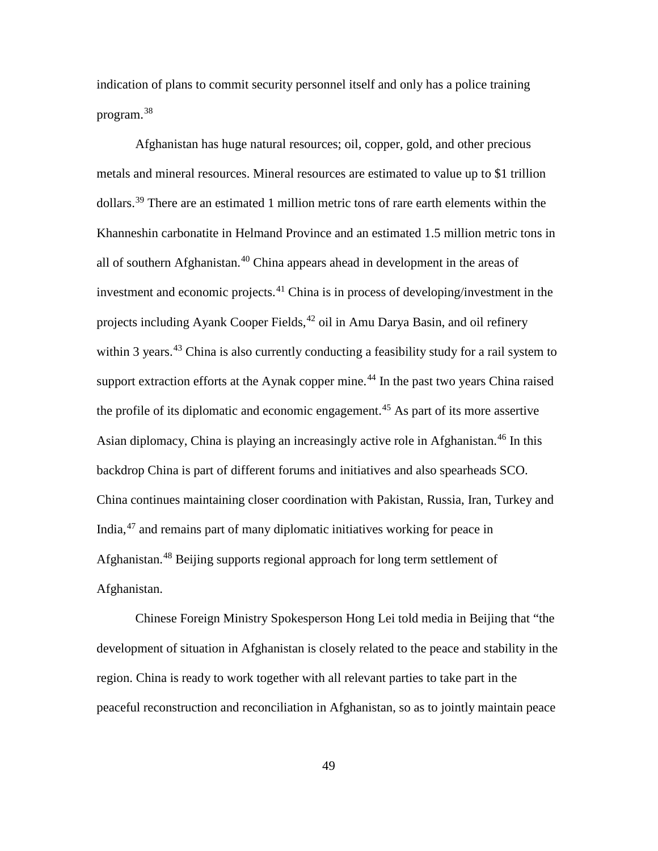indication of plans to commit security personnel itself and only has a police training program.[38](#page-105-37)

Afghanistan has huge natural resources; oil, copper, gold, and other precious metals and mineral resources. Mineral resources are estimated to value up to \$1 trillion dollars.<sup>[39](#page-105-38)</sup> There are an estimated 1 million metric tons of rare earth elements within the Khanneshin carbonatite in Helmand Province and an estimated 1.5 million metric tons in all of southern Afghanistan.[40](#page-105-21) China appears ahead in development in the areas of investment and economic projects.<sup>[41](#page-105-39)</sup> China is in process of developing/investment in the projects including Ayank Cooper Fields, <sup>[42](#page-105-40)</sup> oil in Amu Darya Basin, and oil refinery within 3 years.<sup>[43](#page-105-41)</sup> China is also currently conducting a feasibility study for a rail system to support extraction efforts at the Aynak copper mine.<sup>[44](#page-105-42)</sup> In the past two years China raised the profile of its diplomatic and economic engagement.<sup>[45](#page-105-43)</sup> As part of its more assertive Asian diplomacy, China is playing an increasingly active role in Afghanistan. [46](#page-105-44) In this backdrop China is part of different forums and initiatives and also spearheads SCO. China continues maintaining closer coordination with Pakistan, Russia, Iran, Turkey and India, [47](#page-105-45) and remains part of many diplomatic initiatives working for peace in Afghanistan.[48](#page-105-46) Beijing supports regional approach for long term settlement of Afghanistan.

Chinese Foreign Ministry Spokesperson Hong Lei told media in Beijing that "the development of situation in Afghanistan is closely related to the peace and stability in the region. China is ready to work together with all relevant parties to take part in the peaceful reconstruction and reconciliation in Afghanistan, so as to jointly maintain peace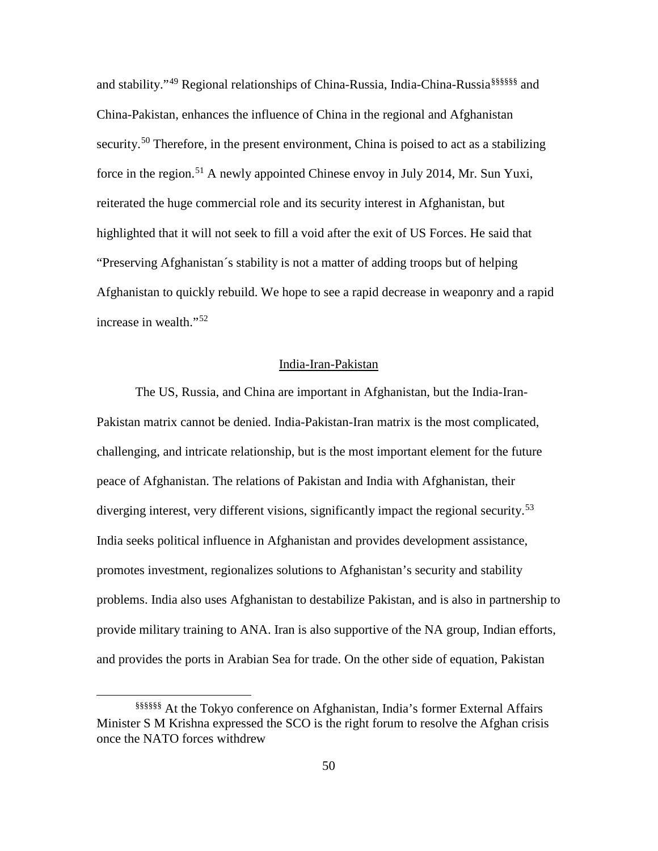and stability."<sup>[49](#page-105-47)</sup> Region[a](#page-58-0)l relationships of China-Russia, India-China-Russia<sup>§§§§§§</sup>§ and China-Pakistan, enhances the influence of China in the regional and Afghanistan security.<sup>[50](#page-105-48)</sup> Therefore, in the present environment, China is poised to act as a stabilizing force in the region.<sup>[51](#page-105-49)</sup> A newly appointed Chinese envoy in July 2014, Mr. Sun Yuxi, reiterated the huge commercial role and its security interest in Afghanistan, but highlighted that it will not seek to fill a void after the exit of US Forces. He said that "Preserving Afghanistan´s stability is not a matter of adding troops but of helping Afghanistan to quickly rebuild. We hope to see a rapid decrease in weaponry and a rapid increase in wealth."[52](#page-105-50)

## India-Iran-Pakistan

The US, Russia, and China are important in Afghanistan, but the India-Iran-Pakistan matrix cannot be denied. India-Pakistan-Iran matrix is the most complicated, challenging, and intricate relationship, but is the most important element for the future peace of Afghanistan. The relations of Pakistan and India with Afghanistan, their diverging interest, very different visions, significantly impact the regional security.<sup>[53](#page-105-51)</sup> India seeks political influence in Afghanistan and provides development assistance, promotes investment, regionalizes solutions to Afghanistan's security and stability problems. India also uses Afghanistan to destabilize Pakistan, and is also in partnership to provide military training to ANA. Iran is also supportive of the NA group, Indian efforts, and provides the ports in Arabian Sea for trade. On the other side of equation, Pakistan

<span id="page-58-0"></span><sup>§§§§§§</sup> At the Tokyo conference on Afghanistan, India's former External Affairs Minister S M Krishna expressed the SCO is the right forum to resolve the Afghan crisis once the NATO forces withdrew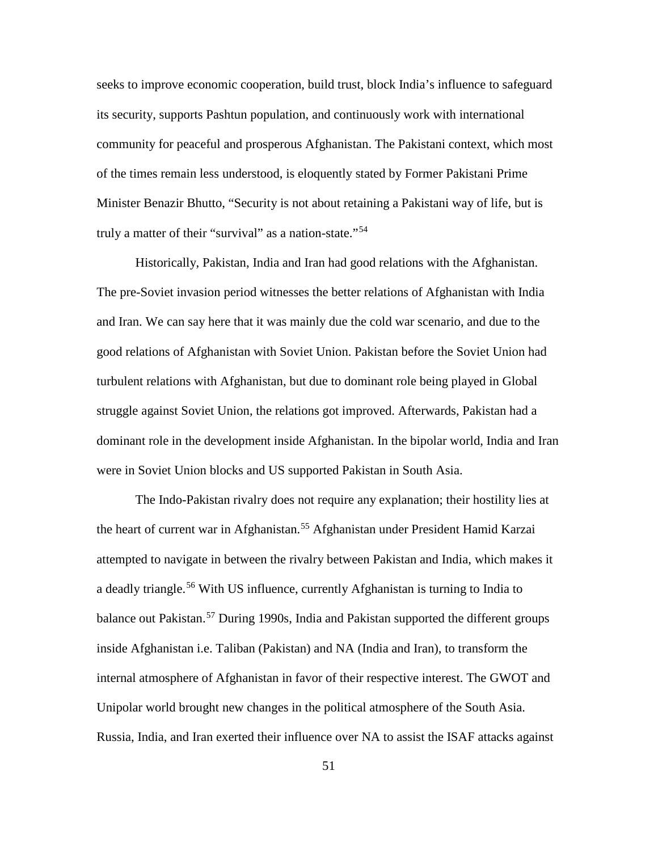seeks to improve economic cooperation, build trust, block India's influence to safeguard its security, supports Pashtun population, and continuously work with international community for peaceful and prosperous Afghanistan. The Pakistani context, which most of the times remain less understood, is eloquently stated by Former Pakistani Prime Minister Benazir Bhutto, "Security is not about retaining a Pakistani way of life, but is truly a matter of their "survival" as a nation-state."<sup>[54](#page-105-13)</sup>

Historically, Pakistan, India and Iran had good relations with the Afghanistan. The pre-Soviet invasion period witnesses the better relations of Afghanistan with India and Iran. We can say here that it was mainly due the cold war scenario, and due to the good relations of Afghanistan with Soviet Union. Pakistan before the Soviet Union had turbulent relations with Afghanistan, but due to dominant role being played in Global struggle against Soviet Union, the relations got improved. Afterwards, Pakistan had a dominant role in the development inside Afghanistan. In the bipolar world, India and Iran were in Soviet Union blocks and US supported Pakistan in South Asia.

The Indo-Pakistan rivalry does not require any explanation; their hostility lies at the heart of current war in Afghanistan.<sup>[55](#page-105-14)</sup> Afghanistan under President Hamid Karzai attempted to navigate in between the rivalry between Pakistan and India, which makes it a deadly triangle.<sup>[56](#page-105-15)</sup> With US influence, currently Afghanistan is turning to India to balance out Pakistan.<sup>[57](#page-105-16)</sup> During 1990s, India and Pakistan supported the different groups inside Afghanistan i.e. Taliban (Pakistan) and NA (India and Iran), to transform the internal atmosphere of Afghanistan in favor of their respective interest. The GWOT and Unipolar world brought new changes in the political atmosphere of the South Asia. Russia, India, and Iran exerted their influence over NA to assist the ISAF attacks against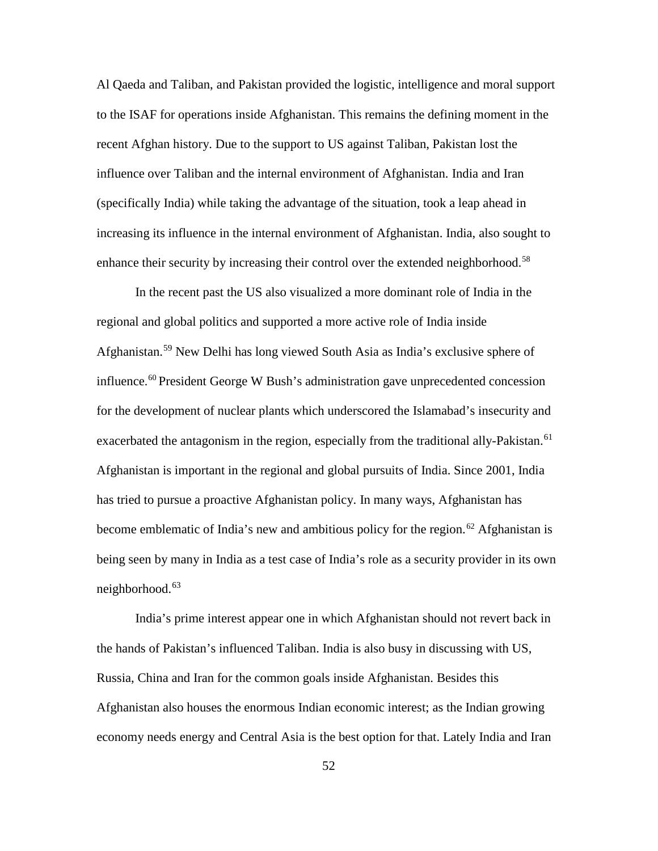Al Qaeda and Taliban, and Pakistan provided the logistic, intelligence and moral support to the ISAF for operations inside Afghanistan. This remains the defining moment in the recent Afghan history. Due to the support to US against Taliban, Pakistan lost the influence over Taliban and the internal environment of Afghanistan. India and Iran (specifically India) while taking the advantage of the situation, took a leap ahead in increasing its influence in the internal environment of Afghanistan. India, also sought to enhance their security by increasing their control over the extended neighborhood.<sup>[58](#page-105-17)</sup>

In the recent past the US also visualized a more dominant role of India in the regional and global politics and supported a more active role of India inside Afghanistan.[59](#page-105-18) New Delhi has long viewed South Asia as India's exclusive sphere of influence. [60](#page-105-19) President George W Bush's administration gave unprecedented concession for the development of nuclear plants which underscored the Islamabad's insecurity and exacerbated the antagonism in the region, especially from the traditional ally-Pakistan.<sup>[61](#page-105-20)</sup> Afghanistan is important in the regional and global pursuits of India. Since 2001, India has tried to pursue a proactive Afghanistan policy. In many ways, Afghanistan has become emblematic of India's new and ambitious policy for the region.<sup>[62](#page-105-21)</sup> Afghanistan is being seen by many in India as a test case of India's role as a security provider in its own neighborhood.<sup>[63](#page-105-39)</sup>

India's prime interest appear one in which Afghanistan should not revert back in the hands of Pakistan's influenced Taliban. India is also busy in discussing with US, Russia, China and Iran for the common goals inside Afghanistan. Besides this Afghanistan also houses the enormous Indian economic interest; as the Indian growing economy needs energy and Central Asia is the best option for that. Lately India and Iran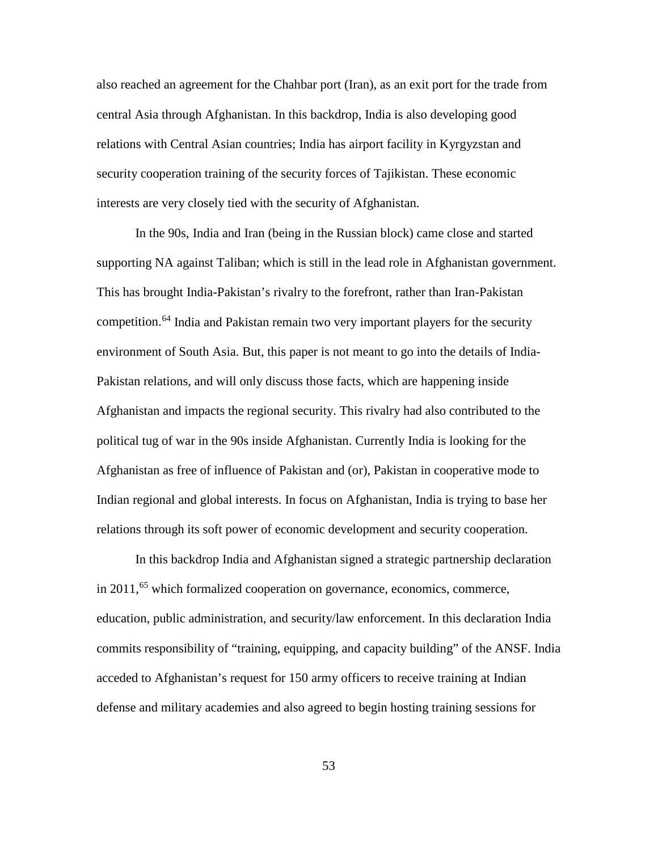also reached an agreement for the Chahbar port (Iran), as an exit port for the trade from central Asia through Afghanistan. In this backdrop, India is also developing good relations with Central Asian countries; India has airport facility in Kyrgyzstan and security cooperation training of the security forces of Tajikistan. These economic interests are very closely tied with the security of Afghanistan.

In the 90s, India and Iran (being in the Russian block) came close and started supporting NA against Taliban; which is still in the lead role in Afghanistan government. This has brought India-Pakistan's rivalry to the forefront, rather than Iran-Pakistan competition.<sup>[64](#page-105-40)</sup> India and Pakistan remain two very important players for the security environment of South Asia. But, this paper is not meant to go into the details of India-Pakistan relations, and will only discuss those facts, which are happening inside Afghanistan and impacts the regional security. This rivalry had also contributed to the political tug of war in the 90s inside Afghanistan. Currently India is looking for the Afghanistan as free of influence of Pakistan and (or), Pakistan in cooperative mode to Indian regional and global interests. In focus on Afghanistan, India is trying to base her relations through its soft power of economic development and security cooperation.

In this backdrop India and Afghanistan signed a strategic partnership declaration in  $2011<sup>65</sup>$  $2011<sup>65</sup>$  $2011<sup>65</sup>$  which formalized cooperation on governance, economics, commerce, education, public administration, and security/law enforcement. In this declaration India commits responsibility of "training, equipping, and capacity building" of the ANSF. India acceded to Afghanistan's request for 150 army officers to receive training at Indian defense and military academies and also agreed to begin hosting training sessions for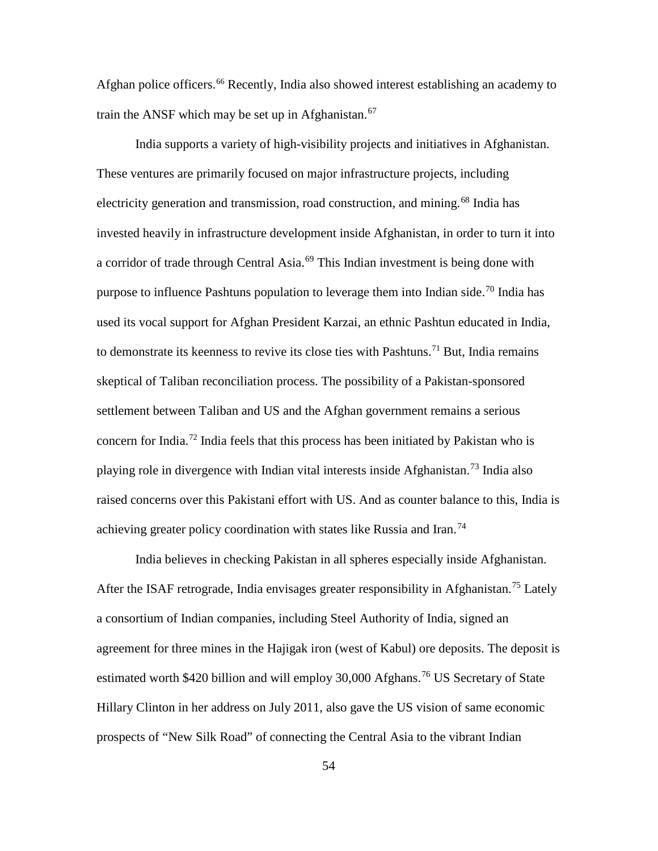Afghan police officers. [66](#page-105-53) Recently, India also showed interest establishing an academy to train the ANSF which may be set up in Afghanistan.<sup>[67](#page-105-43)</sup>

<span id="page-62-2"></span><span id="page-62-1"></span><span id="page-62-0"></span>India supports a variety of high-visibility projects and initiatives in Afghanistan. These ventures are primarily focused on major infrastructure projects, including electricity generation and transmission, road construction, and mining.<sup>[68](#page-105-54)</sup> India has invested heavily in infrastructure development inside Afghanistan, in order to turn it into a corridor of trade through Central Asia.<sup>[69](#page-105-55)</sup> This Indian investment is being done with purpose to influence Pashtuns population to leverage them into Indian side.<sup>[70](#page-105-56)</sup> India has used its vocal support for Afghan President Karzai, an ethnic Pashtun educated in India, to demonstrate its keenness to revive its close ties with Pashtuns.<sup>[71](#page-105-57)</sup> But, India remains skeptical of Taliban reconciliation process. The possibility of a Pakistan-sponsored settlement between Taliban and US and the Afghan government remains a serious concern for India. [72](#page-105-58) India feels that this process has been initiated by Pakistan who is playing role in divergence with Indian vital interests inside Afghanistan.<sup>[73](#page-105-59)</sup> India also raised concerns over this Pakistani effort with US. And as counter balance to this, India is achieving greater policy coordination with states like Russia and Iran.<sup>[74](#page-105-60)</sup>

<span id="page-62-6"></span><span id="page-62-5"></span><span id="page-62-4"></span><span id="page-62-3"></span>India believes in checking Pakistan in all spheres especially inside Afghanistan. After the ISAF retrograde, India envisages greater responsibility in Afghanistan.<sup>[75](#page-105-61)</sup> Lately a consortium of Indian companies, including Steel Authority of India, signed an agreement for three mines in the Hajigak iron (west of Kabul) ore deposits. The deposit is estimated worth \$420 billion and will employ 30,000 Afghans.<sup>[76](#page-105-62)</sup> US Secretary of State Hillary Clinton in her address on July 2011, also gave the US vision of same economic prospects of "New Silk Road" of connecting the Central Asia to the vibrant Indian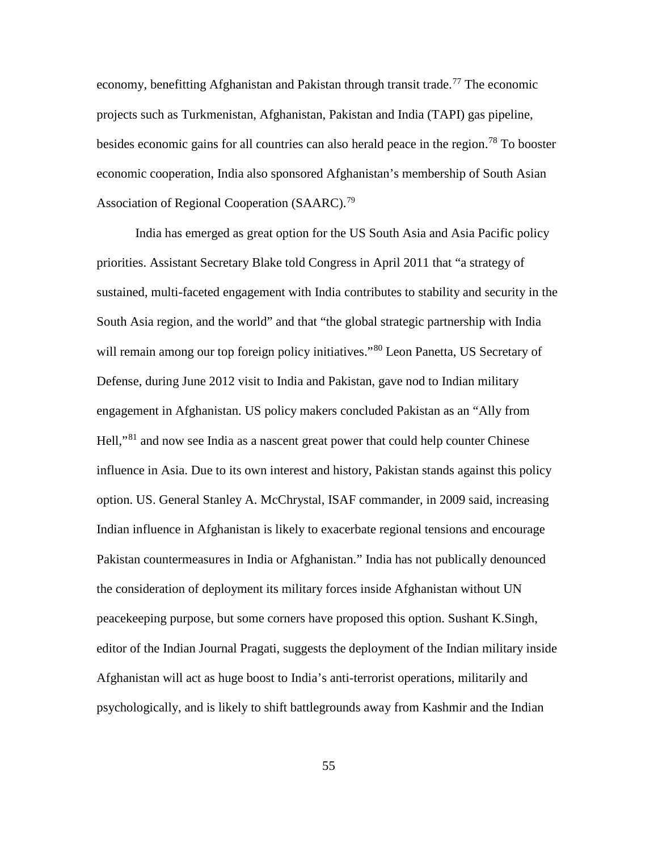economy, benefitting Afghanistan and Pakistan through transit trade.<sup>[77](#page-105-63)</sup> The economic projects such as Turkmenistan, Afghanistan, Pakistan and India (TAPI) gas pipeline, besides economic gains for all countries can also herald peace in the region. [78](#page-105-64) To booster economic cooperation, India also sponsored Afghanistan's membership of South Asian Association of Regional Cooperation (SAARC).<sup>[79](#page-105-65)</sup>

<span id="page-63-5"></span><span id="page-63-4"></span><span id="page-63-3"></span><span id="page-63-2"></span><span id="page-63-1"></span><span id="page-63-0"></span>India has emerged as great option for the US South Asia and Asia Pacific policy priorities. Assistant Secretary Blake told Congress in April 2011 that "a strategy of sustained, multi-faceted engagement with India contributes to stability and security in the South Asia region, and the world" and that "the global strategic partnership with India will remain among our top foreign policy initiatives."<sup>[80](#page-105-66)</sup> Leon Panetta, US Secretary of Defense, during June 2012 visit to India and Pakistan, gave nod to Indian military engagement in Afghanistan. US policy makers concluded Pakistan as an "Ally from Hell,"[81](#page-105-67) and now see India as a nascent great power that could help counter Chinese influence in Asia. Due to its own interest and history, Pakistan stands against this policy option. US. General Stanley A. McChrystal, ISAF commander, in 2009 said, increasing Indian influence in Afghanistan is likely to exacerbate regional tensions and encourage Pakistan countermeasures in India or Afghanistan." India has not publically denounced the consideration of deployment its military forces inside Afghanistan without UN peacekeeping purpose, but some corners have proposed this option. Sushant K.Singh, editor of the Indian Journal Pragati, suggests the deployment of the Indian military inside Afghanistan will act as huge boost to India's anti-terrorist operations, militarily and psychologically, and is likely to shift battlegrounds away from Kashmir and the Indian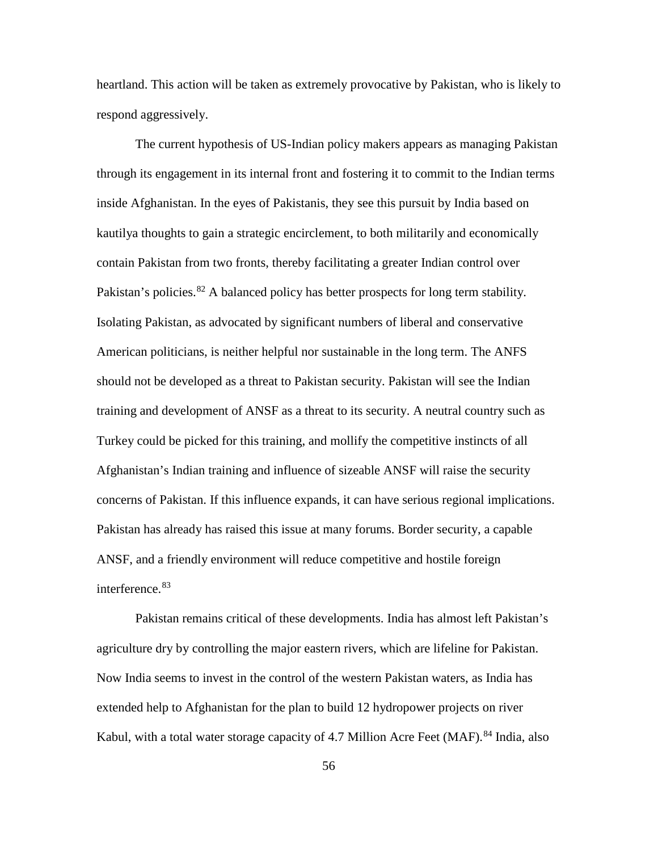<span id="page-64-3"></span><span id="page-64-2"></span>heartland. This action will be taken as extremely provocative by Pakistan, who is likely to respond aggressively.

<span id="page-64-8"></span><span id="page-64-7"></span><span id="page-64-6"></span><span id="page-64-5"></span><span id="page-64-4"></span>The current hypothesis of US-Indian policy makers appears as managing Pakistan through its engagement in its internal front and fostering it to commit to the Indian terms inside Afghanistan. In the eyes of Pakistanis, they see this pursuit by India based on kautilya thoughts to gain a strategic encirclement, to both militarily and economically contain Pakistan from two fronts, thereby facilitating a greater Indian control over Pakistan's policies.<sup>[82](#page-105-68)</sup> A balanced policy has better prospects for long term stability. Isolating Pakistan, as advocated by significant numbers of liberal and conservative American politicians, is neither helpful nor sustainable in the long term. The ANFS should not be developed as a threat to Pakistan security. Pakistan will see the Indian training and development of ANSF as a threat to its security. A neutral country such as Turkey could be picked for this training, and mollify the competitive instincts of all Afghanistan's Indian training and influence of sizeable ANSF will raise the security concerns of Pakistan. If this influence expands, it can have serious regional implications. Pakistan has already has raised this issue at many forums. Border security, a capable ANSF, and a friendly environment will reduce competitive and hostile foreign interference.<sup>[83](#page-105-21)</sup>

<span id="page-64-1"></span><span id="page-64-0"></span>Pakistan remains critical of these developments. India has almost left Pakistan's agriculture dry by controlling the major eastern rivers, which are lifeline for Pakistan. Now India seems to invest in the control of the western Pakistan waters, as India has extended help to Afghanistan for the plan to build 12 hydropower projects on river Kabul, with a total water storage capacity of 4.7 Million Acre Feet (MAF).<sup>[84](#page-105-39)</sup> India, also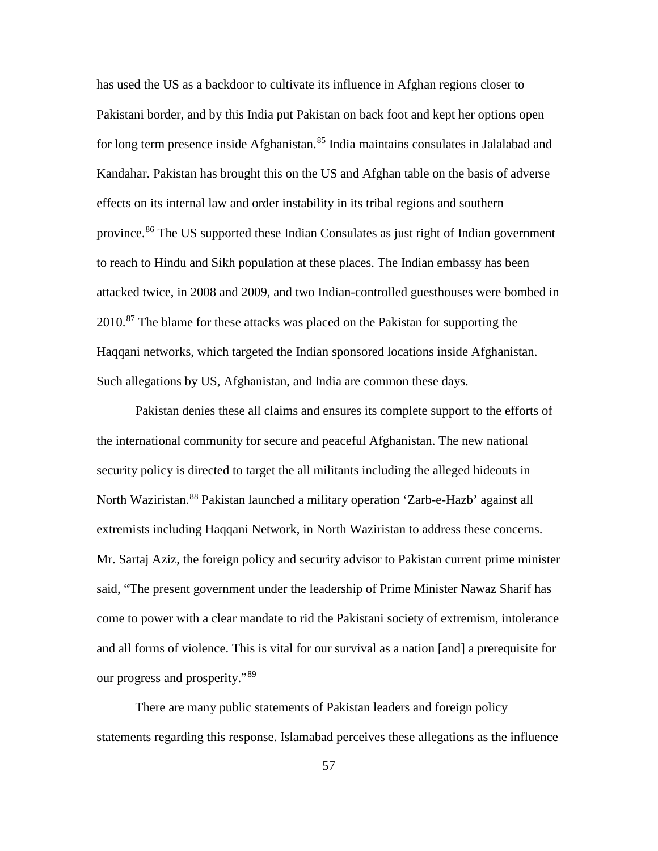has used the US as a backdoor to cultivate its influence in Afghan regions closer to Pakistani border, and by this India put Pakistan on back foot and kept her options open for long term presence inside Afghanistan.<sup>[85](#page-105-69)</sup> India maintains consulates in Jalalabad and Kandahar. Pakistan has brought this on the US and Afghan table on the basis of adverse effects on its internal law and order instability in its tribal regions and southern province.<sup>[86](#page-105-70)</sup> The US supported these Indian Consulates as just right of Indian government to reach to Hindu and Sikh population at these places. The Indian embassy has been attacked twice, in 2008 and 2009, and two Indian-controlled guesthouses were bombed in 2010.<sup>[87](#page-105-3)</sup> The blame for these attacks was placed on the Pakistan for supporting the Haqqani networks, which targeted the Indian sponsored locations inside Afghanistan. Such allegations by US, Afghanistan, and India are common these days.

<span id="page-65-2"></span><span id="page-65-1"></span><span id="page-65-0"></span>Pakistan denies these all claims and ensures its complete support to the efforts of the international community for secure and peaceful Afghanistan. The new national security policy is directed to target the all militants including the alleged hideouts in North Waziristan. <sup>[88](#page-105-4)</sup> Pakistan launched a military operation 'Zarb-e-Hazb' against all extremists including Haqqani Network, in North Waziristan to address these concerns. Mr. Sartaj Aziz, the foreign policy and security advisor to Pakistan current prime minister said, "The present government under the leadership of Prime Minister Nawaz Sharif has come to power with a clear mandate to rid the Pakistani society of extremism, intolerance and all forms of violence. This is vital for our survival as a nation [and] a prerequisite for our progress and prosperity."[89](#page-105-5)

There are many public statements of Pakistan leaders and foreign policy statements regarding this response. Islamabad perceives these allegations as the influence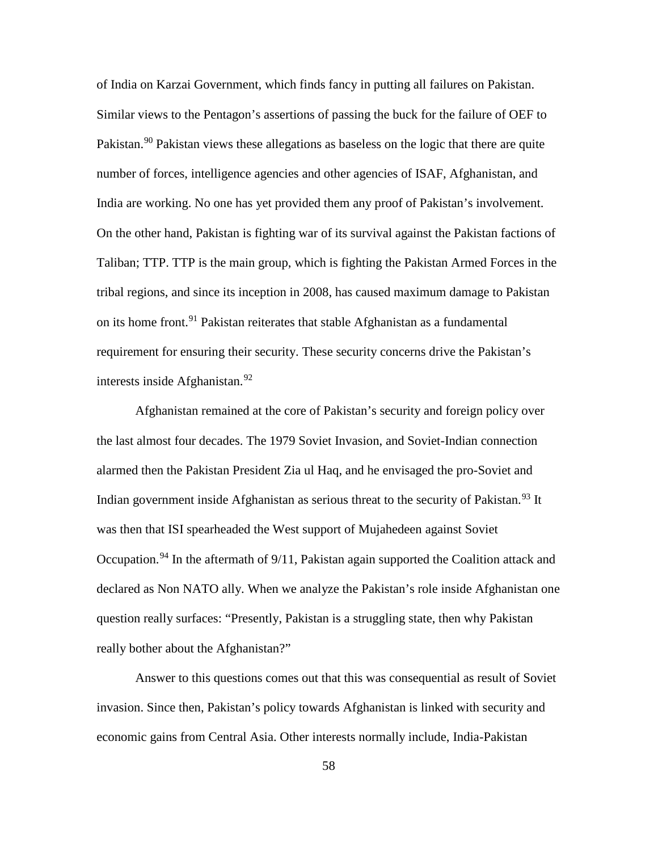of India on Karzai Government, which finds fancy in putting all failures on Pakistan. Similar views to the Pentagon's assertions of passing the buck for the failure of OEF to Pakistan.<sup>[90](#page-105-6)</sup> Pakistan views these allegations as baseless on the logic that there are quite number of forces, intelligence agencies and other agencies of ISAF, Afghanistan, and India are working. No one has yet provided them any proof of Pakistan's involvement. On the other hand, Pakistan is fighting war of its survival against the Pakistan factions of Taliban; TTP. TTP is the main group, which is fighting the Pakistan Armed Forces in the tribal regions, and since its inception in 2008, has caused maximum damage to Pakistan on its home front.<sup>[91](#page-105-7)</sup> Pakistan reiterates that stable Afghanistan as a fundamental requirement for ensuring their security. These security concerns drive the Pakistan's interests inside Afghanistan. [92](#page-105-8)

<span id="page-66-5"></span><span id="page-66-4"></span><span id="page-66-3"></span><span id="page-66-2"></span><span id="page-66-1"></span><span id="page-66-0"></span>Afghanistan remained at the core of Pakistan's security and foreign policy over the last almost four decades. The 1979 Soviet Invasion, and Soviet-Indian connection alarmed then the Pakistan President Zia ul Haq, and he envisaged the pro-Soviet and Indian government inside Afghanistan as serious threat to the security of Pakistan.<sup>[93](#page-105-9)</sup> It was then that ISI spearheaded the West support of Mujahedeen against Soviet Occupation.<sup>[94](#page-105-10)</sup> In the aftermath of  $9/11$ , Pakistan again supported the Coalition attack and declared as Non NATO ally. When we analyze the Pakistan's role inside Afghanistan one question really surfaces: "Presently, Pakistan is a struggling state, then why Pakistan really bother about the Afghanistan?"

Answer to this questions comes out that this was consequential as result of Soviet invasion. Since then, Pakistan's policy towards Afghanistan is linked with security and economic gains from Central Asia. Other interests normally include, India-Pakistan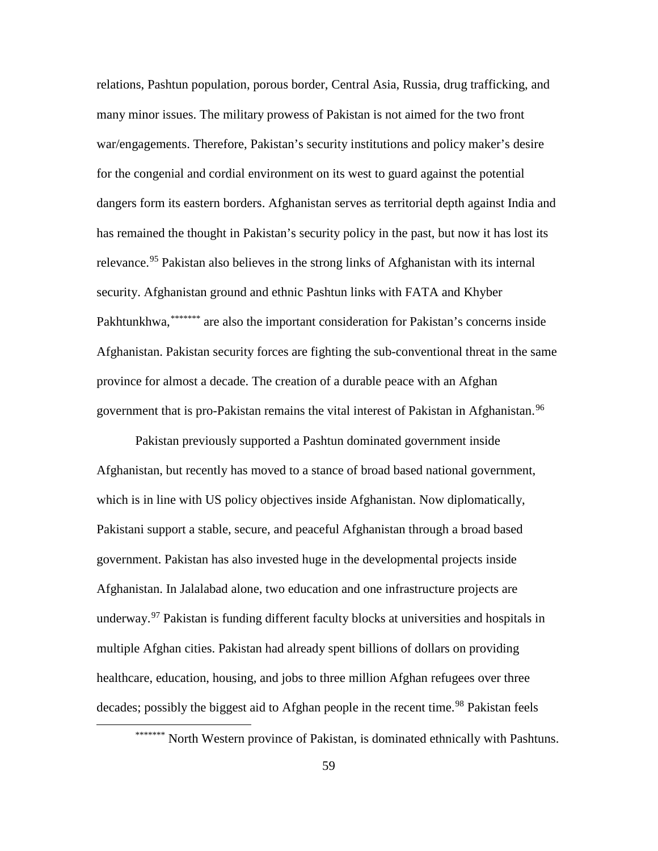relations, Pashtun population, porous border, Central Asia, Russia, drug trafficking, and many minor issues. The military prowess of Pakistan is not aimed for the two front war/engagements. Therefore, Pakistan's security institutions and policy maker's desire for the congenial and cordial environment on its west to guard against the potential dangers form its eastern borders. Afghanistan serves as territorial depth against India and has remained the thought in Pakistan's security policy in the past, but now it has lost its relevance.<sup>[95](#page-105-11)</sup> Pakistan also believes in the strong links of Afghanistan with its internal P[a](#page-67-6)khtunkhwa, \*\*\*\*\*\*\*\* are also the important consideration for Pakistan's concerns inside security. Afghanistan ground and ethnic Pashtun links with FATA and Khyber Afghanistan. Pakistan security forces are fighting the sub-conventional threat in the same province for almost a decade. The creation of a durable peace with an Afghan government that is pro-Pakistan remains the vital interest of Pakistan in Afghanistan.<sup>[96](#page-105-12)</sup>

<span id="page-67-1"></span><span id="page-67-0"></span>Pakistan previously supported a Pashtun dominated government inside Afghanistan, but recently has moved to a stance of broad based national government, which is in line with US policy objectives inside Afghanistan. Now diplomatically, Pakistani support a stable, secure, and peaceful Afghanistan through a broad based government. Pakistan has also invested huge in the developmental projects inside Afghanistan. In Jalalabad alone, two education and one infrastructure projects are underway.<sup>[97](#page-105-71)</sup> Pakistan is funding different faculty blocks at universities and hospitals in multiple Afghan cities. Pakistan had already spent billions of dollars on providing healthcare, education, housing, and jobs to three million Afghan refugees over three decades; possibly the biggest aid to Afghan people in the recent time.<sup>[98](#page-105-72)</sup> Pakistan feels

<span id="page-67-6"></span><span id="page-67-5"></span><span id="page-67-4"></span><span id="page-67-3"></span><span id="page-67-2"></span><sup>\*\*\*\*\*\*\*</sup> North Western province of Pakistan, is dominated ethnically with Pashtuns.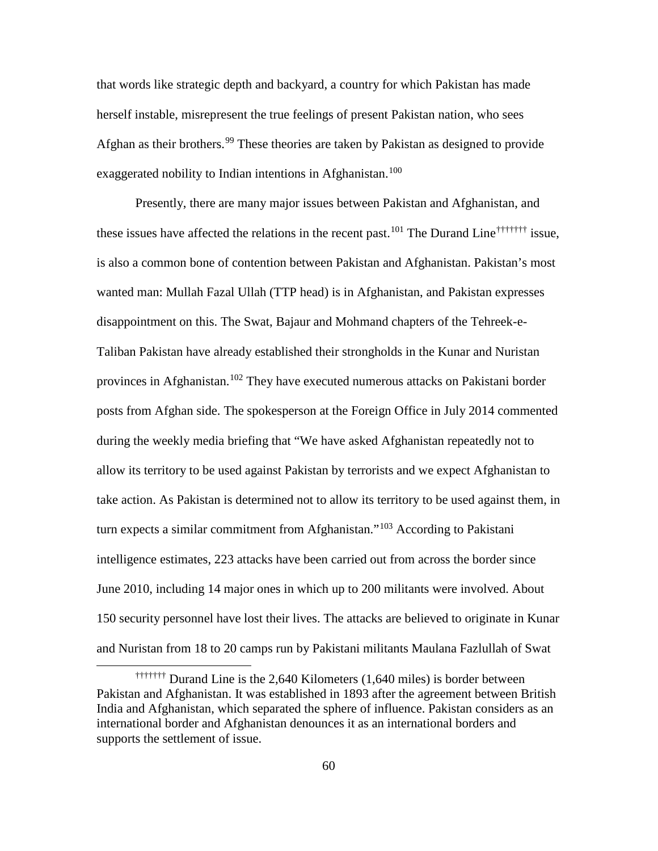<span id="page-68-1"></span><span id="page-68-0"></span>that words like strategic depth and backyard, a country for which Pakistan has made herself instable, misrepresent the true feelings of present Pakistan nation, who sees Afghan as their brothers.<sup>[99](#page-105-73)</sup> These theories are taken by Pakistan as designed to provide exaggerated nobility to Indian intentions in Afghanistan.<sup>[100](#page-105-74)</sup>

<span id="page-68-2"></span>Presently, there are many major issues between Pakistan and Afghanistan, and these issues have affected the relations in the recent past.<sup>[101](#page-105-75)</sup> The Durand L[i](#page-68-3)ne<sup>†††††††</sup> issue, is also a common bone of contention between Pakistan and Afghanistan. Pakistan's most wanted man: Mullah Fazal Ullah (TTP head) is in Afghanistan, and Pakistan expresses disappointment on this. The Swat, Bajaur and Mohmand chapters of the Tehreek-e-Taliban Pakistan have already established their strongholds in the Kunar and Nuristan provinces in Afghanistan.<sup>[102](#page-105-76)</sup> They have executed numerous attacks on Pakistani border posts from Afghan side. The spokesperson at the Foreign Office in July 2014 commented during the weekly media briefing that "We have asked Afghanistan repeatedly not to allow its territory to be used against Pakistan by terrorists and we expect Afghanistan to take action. As Pakistan is determined not to allow its territory to be used against them, in turn expects a similar commitment from Afghanistan."<sup>[103](#page-105-21)</sup> According to Pakistani intelligence estimates, 223 attacks have been carried out from across the border since June 2010, including 14 major ones in which up to 200 militants were involved. About 150 security personnel have lost their lives. The attacks are believed to originate in Kunar and Nuristan from 18 to 20 camps run by Pakistani militants Maulana Fazlullah of Swat

<span id="page-68-3"></span><sup>†††††††</sup> Durand Line is the 2,640 Kilometers (1,640 miles) is border between Pakistan and Afghanistan. It was established in 1893 after the agreement between British India and Afghanistan, which separated the sphere of influence. Pakistan considers as an international border and Afghanistan denounces it as an international borders and supports the settlement of issue.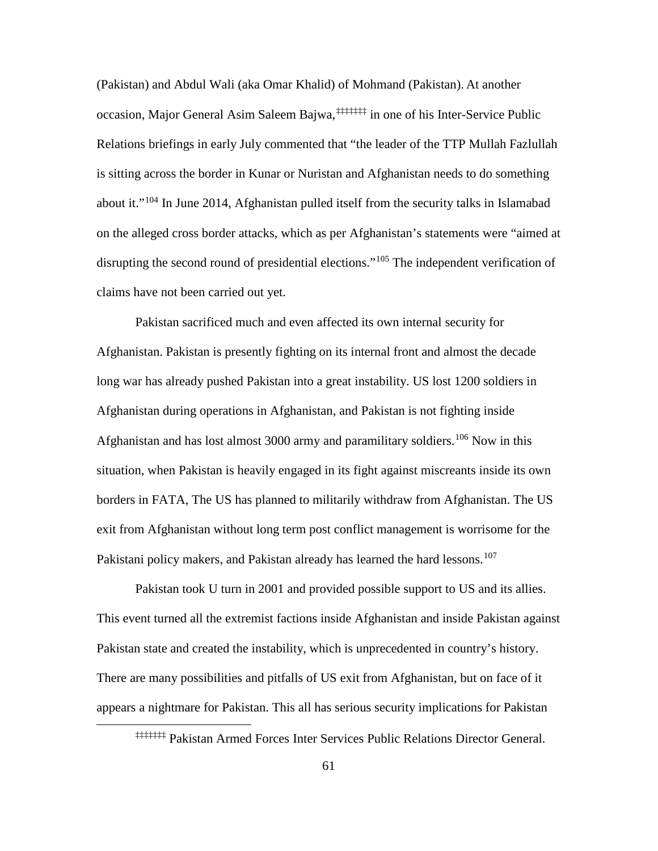<span id="page-69-0"></span>(Pakistan) and Abdul Wali (aka Omar Khalid) of Mohmand (Pakistan). At another occasion, Major General Asim Saleem Bajwa,<sup>[‡](#page-69-5)‡‡‡‡‡‡</sup> in one of his Inter-Service Public Relations briefings in early July commented that "the leader of the TTP Mullah Fazlullah is sitting across the border in Kunar or Nuristan and Afghanistan needs to do something about it."<sup>[104](#page-105-77)</sup> In June 2014, Afghanistan pulled itself from the security talks in Islamabad on the alleged cross border attacks, which as per Afghanistan's statements were "aimed at disrupting the second round of presidential elections."<sup>[105](#page-105-69)</sup> The independent verification of claims have not been carried out yet.

<span id="page-69-4"></span><span id="page-69-3"></span><span id="page-69-2"></span><span id="page-69-1"></span>Pakistan sacrificed much and even affected its own internal security for Afghanistan. Pakistan is presently fighting on its internal front and almost the decade long war has already pushed Pakistan into a great instability. US lost 1200 soldiers in Afghanistan during operations in Afghanistan, and Pakistan is not fighting inside Afghanistan and has lost almost 3000 army and paramilitary soldiers.<sup>[106](#page-105-70)</sup> Now in this situation, when Pakistan is heavily engaged in its fight against miscreants inside its own borders in FATA, The US has planned to militarily withdraw from Afghanistan. The US exit from Afghanistan without long term post conflict management is worrisome for the Pakistani policy makers, and Pakistan already has learned the hard lessons.<sup>[107](#page-105-3)</sup>

Pakistan took U turn in 2001 and provided possible support to US and its allies. This event turned all the extremist factions inside Afghanistan and inside Pakistan against Pakistan state and created the instability, which is unprecedented in country's history. There are many possibilities and pitfalls of US exit from Afghanistan, but on face of it appears a nightmare for Pakistan. This all has serious security implications for Pakistan

<span id="page-69-5"></span><sup>‡‡‡‡‡‡‡</sup> Pakistan Armed Forces Inter Services Public Relations Director General.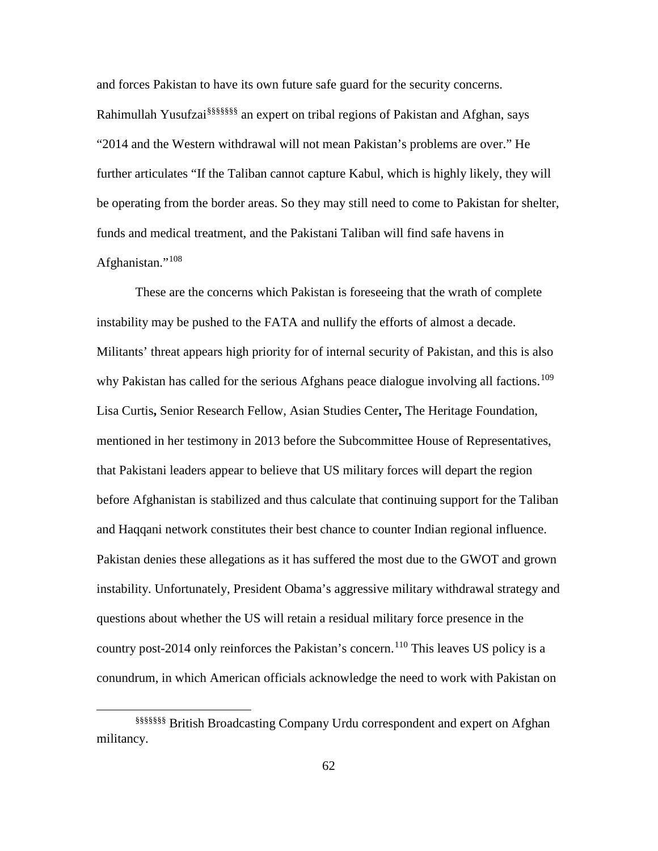and forces Pakistan to have its own future safe guard for the security concerns. Rahimullah Yusufzai§§§§§§[§](#page-70-9) an expert on tribal regions of Pakistan and Afghan, says "2014 and the Western withdrawal will not mean Pakistan's problems are over." He further articulates "If the Taliban cannot capture Kabul, which is highly likely, they will be operating from the border areas. So they may still need to come to Pakistan for shelter, funds and medical treatment, and the Pakistani Taliban will find safe havens in Afghanistan."<sup>[108](#page-105-4)</sup>

<span id="page-70-6"></span><span id="page-70-5"></span><span id="page-70-4"></span><span id="page-70-3"></span><span id="page-70-2"></span><span id="page-70-1"></span><span id="page-70-0"></span>These are the concerns which Pakistan is foreseeing that the wrath of complete instability may be pushed to the FATA and nullify the efforts of almost a decade. Militants' threat appears high priority for of internal security of Pakistan, and this is also why Pakistan has called for the serious Afghans peace dialogue involving all factions.<sup>[109](#page-105-78)</sup> Lisa Curtis**,** Senior Research Fellow, Asian Studies Center**,** The Heritage Foundation, mentioned in her testimony in 2013 before the Subcommittee House of Representatives, that Pakistani leaders appear to believe that US military forces will depart the region before Afghanistan is stabilized and thus calculate that continuing support for the Taliban and Haqqani network constitutes their best chance to counter Indian regional influence. Pakistan denies these allegations as it has suffered the most due to the GWOT and grown instability. Unfortunately, President Obama's aggressive military withdrawal strategy and questions about whether the US will retain a residual military force presence in the country post-2014 only reinforces the Pakistan's concern.<sup>[110](#page-105-79)</sup> This leaves US policy is a conundrum, in which American officials acknowledge the need to work with Pakistan on

<span id="page-70-9"></span><span id="page-70-8"></span><span id="page-70-7"></span><sup>§§§§§§§</sup> British Broadcasting Company Urdu correspondent and expert on Afghan militancy.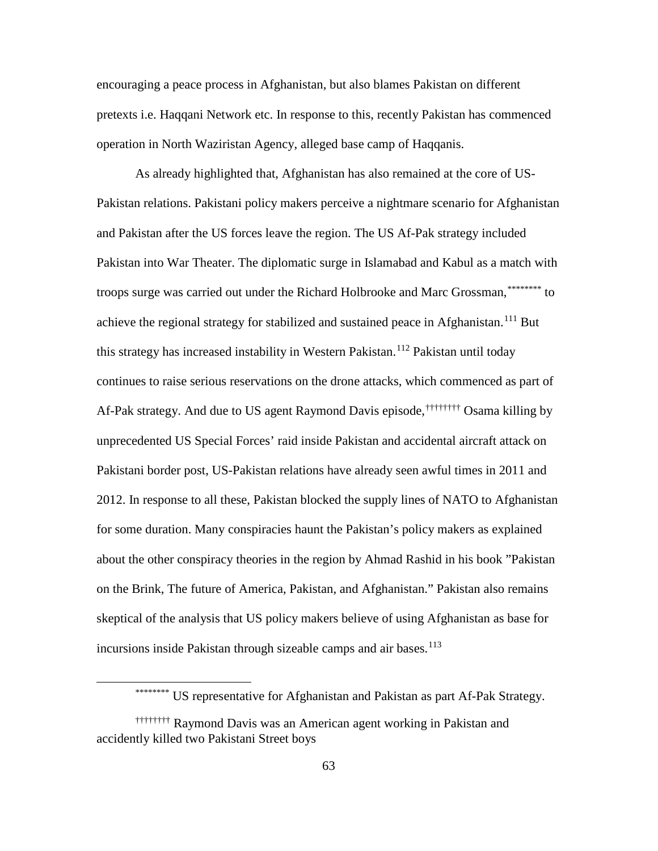<span id="page-71-4"></span>encouraging a peace process in Afghanistan, but also blames Pakistan on different pretexts i.e. Haqqani Network etc. In response to this, recently Pakistan has commenced operation in North Waziristan Agency, alleged base camp of Haqqanis.

As already highlighted that, Afghanistan has also remained at the core of US-Pakistan relations. Pakistani policy makers perceive a nightmare scenario for Afghanistan and Pakistan after the US forces leave the region. The US Af-Pak strategy included Pakistan into War Theater. The diplomatic surge in Islamabad and Kabul as a match with troops surge was carried out under the Richard Holbrooke and Marc Grossman,[\\*](#page-71-5)\*\*\*\*\*\*\*\*\* to Af-Pak strategy. And due to US agent Raymond Davis episode,<sup>††††††††</sup> [O](#page-71-6)sama killing by achieve the regional strategy for stabilized and sustained peace in Afghanistan.<sup>[111](#page-105-29)</sup> But this strategy has increased instability in Western Pakistan.<sup>[112](#page-105-30)</sup> Pakistan until today continues to raise serious reservations on the drone attacks, which commenced as part of unprecedented US Special Forces' raid inside Pakistan and accidental aircraft attack on Pakistani border post, US-Pakistan relations have already seen awful times in 2011 and 2012. In response to all these, Pakistan blocked the supply lines of NATO to Afghanistan for some duration. Many conspiracies haunt the Pakistan's policy makers as explained about the other conspiracy theories in the region by Ahmad Rashid in his book "Pakistan on the Brink, The future of America, Pakistan, and Afghanistan." Pakistan also remains skeptical of the analysis that US policy makers believe of using Afghanistan as base for incursions inside Pakistan through sizeable camps and air bases.<sup>[113](#page-105-80)</sup>

<sup>\*\*\*\*\*\*\*\*\*</sup> US representative for Afghanistan and Pakistan as part Af-Pak Strategy.

<span id="page-71-6"></span><span id="page-71-5"></span><span id="page-71-3"></span><span id="page-71-2"></span><span id="page-71-1"></span><span id="page-71-0"></span><sup>††††††††</sup> Raymond Davis was an American agent working in Pakistan and accidently killed two Pakistani Street boys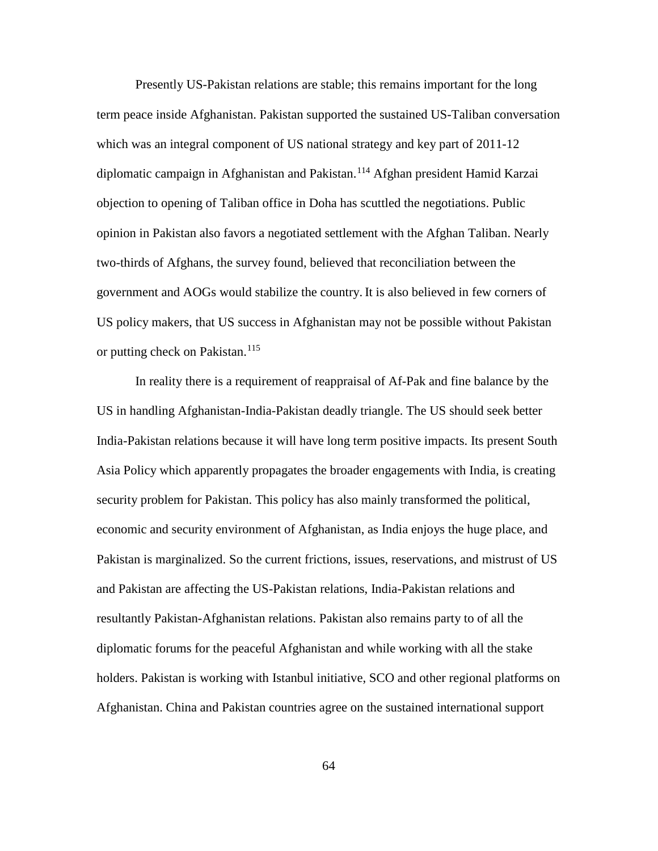Presently US-Pakistan relations are stable; this remains important for the long term peace inside Afghanistan. Pakistan supported the sustained US-Taliban conversation which was an integral component of US national strategy and key part of 2011-12 diplomatic campaign in Afghanistan and Pakistan.[114](#page-105-0) Afghan president Hamid Karzai objection to opening of Taliban office in Doha has scuttled the negotiations. Public opinion in Pakistan also favors a negotiated settlement with the Afghan Taliban. Nearly two-thirds of Afghans, the survey found, believed that reconciliation between the government and AOGs would stabilize the country. It is also believed in few corners of US policy makers, that US success in Afghanistan may not be possible without Pakistan or putting check on Pakistan.<sup>[115](#page-105-1)</sup>

In reality there is a requirement of reappraisal of Af-Pak and fine balance by the US in handling Afghanistan-India-Pakistan deadly triangle. The US should seek better India-Pakistan relations because it will have long term positive impacts. Its present South Asia Policy which apparently propagates the broader engagements with India, is creating security problem for Pakistan. This policy has also mainly transformed the political, economic and security environment of Afghanistan, as India enjoys the huge place, and Pakistan is marginalized. So the current frictions, issues, reservations, and mistrust of US and Pakistan are affecting the US-Pakistan relations, India-Pakistan relations and resultantly Pakistan-Afghanistan relations. Pakistan also remains party to of all the diplomatic forums for the peaceful Afghanistan and while working with all the stake holders. Pakistan is working with Istanbul initiative, SCO and other regional platforms on Afghanistan. China and Pakistan countries agree on the sustained international support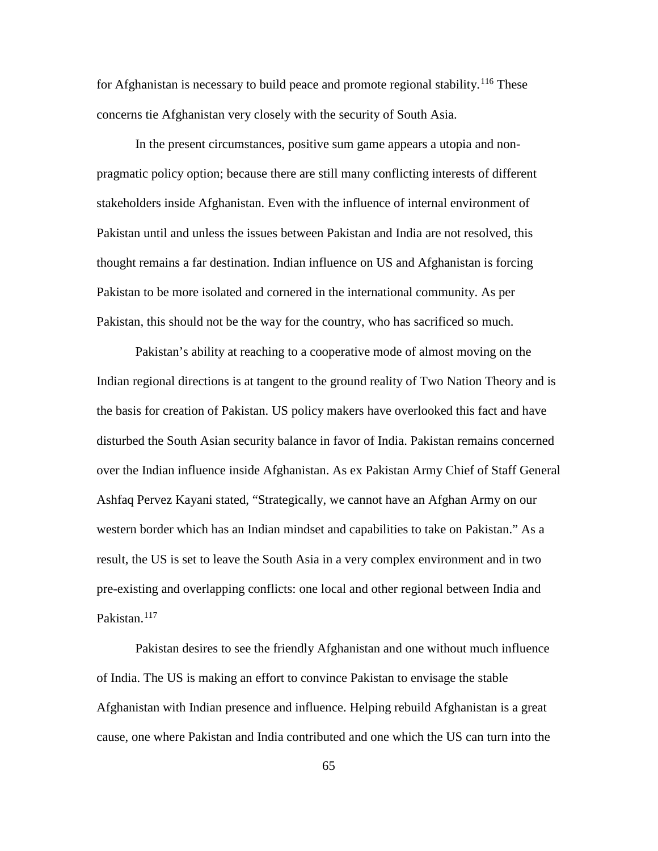for Afghanistan is necessary to build peace and promote regional stability.<sup>[116](#page-105-2)</sup> These concerns tie Afghanistan very closely with the security of South Asia.

In the present circumstances, positive sum game appears a utopia and nonpragmatic policy option; because there are still many conflicting interests of different stakeholders inside Afghanistan. Even with the influence of internal environment of Pakistan until and unless the issues between Pakistan and India are not resolved, this thought remains a far destination. Indian influence on US and Afghanistan is forcing Pakistan to be more isolated and cornered in the international community. As per Pakistan, this should not be the way for the country, who has sacrificed so much.

Pakistan's ability at reaching to a cooperative mode of almost moving on the Indian regional directions is at tangent to the ground reality of Two Nation Theory and is the basis for creation of Pakistan. US policy makers have overlooked this fact and have disturbed the South Asian security balance in favor of India. Pakistan remains concerned over the Indian influence inside Afghanistan. As ex Pakistan Army Chief of Staff General Ashfaq Pervez Kayani stated, "Strategically, we cannot have an Afghan Army on our western border which has an Indian mindset and capabilities to take on Pakistan." As a result, the US is set to leave the South Asia in a very complex environment and in two pre-existing and overlapping conflicts: one local and other regional between India and Pakistan.<sup>[117](#page-105-3)</sup>

Pakistan desires to see the friendly Afghanistan and one without much influence of India. The US is making an effort to convince Pakistan to envisage the stable Afghanistan with Indian presence and influence. Helping rebuild Afghanistan is a great cause, one where Pakistan and India contributed and one which the US can turn into the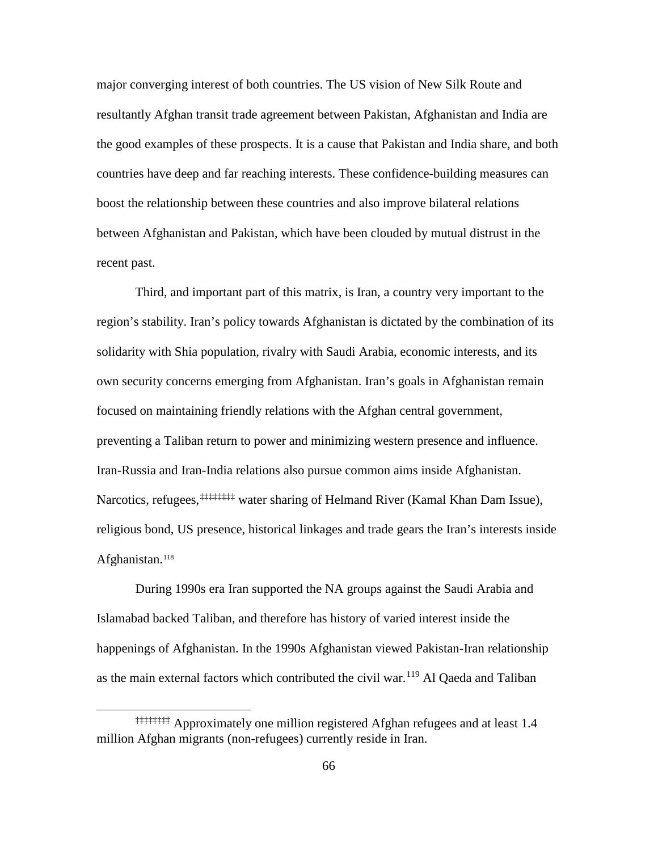major converging interest of both countries. The US vision of New Silk Route and resultantly Afghan transit trade agreement between Pakistan, Afghanistan and India are the good examples of these prospects. It is a cause that Pakistan and India share, and both countries have deep and far reaching interests. These confidence-building measures can boost the relationship between these countries and also improve bilateral relations between Afghanistan and Pakistan, which have been clouded by mutual distrust in the recent past.

Third, and important part of this matrix, is Iran, a country very important to the region's stability. Iran's policy towards Afghanistan is dictated by the combination of its solidarity with Shia population, rivalry with Saudi Arabia, economic interests, and its own security concerns emerging from Afghanistan. Iran's goals in Afghanistan remain focused on maintaining friendly relations with the Afghan central government, preventing a Taliban return to power and minimizing western presence and influence. Iran-Russia and Iran-India relations also pursue common aims inside Afghanistan. Narcotics, refugees,<sup>‡‡‡‡‡‡‡‡</sup> [w](#page-74-0)ater sharing of Helmand River (Kamal Khan Dam Issue), religious bond, US presence, historical linkages and trade gears the Iran's interests inside Afghanistan.<sup>[118](#page-105-4)</sup>

During 1990s era Iran supported the NA groups against the Saudi Arabia and Islamabad backed Taliban, and therefore has history of varied interest inside the happenings of Afghanistan. In the 1990s Afghanistan viewed Pakistan-Iran relationship as the main external factors which contributed the civil war.<sup>[119](#page-105-5)</sup> Al Qaeda and Taliban

 $\overline{a}$ 

<span id="page-74-0"></span><sup>‡‡‡‡‡‡‡‡</sup> Approximately one million registered Afghan refugees and at least 1.4 million Afghan migrants (non-refugees) currently reside in Iran.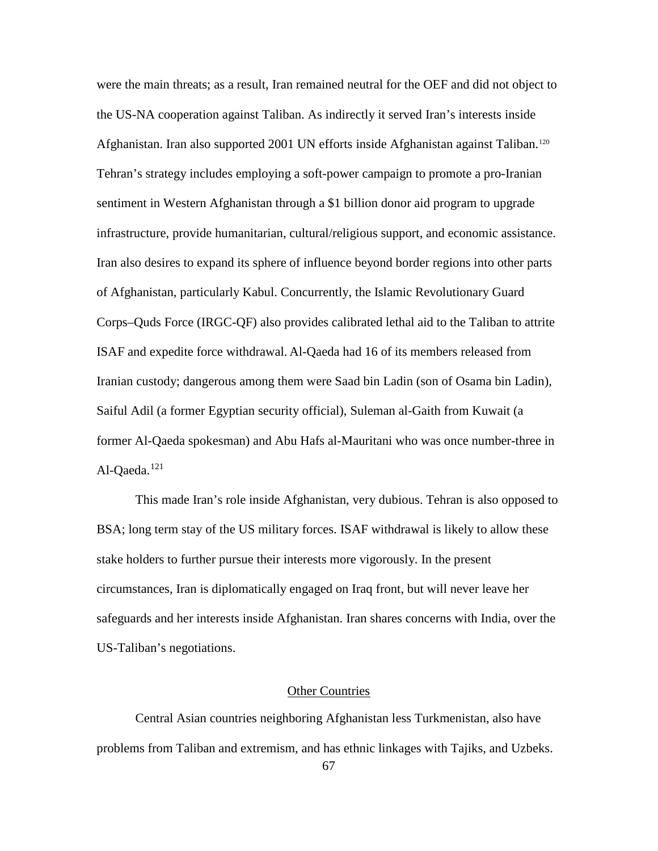were the main threats; as a result, Iran remained neutral for the OEF and did not object to the US-NA cooperation against Taliban. As indirectly it served Iran's interests inside Afghanistan. Iran also supported 2001 UN efforts inside Afghanistan against Taliban.[120](#page-105-6) Tehran's strategy includes employing a soft-power campaign to promote a pro-Iranian sentiment in Western Afghanistan through a \$1 billion donor aid program to upgrade infrastructure, provide humanitarian, cultural/religious support, and economic assistance. Iran also desires to expand its sphere of influence beyond border regions into other parts of Afghanistan, particularly Kabul. Concurrently, the Islamic Revolutionary Guard Corps–Quds Force (IRGC-QF) also provides calibrated lethal aid to the Taliban to attrite ISAF and expedite force withdrawal. Al-Qaeda had 16 of its members released from Iranian custody; dangerous among them were Saad bin Ladin (son of Osama bin Ladin), Saiful Adil (a former Egyptian security official), Suleman al-Gaith from Kuwait (a former Al-Qaeda spokesman) and Abu Hafs al-Mauritani who was once number-three in Al-Oaeda. $121$ 

This made Iran's role inside Afghanistan, very dubious. Tehran is also opposed to BSA; long term stay of the US military forces. ISAF withdrawal is likely to allow these stake holders to further pursue their interests more vigorously. In the present circumstances, Iran is diplomatically engaged on Iraq front, but will never leave her safeguards and her interests inside Afghanistan. Iran shares concerns with India, over the US-Taliban's negotiations.

## Other Countries

Central Asian countries neighboring Afghanistan less Turkmenistan, also have problems from Taliban and extremism, and has ethnic linkages with Tajiks, and Uzbeks.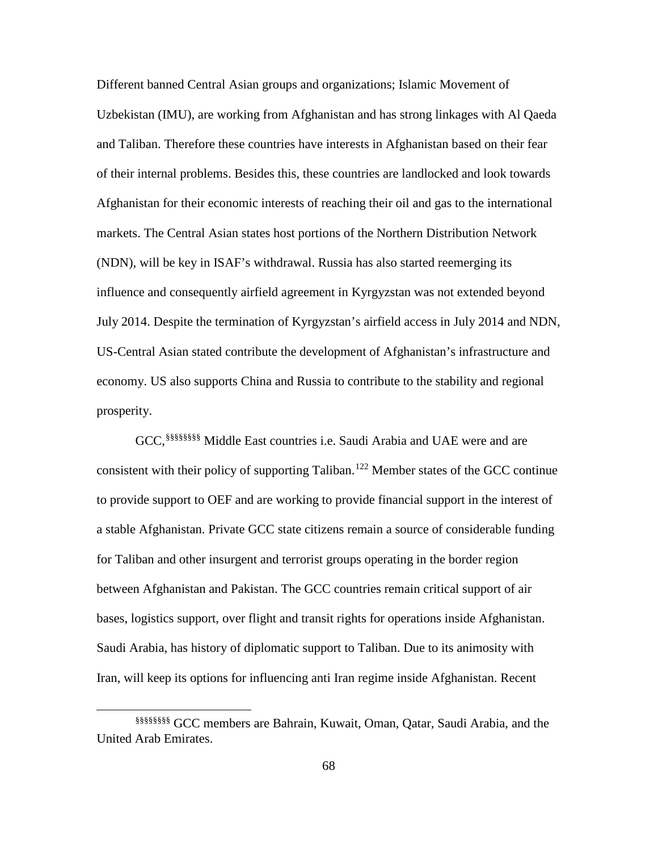Different banned Central Asian groups and organizations; Islamic Movement of Uzbekistan (IMU), are working from Afghanistan and has strong linkages with Al Qaeda and Taliban. Therefore these countries have interests in Afghanistan based on their fear of their internal problems. Besides this, these countries are landlocked and look towards Afghanistan for their economic interests of reaching their oil and gas to the international markets. The Central Asian states host portions of the Northern Distribution Network (NDN), will be key in ISAF's withdrawal. Russia has also started reemerging its influence and consequently airfield agreement in Kyrgyzstan was not extended beyond July 2014. Despite the termination of Kyrgyzstan's airfield access in July 2014 and NDN, US-Central Asian stated contribute the development of Afghanistan's infrastructure and economy. US also supports China and Russia to contribute to the stability and regional prosperity.

GCC, §§§§§§§§ [M](#page-76-0)iddle East countries i.e. Saudi Arabia and UAE were and are consistent with their policy of supporting Taliban.<sup>[122](#page-105-8)</sup> Member states of the GCC continue to provide support to OEF and are working to provide financial support in the interest of a stable Afghanistan. Private GCC state citizens remain a source of considerable funding for Taliban and other insurgent and terrorist groups operating in the border region between Afghanistan and Pakistan. The GCC countries remain critical support of air bases, logistics support, over flight and transit rights for operations inside Afghanistan. Saudi Arabia, has history of diplomatic support to Taliban. Due to its animosity with Iran, will keep its options for influencing anti Iran regime inside Afghanistan. Recent

 $\overline{a}$ 

<span id="page-76-0"></span><sup>§§§§§§§§</sup> GCC members are Bahrain, Kuwait, Oman, Qatar, Saudi Arabia, and the United Arab Emirates.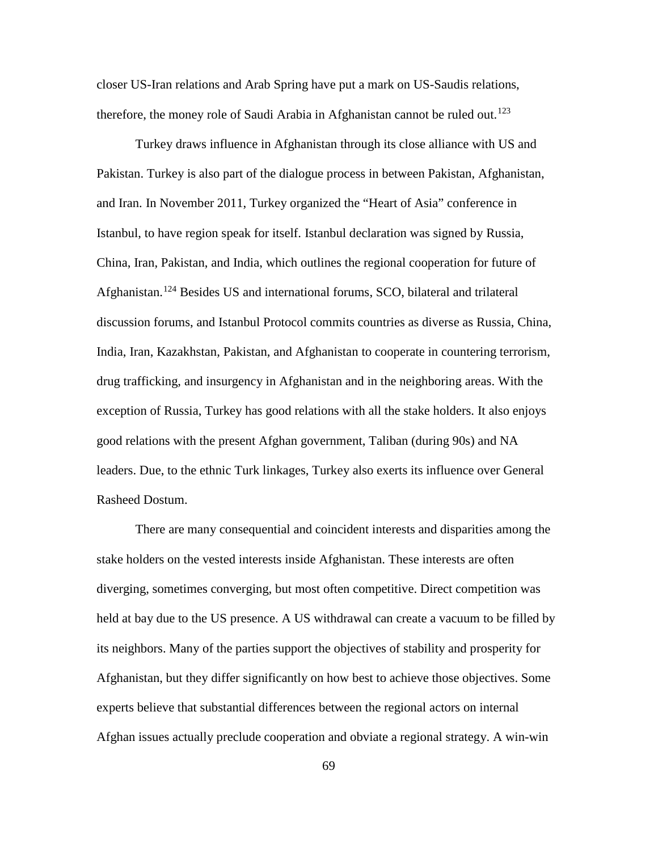closer US-Iran relations and Arab Spring have put a mark on US-Saudis relations, therefore, the money role of Saudi Arabia in Afghanistan cannot be ruled out.<sup>[123](#page-105-9)</sup>

Turkey draws influence in Afghanistan through its close alliance with US and Pakistan. Turkey is also part of the dialogue process in between Pakistan, Afghanistan, and Iran. In November 2011, Turkey organized the "Heart of Asia" conference in Istanbul, to have region speak for itself. Istanbul declaration was signed by Russia, China, Iran, Pakistan, and India, which outlines the regional cooperation for future of Afghanistan.<sup>[124](#page-105-10)</sup> Besides US and international forums, SCO, bilateral and trilateral discussion forums, and Istanbul Protocol commits countries as diverse as Russia, China, India, Iran, Kazakhstan, Pakistan, and Afghanistan to cooperate in countering terrorism, drug trafficking, and insurgency in Afghanistan and in the neighboring areas. With the exception of Russia, Turkey has good relations with all the stake holders. It also enjoys good relations with the present Afghan government, Taliban (during 90s) and NA leaders. Due, to the ethnic Turk linkages, Turkey also exerts its influence over General Rasheed Dostum.

There are many consequential and coincident interests and disparities among the stake holders on the vested interests inside Afghanistan. These interests are often diverging, sometimes converging, but most often competitive. Direct competition was held at bay due to the US presence. A US withdrawal can create a vacuum to be filled by its neighbors. Many of the parties support the objectives of stability and prosperity for Afghanistan, but they differ significantly on how best to achieve those objectives. Some experts believe that substantial differences between the regional actors on internal Afghan issues actually preclude cooperation and obviate a regional strategy. A win-win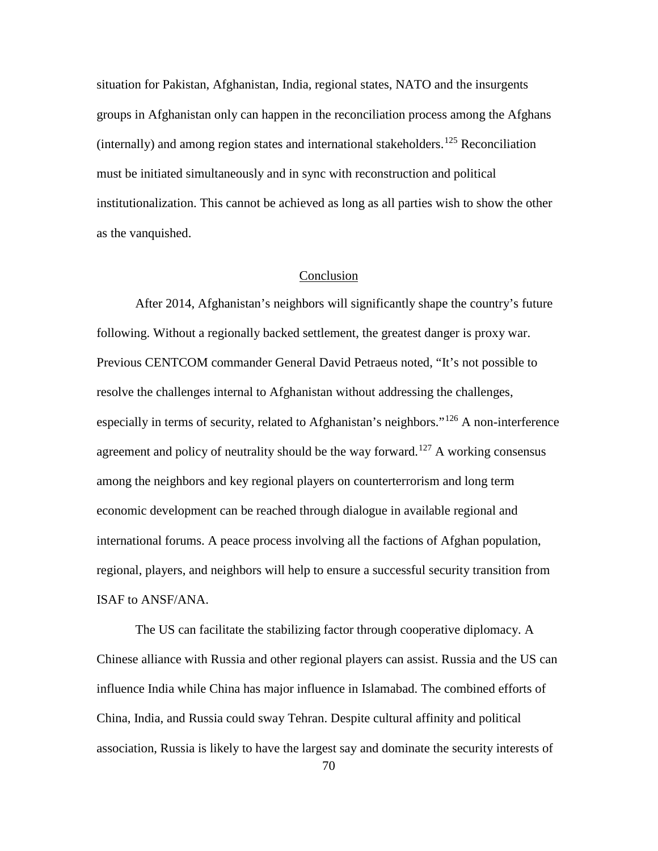situation for Pakistan, Afghanistan, India, regional states, NATO and the insurgents groups in Afghanistan only can happen in the reconciliation process among the Afghans (internally) and among region states and international stakeholders.<sup>[125](#page-105-11)</sup> Reconciliation must be initiated simultaneously and in sync with reconstruction and political institutionalization. This cannot be achieved as long as all parties wish to show the other as the vanquished.

## Conclusion

After 2014, Afghanistan's neighbors will significantly shape the country's future following. Without a regionally backed settlement, the greatest danger is proxy war. Previous CENTCOM commander General David Petraeus noted, "It's not possible to resolve the challenges internal to Afghanistan without addressing the challenges, especially in terms of security, related to Afghanistan's neighbors."<sup>[126](#page-105-12)</sup> A non-interference agreement and policy of neutrality should be the way forward.<sup>[127](#page-105-13)</sup> A working consensus among the neighbors and key regional players on counterterrorism and long term economic development can be reached through dialogue in available regional and international forums. A peace process involving all the factions of Afghan population, regional, players, and neighbors will help to ensure a successful security transition from ISAF to ANSF/ANA.

The US can facilitate the stabilizing factor through cooperative diplomacy. A Chinese alliance with Russia and other regional players can assist. Russia and the US can influence India while China has major influence in Islamabad. The combined efforts of China, India, and Russia could sway Tehran. Despite cultural affinity and political association, Russia is likely to have the largest say and dominate the security interests of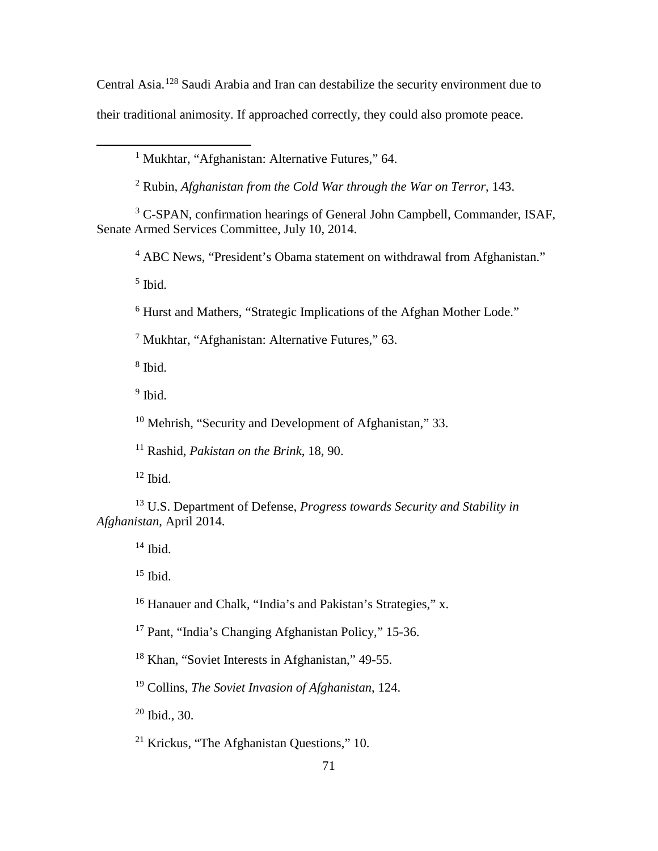Central Asia.[128](#page-105-14) Saudi Arabia and Iran can destabilize the security environment due to their traditional animosity. If approached correctly, they could also promote peace.

<sup>1</sup> Mukhtar, "Afghanistan: Alternative Futures," 64.

<sup>2</sup> Rubin, *Afghanistan from the Cold War through the War on Terror*, 143.

<sup>3</sup> C-SPAN, confirmation hearings of General John Campbell, Commander, ISAF, Senate Armed Services Committee, July 10, 2014.

<sup>4</sup> ABC News, "President's Obama statement on withdrawal from Afghanistan."

 $<sup>5</sup>$  Ibid.</sup>

 $\overline{a}$ 

<sup>6</sup> Hurst and Mathers, "Strategic Implications of the Afghan Mother Lode."

<sup>7</sup> Mukhtar, "Afghanistan: Alternative Futures," 63.

<sup>8</sup> Ibid.

 $9$  Ibid.

<sup>10</sup> Mehrish, "Security and Development of Afghanistan," 33.

<sup>11</sup> Rashid, *Pakistan on the Brink*, 18, 90.

 $12$  Ibid.

<sup>13</sup> U.S. Department of Defense, *Progress towards Security and Stability in Afghanistan*, April 2014.

 $14$  Ibid.

 $15$  Ibid.

<sup>16</sup> Hanauer and Chalk, "India's and Pakistan's Strategies," x.

<sup>17</sup> Pant, "India's Changing Afghanistan Policy," 15-36.

<sup>18</sup> Khan, "Soviet Interests in Afghanistan," 49-55.

<sup>19</sup> Collins, *The Soviet Invasion of Afghanistan*, 124.

 $20$  Ibid., 30.

<sup>21</sup> Krickus, "The Afghanistan Questions," 10.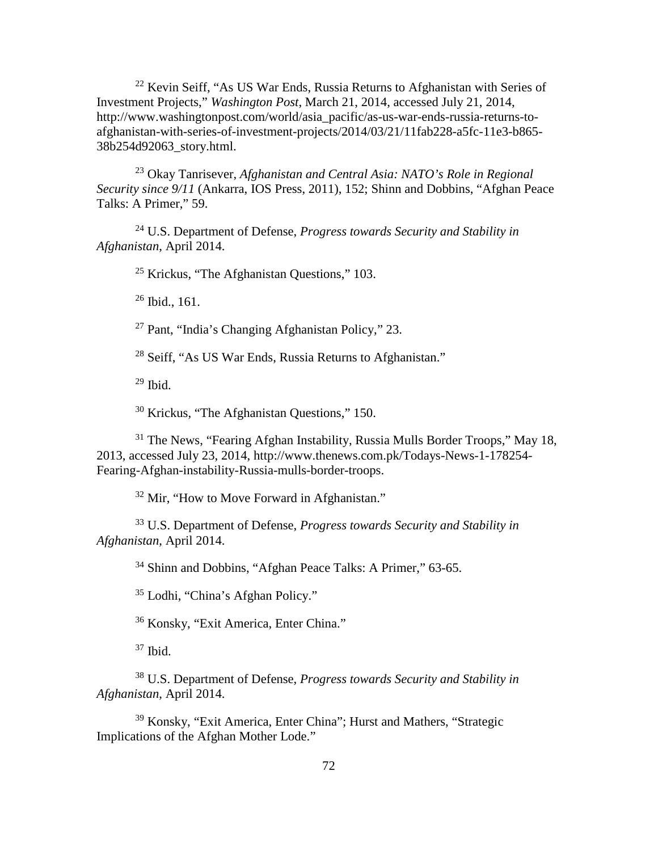<sup>22</sup> Kevin Seiff, "As US War Ends, Russia Returns to Afghanistan with Series of Investment Projects," *Washington Post*, March 21, 2014, accessed July 21, 2014, http://www.washingtonpost.com/world/asia\_pacific/as-us-war-ends-russia-returns-toafghanistan-with-series-of-investment-projects/2014/03/21/11fab228-a5fc-11e3-b865- 38b254d92063\_story.html.

<sup>23</sup> Okay Tanrisever, *Afghanistan and Central Asia: NATO's Role in Regional Security since 9/11* (Ankarra, IOS Press, 2011), 152; Shinn and Dobbins, "Afghan Peace Talks: A Primer," 59.

<sup>24</sup> U.S. Department of Defense, *Progress towards Security and Stability in Afghanistan*, April 2014.

<sup>25</sup> Krickus, "The Afghanistan Questions," 103.

<sup>26</sup> Ibid., 161.

<sup>27</sup> Pant, "India's Changing Afghanistan Policy," 23.

<sup>28</sup> Seiff, "As US War Ends, Russia Returns to Afghanistan."

 $29$  Ibid.

<sup>30</sup> Krickus, "The Afghanistan Questions," 150.

<sup>31</sup> The News, "Fearing Afghan Instability, Russia Mulls Border Troops," May 18, 2013, accessed July 23, 2014, http://www.thenews.com.pk/Todays-News-1-178254- Fearing-Afghan-instability-Russia-mulls-border-troops.

<sup>32</sup> Mir. "How to Move Forward in Afghanistan."

<sup>33</sup> U.S. Department of Defense, *Progress towards Security and Stability in Afghanistan*, April 2014.

<sup>34</sup> Shinn and Dobbins, "Afghan Peace Talks: A Primer," 63-65.

<sup>35</sup> Lodhi, "China's Afghan Policy."

<sup>36</sup> [Konsky,](http://www.brownpoliticalreview.org/author/jkonsky/) ["Exit America, Enter China.](http://www.brownpoliticalreview.org/2013/12/exit-america-enter-china-the-promise-of-chinese-development-in-afghanistan/)"

 $37$  Ibid.

<sup>38</sup> U.S. Department of Defense, *Progress towards Security and Stability in Afghanistan*, April 2014.

<sup>39</sup> [Konsky,](http://www.brownpoliticalreview.org/author/jkonsky/) ["Exit America, Enter China"](http://www.brownpoliticalreview.org/2013/12/exit-america-enter-china-the-promise-of-chinese-development-in-afghanistan/); Hurst and Mathers, "Strategic Implications of the Afghan Mother Lode."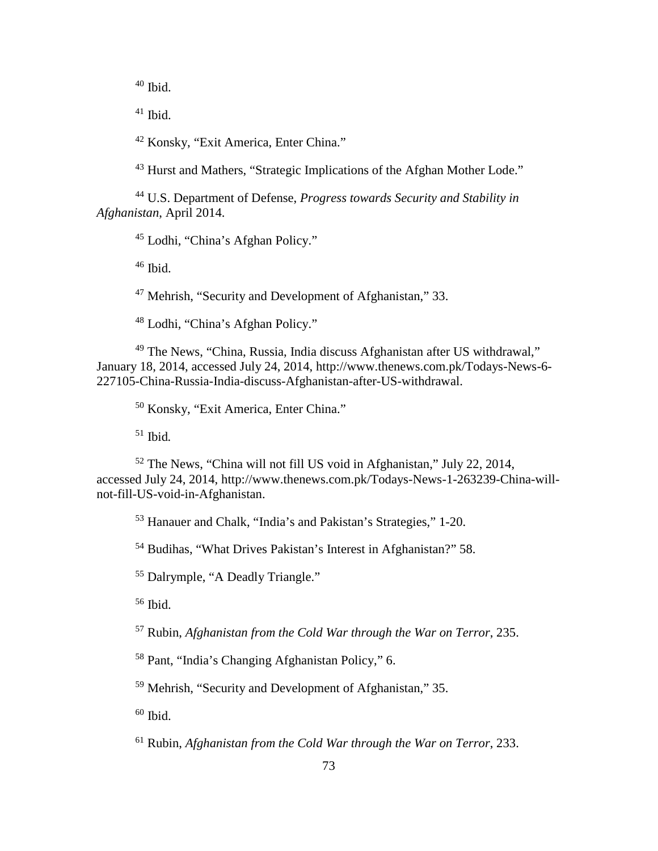Ibid.

Ibid.

[Konsky,](http://www.brownpoliticalreview.org/author/jkonsky/) ["Exit America, Enter China.](http://www.brownpoliticalreview.org/2013/12/exit-america-enter-china-the-promise-of-chinese-development-in-afghanistan/)"

Hurst and Mathers, "Strategic Implications of the Afghan Mother Lode."

 U.S. Department of Defense, *Progress towards Security and Stability in Afghanistan*, April 2014.

[Lodhi,](http://www.thenews.com.pk/TodaysPrintWriterName.aspx?ID=9&URL=Dr%20Maleeha%20Lodhi) "China's Afghan Policy."

Ibid.

Mehrish, "Security and Development of Afghanistan," 33.

[Lodhi,](http://www.thenews.com.pk/TodaysPrintWriterName.aspx?ID=9&URL=Dr%20Maleeha%20Lodhi) "China's Afghan Policy."

 The News, "China, Russia, India discuss Afghanistan after US withdrawal," January 18, 2014, accessed July 24, 2014, http://www.thenews.com.pk/Todays-News-6- 227105-China-Russia-India-discuss-Afghanistan-after-US-withdrawal.

[Konsky,](http://www.brownpoliticalreview.org/author/jkonsky/) ["Exit America, Enter China.](http://www.brownpoliticalreview.org/2013/12/exit-america-enter-china-the-promise-of-chinese-development-in-afghanistan/)"

Ibid*.*

 The News, "China will not fill US void in Afghanistan," July 22, 2014, accessed July 24, 2014, http://www.thenews.com.pk/Todays-News-1-263239-China-willnot-fill-US-void-in-Afghanistan.

Hanauer and Chalk, "India's and Pakistan's Strategies," 1-20.

Budihas, "What Drives Pakistan's Interest in Afghanistan?" 58.

Dalrymple, "A Deadly Triangle."

Ibid.

Rubin, *Afghanistan from the Cold War through the War on Terror*, 235.

Pant, "India's Changing Afghanistan Policy," 6.

Mehrish, "Security and Development of Afghanistan," 35.

Ibid.

Rubin, *Afghanistan from the Cold War through the War on Terror*, 233.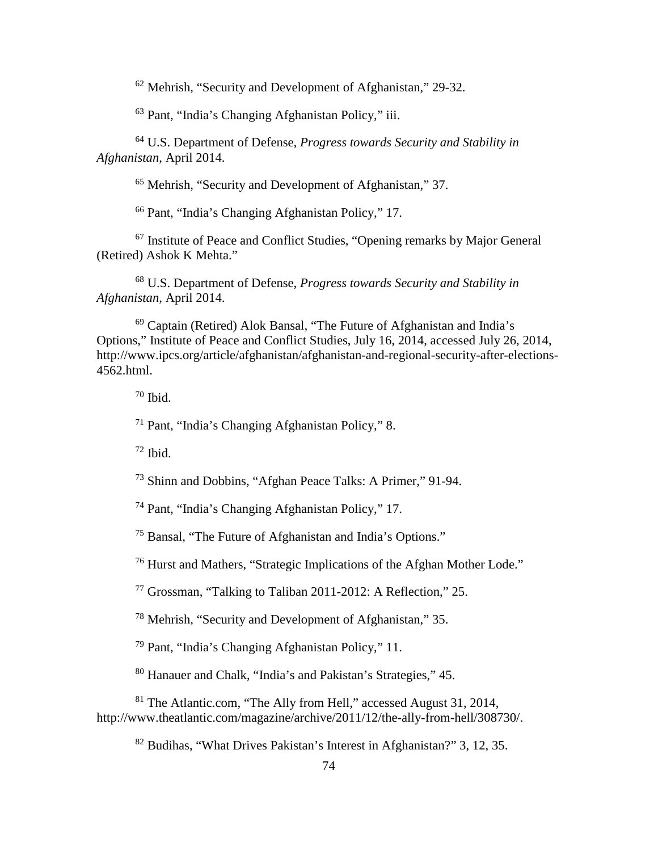Mehrish, "Security and Development of Afghanistan," 29-32.

Pant, "India's Changing Afghanistan Policy," iii.

 U.S. Department of Defense, *Progress towards Security and Stability in Afghanistan*, April 2014.

Mehrish, "Security and Development of Afghanistan," 37.

Pant, "India's Changing Afghanistan Policy," 17.

 Institute of Peace and Conflict Studies, "Opening remarks by Major General (Retired) Ashok K Mehta."

 U.S. Department of Defense, *Progress towards Security and Stability in Afghanistan*, April 2014.

 Captain (Retired) Alok Bansal, "The Future of Afghanistan and India's Options," Institute of Peace and Conflict Studies, July 16, 2014, accessed July 26, 2014, http://www.ipcs.org/article/afghanistan/afghanistan-and-regional-security-after-elections-4562.html.

Ibid.

Pant, "India's Changing Afghanistan Policy," 8.

Ibid.

Shinn and Dobbins, "Afghan Peace Talks: A Primer," 91-94.

Pant, "India's Changing Afghanistan Policy," 17.

Bansal, "The Future of Afghanistan and India's Options."

Hurst and Mathers, "Strategic Implications of the Afghan Mother Lode."

Grossman, "Talking to Taliban 2011-2012: A Reflection," 25.

Mehrish, "Security and Development of Afghanistan," 35.

Pant, "India's Changing Afghanistan Policy," 11.

Hanauer and Chalk, "India's and Pakistan's Strategies," 45.

 The Atlantic.com, "The Ally from Hell," accessed August 31, 2014, http://www.theatlantic.com/magazine/archive/2011/12/the-ally-from-hell/308730/.

Budihas, "What Drives Pakistan's Interest in Afghanistan?" 3, 12, 35.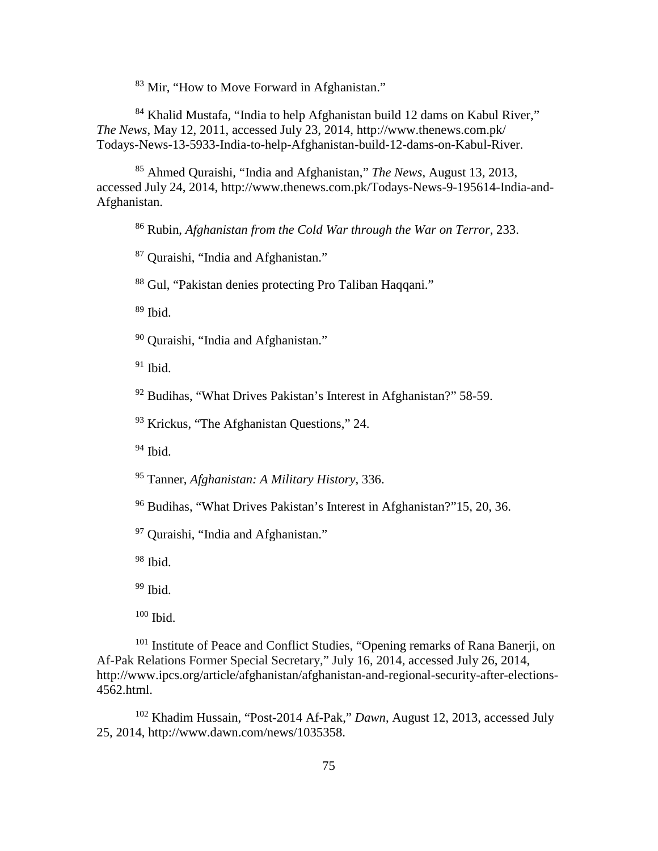<sup>83</sup> [Mir,](http://www.thenews.com.pk/TodaysPrintWriterName.aspx?ID=9&URL=Hamid%20Mir) "How to Move Forward in Afghanistan."

 [Khalid Mustafa, "](http://www.thenews.com.pk/TodaysPrintWriterName.aspx?ID=13&URL=Khalid%20Mustafa)India to help Afghanistan build 12 dams on Kabul River," *The News*, May 12, 2011, accessed July 23, 2014, http://www.thenews.com.pk/ Todays-News-13-5933-India-to-help-Afghanistan-build-12-dams-on-Kabul-River.

 [Ahmed Quraishi,](http://www.thenews.com.pk/TodaysPrintWriterName.aspx?ID=9&URL=Ahmed%20Quraishi) "India and Afghanistan," *The News*, August 13, 2013, accessed July 24, 2014, http://www.thenews.com.pk/Todays-News-9-195614-India-and-Afghanistan.

Rubin, *Afghanistan from the Cold War through the War on Terror*, 233.

[Quraishi,](http://www.thenews.com.pk/TodaysPrintWriterName.aspx?ID=9&URL=Ahmed%20Quraishi) "India and Afghanistan."

Gul, "Pakistan denies protecting Pro Taliban Haqqani."

Ibid.

[Quraishi,](http://www.thenews.com.pk/TodaysPrintWriterName.aspx?ID=9&URL=Ahmed%20Quraishi) "India and Afghanistan."

Ibid.

Budihas, "What Drives Pakistan's Interest in Afghanistan?" 58-59.

Krickus, "The Afghanistan Questions," 24.

Ibid.

Tanner, *Afghanistan: A Military History*, 336.

Budihas, "What Drives Pakistan's Interest in Afghanistan?"15, 20, 36.

[Quraishi,](http://www.thenews.com.pk/TodaysPrintWriterName.aspx?ID=9&URL=Ahmed%20Quraishi) "India and Afghanistan."

Ibid.

Ibid.

Ibid.

<sup>101</sup> Institute of Peace and Conflict Studies, "Opening remarks of Rana Banerji, on Af-Pak Relations Former Special Secretary," July 16, 2014, accessed July 26, 2014, http://www.ipcs.org/article/afghanistan/afghanistan-and-regional-security-after-elections-4562.html.

 Khadim Hussain, "Post-2014 Af-Pak," *Dawn*, August 12, 2013, accessed July 25, 2014, http://www.dawn.com/news/1035358.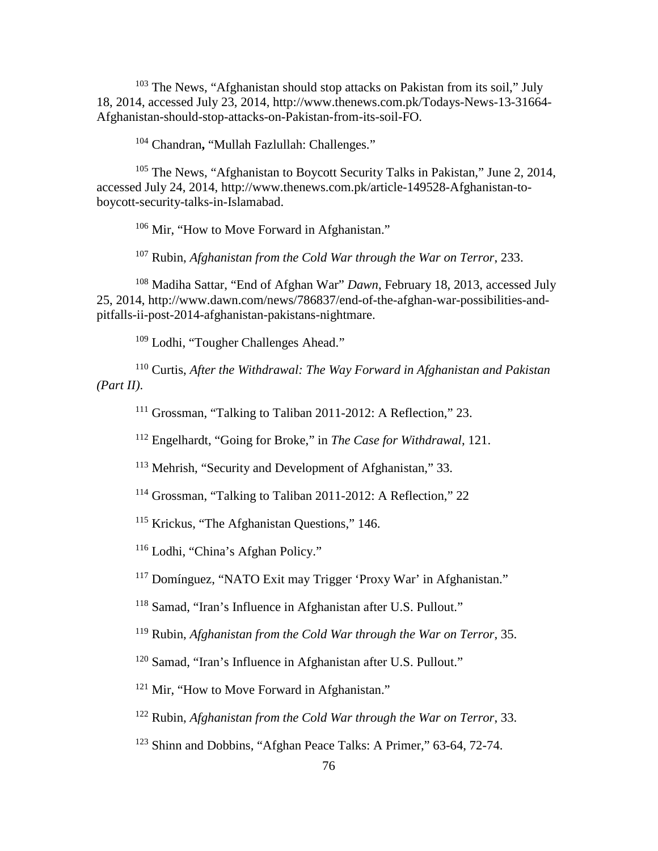<sup>103</sup> The News, "Afghanistan should stop attacks on Pakistan from its soil," July 18, 2014, accessed July 23, 2014, http://www.thenews.com.pk/Todays-News-13-31664- Afghanistan-should-stop-attacks-on-Pakistan-from-its-soil-FO.

<sup>104</sup> Chandran**,** "Mullah Fazlullah: Challenges."

<sup>105</sup> The News, "Afghanistan to Boycott Security Talks in Pakistan," June 2, 2014, accessed July 24, 2014, http://www.thenews.com.pk/article-149528-Afghanistan-toboycott-security-talks-in-Islamabad.

<sup>106</sup> Mir, "How to Move Forward in Afghanistan."

<sup>107</sup> Rubin, *Afghanistan from the Cold War through the War on Terror*, 233.

<sup>108</sup> [Madiha Sattar,](http://www.dawn.com/authors/321/dawnmadihasattar) "End of Afghan War" *Dawn*, February 18, 2013, accessed July 25, 2014, http://www.dawn.com/news/786837/end-of-the-afghan-war-possibilities-andpitfalls-ii-post-2014-afghanistan-pakistans-nightmare.

<sup>109</sup> Lodhi, "Tougher Challenges Ahead."

<sup>110</sup> Curtis, *After the Withdrawal: The Way Forward in Afghanistan and Pakistan (Part II)*.

<sup>111</sup> Grossman, "Talking to Taliban 2011-2012: A Reflection," 23.

<sup>112</sup> Engelhardt, "Going for Broke," in *The Case for Withdrawal*, 121.

<sup>113</sup> Mehrish, "Security and Development of Afghanistan," 33.

<sup>114</sup> Grossman, "Talking to Taliban 2011-2012: A Reflection," 22

<sup>115</sup> Krickus, "The Afghanistan Questions," 146.

<sup>116</sup> [Lodhi,](http://www.thenews.com.pk/TodaysPrintWriterName.aspx?ID=9&URL=Dr%20Maleeha%20Lodhi) "China's Afghan Policy."

<sup>117</sup> Domínguez, "NATO Exit may Trigger 'Proxy War' in Afghanistan."

<sup>118</sup> Samad, "Iran's Influence in Afghanistan after U.S. Pullout."

<sup>119</sup> Rubin, *Afghanistan from the Cold War through the War on Terror*, 35.

<sup>120</sup> Samad, "Iran's Influence in Afghanistan after U.S. Pullout."

<sup>121</sup> Mir, "How to Move Forward in Afghanistan."

<sup>122</sup> Rubin, *Afghanistan from the Cold War through the War on Terror*, 33.

<sup>123</sup> Shinn and Dobbins, "Afghan Peace Talks: A Primer," 63-64, 72-74.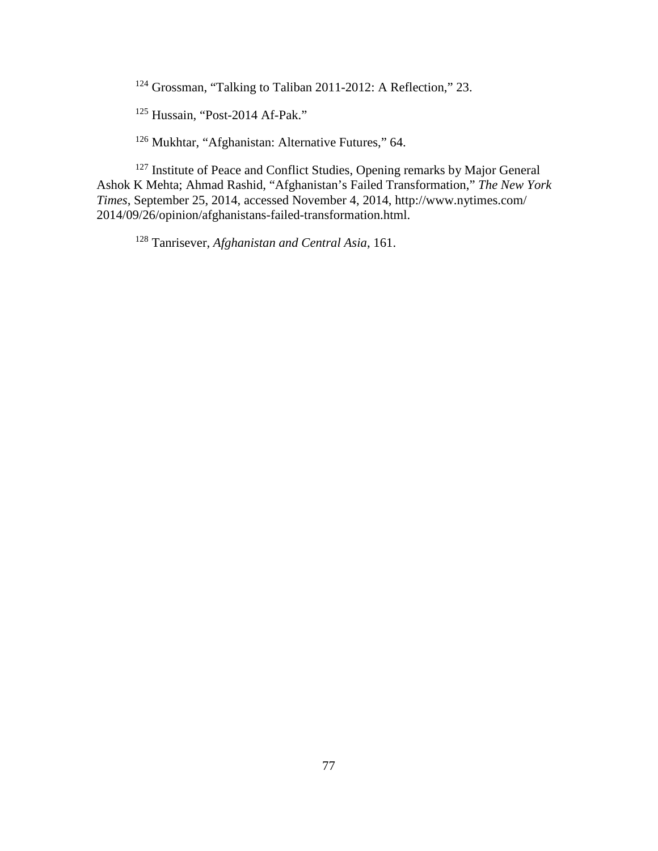<sup>124</sup> Grossman, "Talking to Taliban 2011-2012: A Reflection," 23.

<sup>125</sup> Hussain, "Post-2014 Af-Pak."

<sup>126</sup> Mukhtar, "Afghanistan: Alternative Futures," 64.

<sup>127</sup> Institute of Peace and Conflict Studies, Opening remarks by Major General Ashok K Mehta; Ahmad Rashid, "Afghanistan's Failed Transformation," *The New York Times*, September 25, 2014, accessed November 4, 2014, http://www.nytimes.com/ 2014/09/26/opinion/afghanistans-failed-transformation.html.

<sup>128</sup> Tanrisever, *Afghanistan and Central Asia*, 161.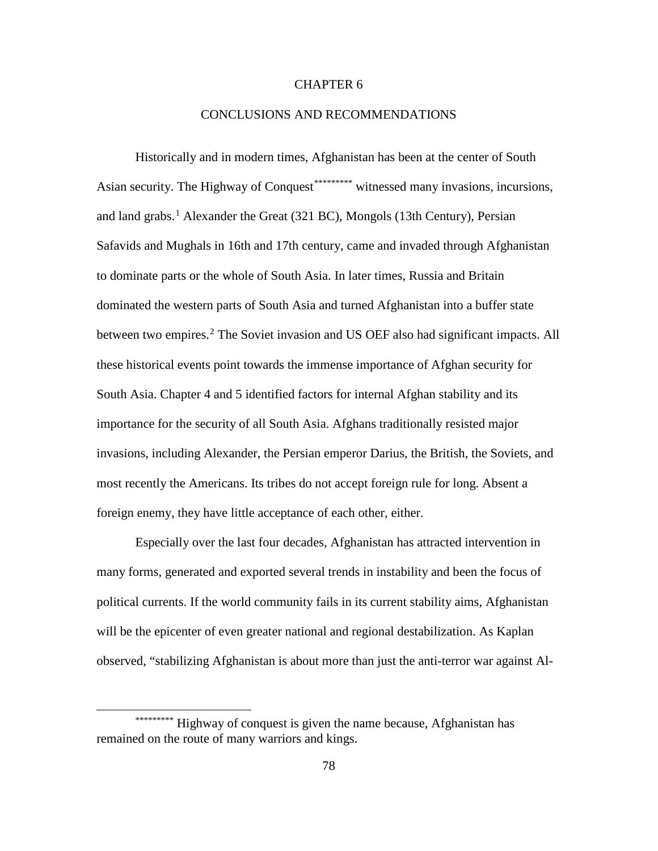# CHAPTER 6

## CONCLUSIONS AND RECOMMENDATIONS

Historically and in modern times, Afghanistan has been at the center of South Asian security. The Highway of Conquest<sup>[\\*](#page-86-0)\*\*\*\*\*\*\*\*</sup>\* witnessed many invasions, incursions, and land grabs.<sup>[1](#page-105-15)</sup> Alexander the Great (321 BC), Mongols (13th Century), Persian Safavids and Mughals in 16th and 17th century, came and invaded through Afghanistan to dominate parts or the whole of South Asia. In later times, Russia and Britain dominated the western parts of South Asia and turned Afghanistan into a buffer state between two empires.<sup>[2](#page-105-16)</sup> The Soviet invasion and US OEF also had significant impacts. All these historical events point towards the immense importance of Afghan security for South Asia. Chapter 4 and 5 identified factors for internal Afghan stability and its importance for the security of all South Asia. Afghans traditionally resisted major invasions, including Alexander, the Persian emperor Darius, the British, the Soviets, and most recently the Americans. Its tribes do not accept foreign rule for long. Absent a foreign enemy, they have little acceptance of each other, either.

Especially over the last four decades, Afghanistan has attracted intervention in many forms, generated and exported several trends in instability and been the focus of political currents. If the world community fails in its current stability aims, Afghanistan will be the epicenter of even greater national and regional destabilization. As Kaplan observed, "stabilizing Afghanistan is about more than just the anti-terror war against Al-

 $\overline{a}$ 

<span id="page-86-0"></span><sup>\*\*\*\*\*\*\*\*\*\*</sup> Highway of conquest is given the name because, Afghanistan has remained on the route of many warriors and kings.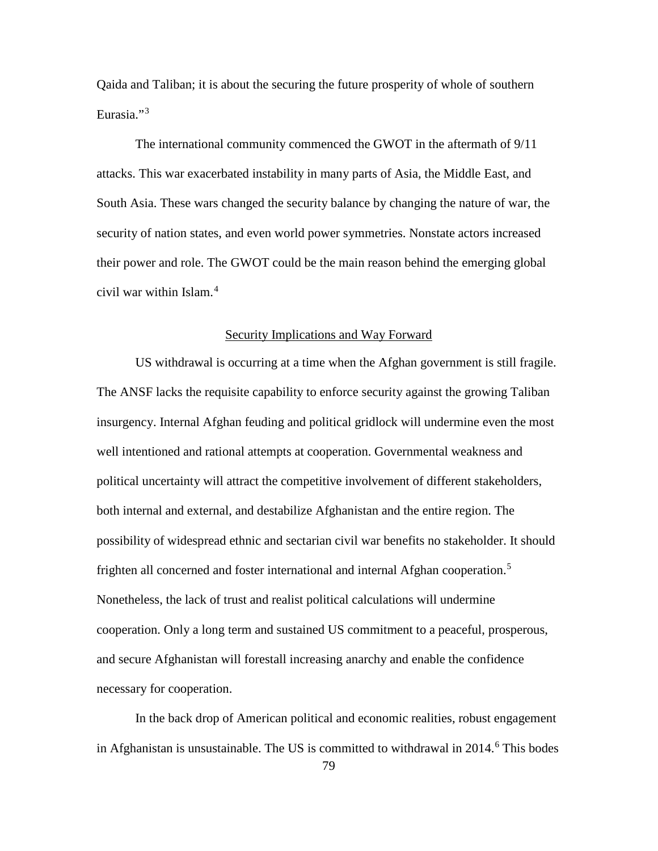Qaida and Taliban; it is about the securing the future prosperity of whole of southern Eurasia."<sup>[3](#page-105-17)</sup>

The international community commenced the GWOT in the aftermath of 9/11 attacks. This war exacerbated instability in many parts of Asia, the Middle East, and South Asia. These wars changed the security balance by changing the nature of war, the security of nation states, and even world power symmetries. Nonstate actors increased their power and role. The GWOT could be the main reason behind the emerging global civil war within Islam. [4](#page-105-18)

# Security Implications and Way Forward

US withdrawal is occurring at a time when the Afghan government is still fragile. The ANSF lacks the requisite capability to enforce security against the growing Taliban insurgency. Internal Afghan feuding and political gridlock will undermine even the most well intentioned and rational attempts at cooperation. Governmental weakness and political uncertainty will attract the competitive involvement of different stakeholders, both internal and external, and destabilize Afghanistan and the entire region. The possibility of widespread ethnic and sectarian civil war benefits no stakeholder. It should frighten all concerned and foster international and internal Afghan cooperation.<sup>[5](#page-105-19)</sup> Nonetheless, the lack of trust and realist political calculations will undermine cooperation. Only a long term and sustained US commitment to a peaceful, prosperous, and secure Afghanistan will forestall increasing anarchy and enable the confidence necessary for cooperation.

In the back drop of American political and economic realities, robust engagement in Afghanistan is unsustainable. The US is committed to withdrawal in  $2014<sup>6</sup>$  $2014<sup>6</sup>$  $2014<sup>6</sup>$  This bodes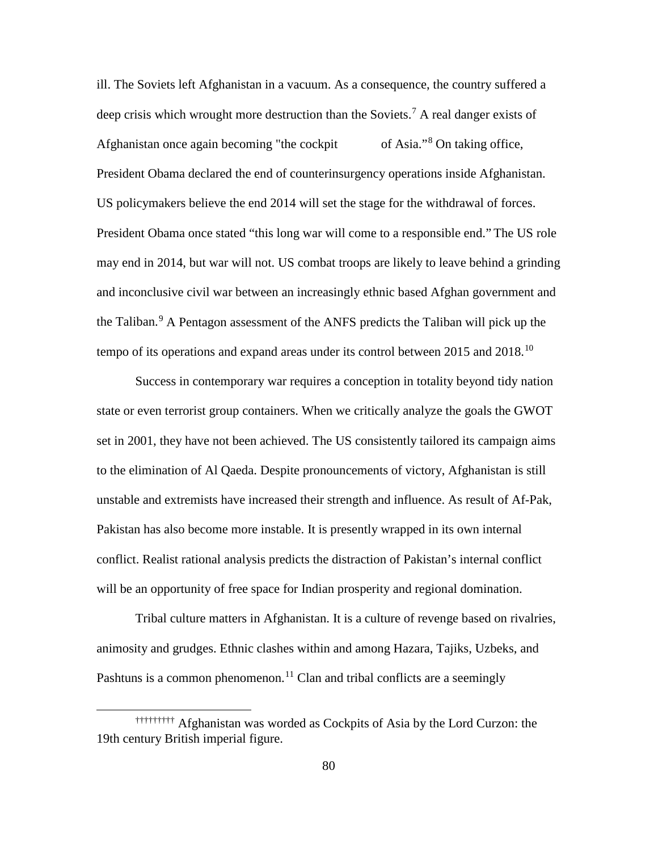ill. The Soviets left Afghanistan in a vacuum. As a consequence, the country suffered a deep crisis which wrought more destruction than the Soviets.<sup>[7](#page-105-21)</sup> A real danger exists of Afghanistan [o](#page-88-0)nce again becoming "the cockpit of Asia."<sup>[8](#page-105-22)</sup> On taking office, President Obama declared the end of counterinsurgency operations inside Afghanistan. US policymakers believe the end 2014 will set the stage for the withdrawal of forces. President Obama once stated "this long war will come to a responsible end." The US role may end in 2014, but war will not. US combat troops are likely to leave behind a grinding and inconclusive civil war between an increasingly ethnic based Afghan government and the Taliban.<sup>[9](#page-105-23)</sup> A Pentagon assessment of the ANFS predicts the Taliban will pick up the tempo of its operations and expand areas under its control between 2015 and 2018.<sup>[10](#page-105-24)</sup>

Success in contemporary war requires a conception in totality beyond tidy nation state or even terrorist group containers. When we critically analyze the goals the GWOT set in 2001, they have not been achieved. The US consistently tailored its campaign aims to the elimination of Al Qaeda. Despite pronouncements of victory, Afghanistan is still unstable and extremists have increased their strength and influence. As result of Af-Pak, Pakistan has also become more instable. It is presently wrapped in its own internal conflict. Realist rational analysis predicts the distraction of Pakistan's internal conflict will be an opportunity of free space for Indian prosperity and regional domination.

Tribal culture matters in Afghanistan. It is a culture of revenge based on rivalries, animosity and grudges. Ethnic clashes within and among Hazara, Tajiks, Uzbeks, and Pashtuns is a common phenomenon.<sup>[11](#page-105-25)</sup> Clan and tribal conflicts are a seemingly

 $\overline{a}$ 

<span id="page-88-0"></span><sup>†††††††††</sup> Afghanistan was worded as Cockpits of Asia by the Lord Curzon: the 19th century British imperial figure.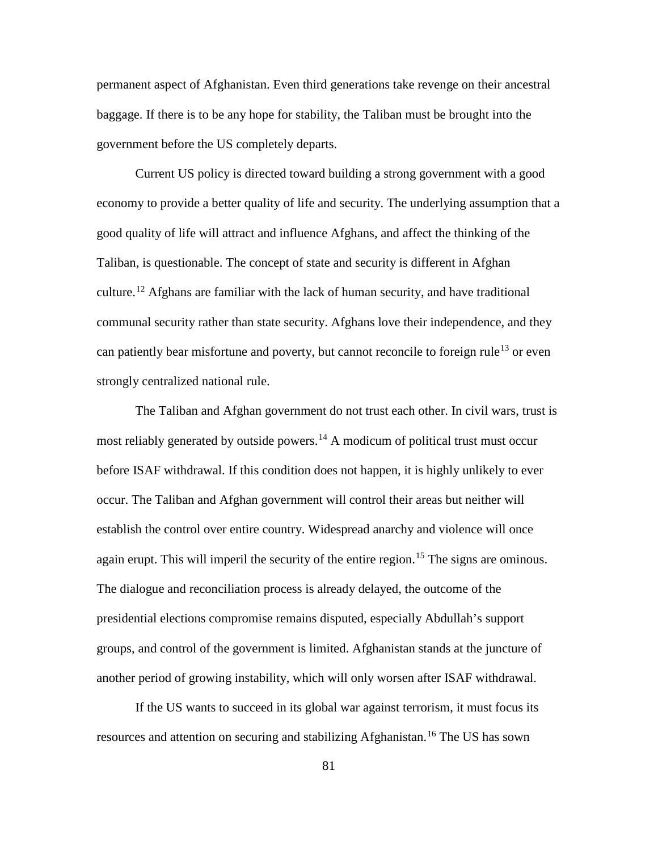permanent aspect of Afghanistan. Even third generations take revenge on their ancestral baggage. If there is to be any hope for stability, the Taliban must be brought into the government before the US completely departs.

Current US policy is directed toward building a strong government with a good economy to provide a better quality of life and security. The underlying assumption that a good quality of life will attract and influence Afghans, and affect the thinking of the Taliban, is questionable. The concept of state and security is different in Afghan culture.<sup>[12](#page-105-26)</sup> Afghans are familiar with the lack of human security, and have traditional communal security rather than state security. Afghans love their independence, and they can patiently bear misfortune and poverty, but cannot reconcile to foreign rule<sup>[13](#page-105-27)</sup> or even strongly centralized national rule.

The Taliban and Afghan government do not trust each other. In civil wars, trust is most reliably generated by outside powers.<sup>[14](#page-105-28)</sup> A modicum of political trust must occur before ISAF withdrawal. If this condition does not happen, it is highly unlikely to ever occur. The Taliban and Afghan government will control their areas but neither will establish the control over entire country. Widespread anarchy and violence will once again erupt. This will imperil the security of the entire region.<sup>[15](#page-105-29)</sup> The signs are ominous. The dialogue and reconciliation process is already delayed, the outcome of the presidential elections compromise remains disputed, especially Abdullah's support groups, and control of the government is limited. Afghanistan stands at the juncture of another period of growing instability, which will only worsen after ISAF withdrawal.

If the US wants to succeed in its global war against terrorism, it must focus its resources and attention on securing and stabilizing Afghanistan.<sup>[16](#page-105-30)</sup> The US has sown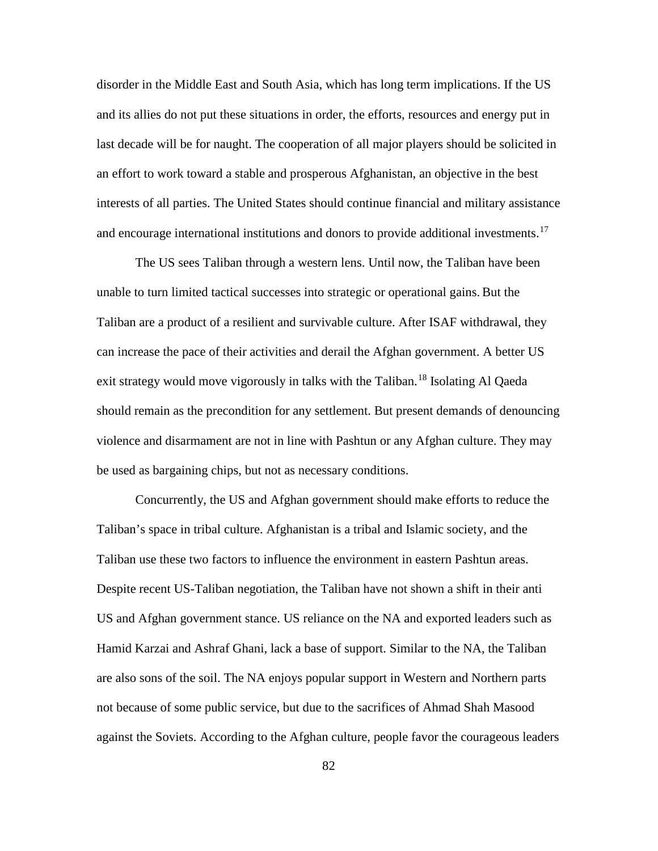disorder in the Middle East and South Asia, which has long term implications. If the US and its allies do not put these situations in order, the efforts, resources and energy put in last decade will be for naught. The cooperation of all major players should be solicited in an effort to work toward a stable and prosperous Afghanistan, an objective in the best interests of all parties. The United States should continue financial and military assistance and encourage international institutions and donors to provide additional investments.<sup>[17](#page-105-31)</sup>

The US sees Taliban through a western lens. Until now, the Taliban have been unable to turn limited tactical successes into strategic or operational gains. But the Taliban are a product of a resilient and survivable culture. After ISAF withdrawal, they can increase the pace of their activities and derail the Afghan government. A better US exit strategy would move vigorously in talks with the Taliban.<sup>[18](#page-105-32)</sup> Isolating Al Qaeda should remain as the precondition for any settlement. But present demands of denouncing violence and disarmament are not in line with Pashtun or any Afghan culture. They may be used as bargaining chips, but not as necessary conditions.

Concurrently, the US and Afghan government should make efforts to reduce the Taliban's space in tribal culture. Afghanistan is a tribal and Islamic society, and the Taliban use these two factors to influence the environment in eastern Pashtun areas. Despite recent US-Taliban negotiation, the Taliban have not shown a shift in their anti US and Afghan government stance. US reliance on the NA and exported leaders such as Hamid Karzai and Ashraf Ghani, lack a base of support. Similar to the NA, the Taliban are also sons of the soil. The NA enjoys popular support in Western and Northern parts not because of some public service, but due to the sacrifices of Ahmad Shah Masood against the Soviets. According to the Afghan culture, people favor the courageous leaders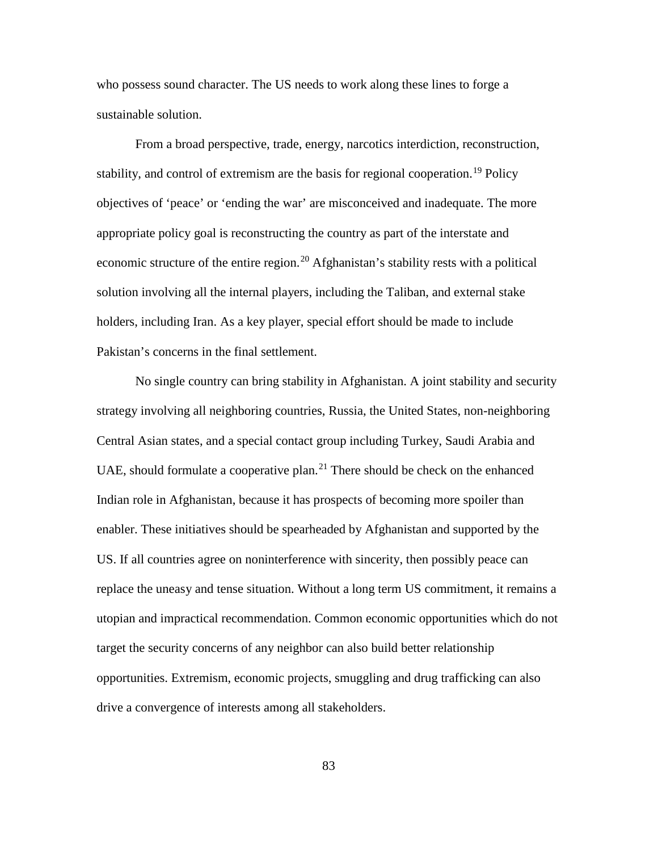who possess sound character. The US needs to work along these lines to forge a sustainable solution.

From a broad perspective, trade, energy, narcotics interdiction, reconstruction, stability, and control of extremism are the basis for regional cooperation.<sup>[19](#page-105-33)</sup> Policy objectives of 'peace' or 'ending the war' are misconceived and inadequate. The more appropriate policy goal is reconstructing the country as part of the interstate and economic structure of the entire region.<sup>[20](#page-105-34)</sup> Afghanistan's stability rests with a political solution involving all the internal players, including the Taliban, and external stake holders, including Iran. As a key player, special effort should be made to include Pakistan's concerns in the final settlement.

No single country can bring stability in Afghanistan. A joint stability and security strategy involving all neighboring countries, Russia, the United States, non-neighboring Central Asian states, and a special contact group including Turkey, Saudi Arabia and UAE, should formulate a cooperative plan.<sup>[21](#page-105-35)</sup> There should be check on the enhanced Indian role in Afghanistan, because it has prospects of becoming more spoiler than enabler. These initiatives should be spearheaded by Afghanistan and supported by the US. If all countries agree on noninterference with sincerity, then possibly peace can replace the uneasy and tense situation. Without a long term US commitment, it remains a utopian and impractical recommendation. Common economic opportunities which do not target the security concerns of any neighbor can also build better relationship opportunities. Extremism, economic projects, smuggling and drug trafficking can also drive a convergence of interests among all stakeholders.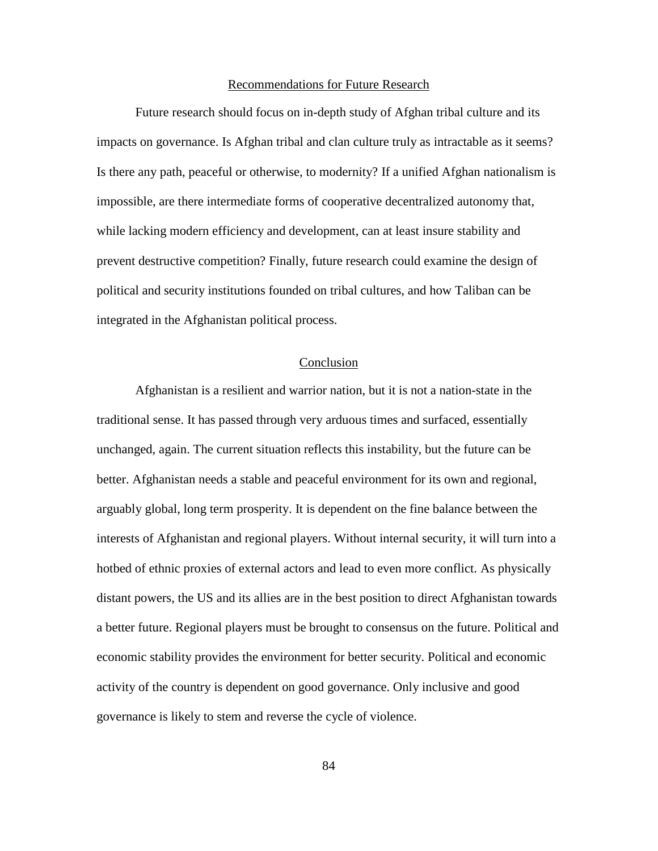#### Recommendations for Future Research

Future research should focus on in-depth study of Afghan tribal culture and its impacts on governance. Is Afghan tribal and clan culture truly as intractable as it seems? Is there any path, peaceful or otherwise, to modernity? If a unified Afghan nationalism is impossible, are there intermediate forms of cooperative decentralized autonomy that, while lacking modern efficiency and development, can at least insure stability and prevent destructive competition? Finally, future research could examine the design of political and security institutions founded on tribal cultures, and how Taliban can be integrated in the Afghanistan political process.

## Conclusion

Afghanistan is a resilient and warrior nation, but it is not a nation-state in the traditional sense. It has passed through very arduous times and surfaced, essentially unchanged, again. The current situation reflects this instability, but the future can be better. Afghanistan needs a stable and peaceful environment for its own and regional, arguably global, long term prosperity. It is dependent on the fine balance between the interests of Afghanistan and regional players. Without internal security, it will turn into a hotbed of ethnic proxies of external actors and lead to even more conflict. As physically distant powers, the US and its allies are in the best position to direct Afghanistan towards a better future. Regional players must be brought to consensus on the future. Political and economic stability provides the environment for better security. Political and economic activity of the country is dependent on good governance. Only inclusive and good governance is likely to stem and reverse the cycle of violence.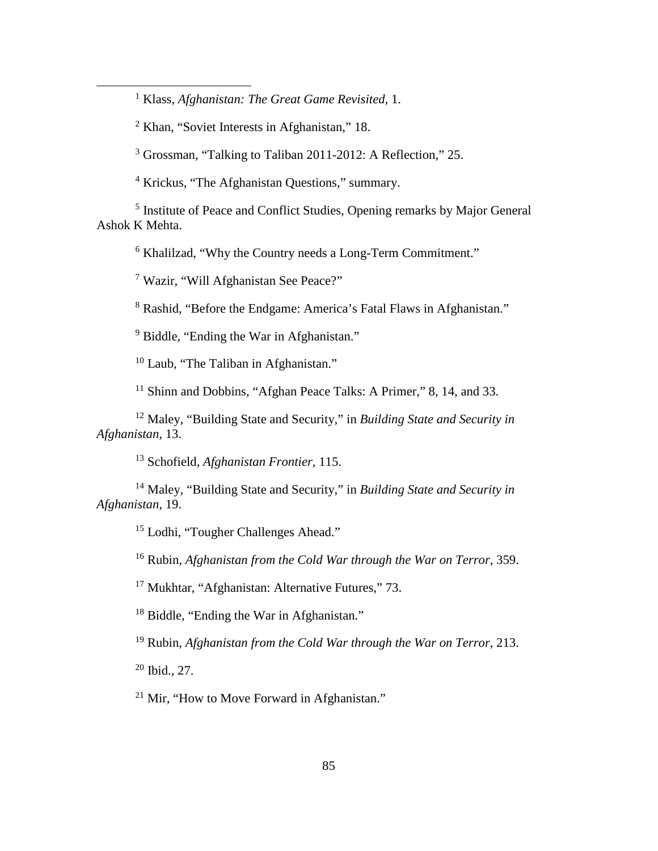Klass, *Afghanistan: The Great Game Revisited*, 1.

Khan, "Soviet Interests in Afghanistan," 18.

 $\overline{a}$ 

Grossman, "Talking to Taliban 2011-2012: A Reflection," 25.

Krickus, "The Afghanistan Questions," summary.

 Institute of Peace and Conflict Studies, Opening remarks by Major General Ashok K Mehta.

[Khalilzad,](http://www.foreignaffairs.com/author/zalmay-khalilzad) "Why the Country needs a Long-Term Commitment."

Wazir, "Will Afghanistan See Peace?"

Rashid, "Before the Endgame: America's Fatal Flaws in Afghanistan."

<sup>9</sup> [Biddle,](http://www.foreignaffairs.com/author/stephen-biddle) "Ending the War in Afghanistan."

<sup>10</sup> Laub, "The Taliban in Afghanistan."

<sup>11</sup> Shinn and Dobbins, "Afghan Peace Talks: A Primer," 8, 14, and 33.

 Maley, "Building State and Security," in *Building State and Security in Afghanistan,* 13.

Schofield, *Afghanistan Frontier*, 115.

 Maley, "Building State and Security," in *Building State and Security in Afghanistan,* 19.

Lodhi, "Tougher Challenges Ahead."

Rubin, *Afghanistan from the Cold War through the War on Terror*, 359.

<sup>17</sup> Mukhtar, "Afghanistan: Alternative Futures," 73.

<sup>18</sup> [Biddle,](http://www.foreignaffairs.com/author/stephen-biddle) "Ending the War in Afghanistan."

Rubin, *Afghanistan from the Cold War through the War on Terror*, 213.

Ibid., 27.

<sup>21</sup> Mir. "How to Move Forward in Afghanistan."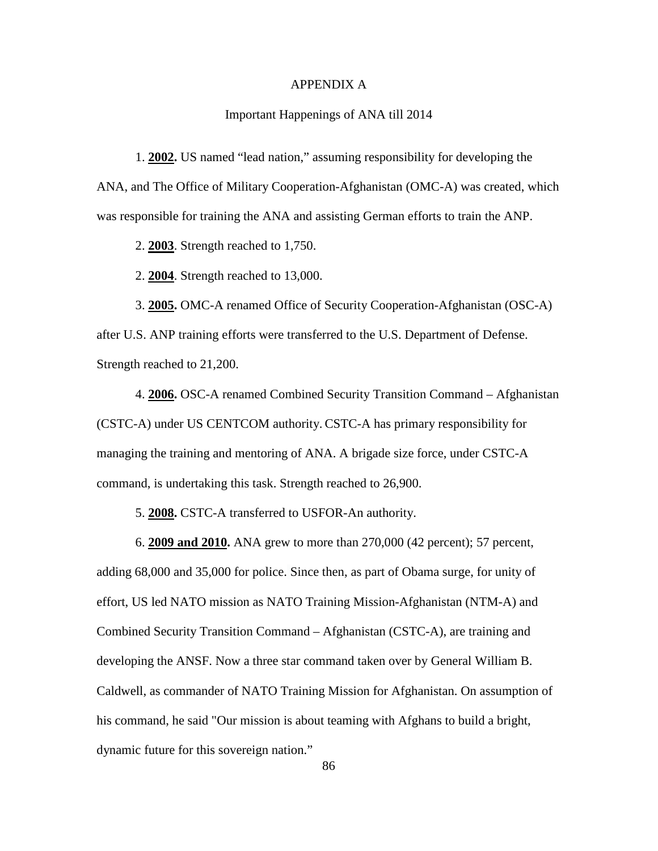## APPENDIX A

## Important Happenings of ANA till 2014

1. **2002.** US named "lead nation," assuming responsibility for developing the ANA, and The Office of Military Cooperation-Afghanistan (OMC-A) was created, which was responsible for training the ANA and assisting German efforts to train the ANP.

2. **2003**. Strength reached to 1,750.

2. **2004**. Strength reached to 13,000.

3. **2005.** OMC-A renamed Office of Security Cooperation-Afghanistan (OSC-A) after U.S. ANP training efforts were transferred to the U.S. Department of Defense. Strength reached to 21,200.

4. **2006.** OSC-A renamed Combined Security Transition Command – Afghanistan (CSTC-A) under US CENTCOM authority. CSTC-A has primary responsibility for managing the training and mentoring of ANA. A brigade size force, under CSTC-A command, is undertaking this task. Strength reached to 26,900.

5. **2008.** CSTC-A transferred to USFOR-An authority.

6. **2009 and 2010.** ANA grew to more than 270,000 (42 percent); 57 percent, adding 68,000 and 35,000 for police. Since then, as part of Obama surge, for unity of effort, US led NATO mission as [NATO Training Mission-Afghanistan](http://en.wikipedia.org/wiki/NATO_Training_Mission-Afghanistan) (NTM-A) and Combined Security Transition Command – Afghanistan (CSTC-A), are training and developing the ANSF. Now a three star command taken over by General William B. Caldwell, as commander of NATO Training Mission for Afghanistan. On assumption of his command, he said "Our mission is about teaming with Afghans to build a bright, dynamic future for this sovereign nation."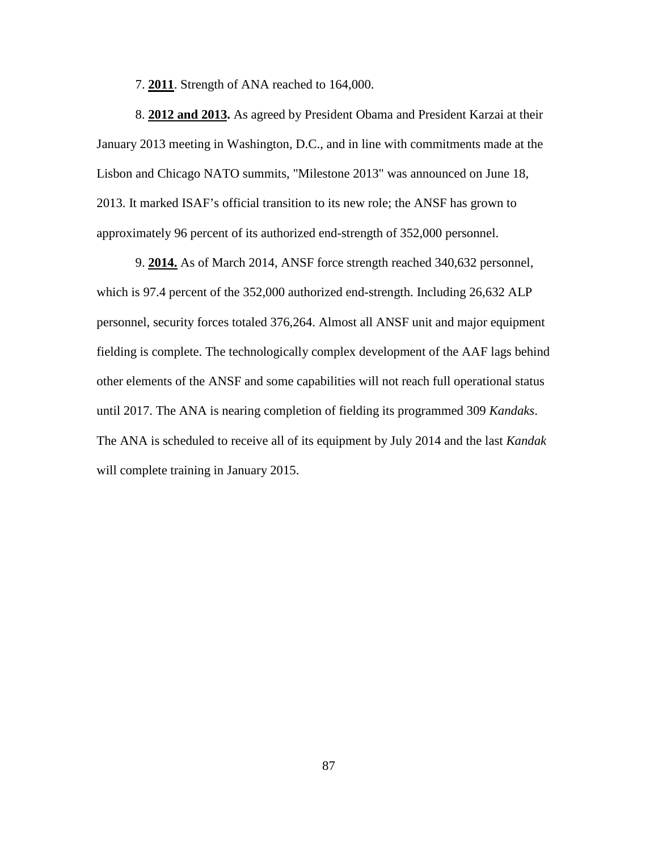7. **2011**. Strength of ANA reached to 164,000.

8. **2012 and 2013.** As agreed by President Obama and President Karzai at their January 2013 meeting in Washington, D.C., and in line with commitments made at the Lisbon and Chicago NATO summits, "Milestone 2013" was announced on June 18, 2013. It marked ISAF's official transition to its new role; the ANSF has grown to approximately 96 percent of its authorized end-strength of 352,000 personnel.

9. **2014.** As of March 2014, ANSF force strength reached 340,632 personnel, which is 97.4 percent of the 352,000 authorized end-strength. Including 26,632 ALP personnel, security forces totaled 376,264. Almost all ANSF unit and major equipment fielding is complete. The technologically complex development of the AAF lags behind other elements of the ANSF and some capabilities will not reach full operational status until 2017. The ANA is nearing completion of fielding its programmed 309 *Kandaks*. The ANA is scheduled to receive all of its equipment by July 2014 and the last *Kandak*  will complete training in January 2015.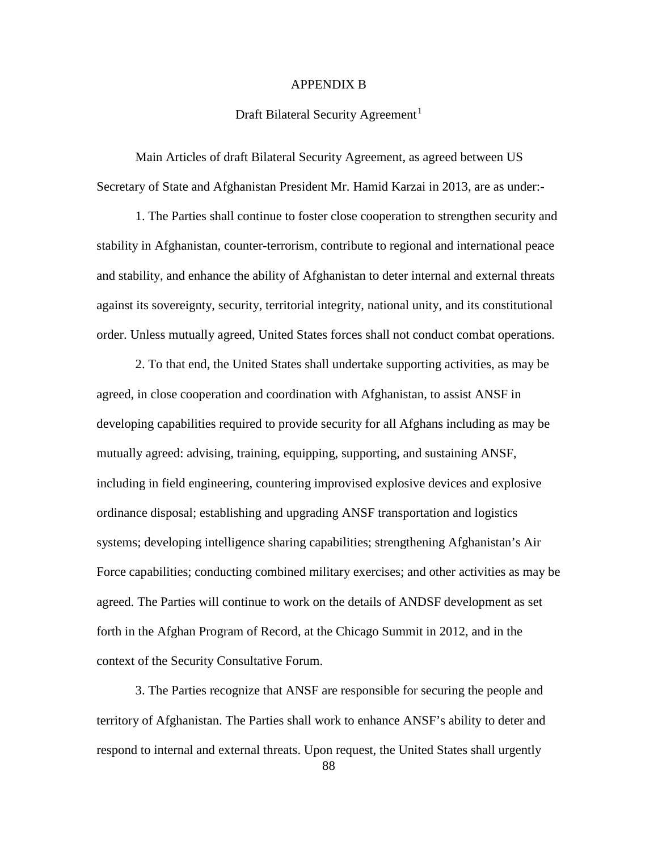## APPENDIX B

## Draft Bilateral Security Agreement<sup>[1](#page-97-0)</sup>

Main Articles of draft Bilateral Security Agreement, as agreed between US Secretary of State and Afghanistan President Mr. Hamid Karzai in 2013, are as under:-

1. The Parties shall continue to foster close cooperation to strengthen security and stability in Afghanistan, counter-terrorism, contribute to regional and international peace and stability, and enhance the ability of Afghanistan to deter internal and external threats against its sovereignty, security, territorial integrity, national unity, and its constitutional order. Unless mutually agreed, United States forces shall not conduct combat operations.

2. To that end, the United States shall undertake supporting activities, as may be agreed, in close cooperation and coordination with Afghanistan, to assist ANSF in developing capabilities required to provide security for all Afghans including as may be mutually agreed: advising, training, equipping, supporting, and sustaining ANSF, including in field engineering, countering improvised explosive devices and explosive ordinance disposal; establishing and upgrading ANSF transportation and logistics systems; developing intelligence sharing capabilities; strengthening Afghanistan's Air Force capabilities; conducting combined military exercises; and other activities as may be agreed. The Parties will continue to work on the details of ANDSF development as set forth in the Afghan Program of Record, at the Chicago Summit in 2012, and in the context of the Security Consultative Forum.

3. The Parties recognize that ANSF are responsible for securing the people and territory of Afghanistan. The Parties shall work to enhance ANSF's ability to deter and respond to internal and external threats. Upon request, the United States shall urgently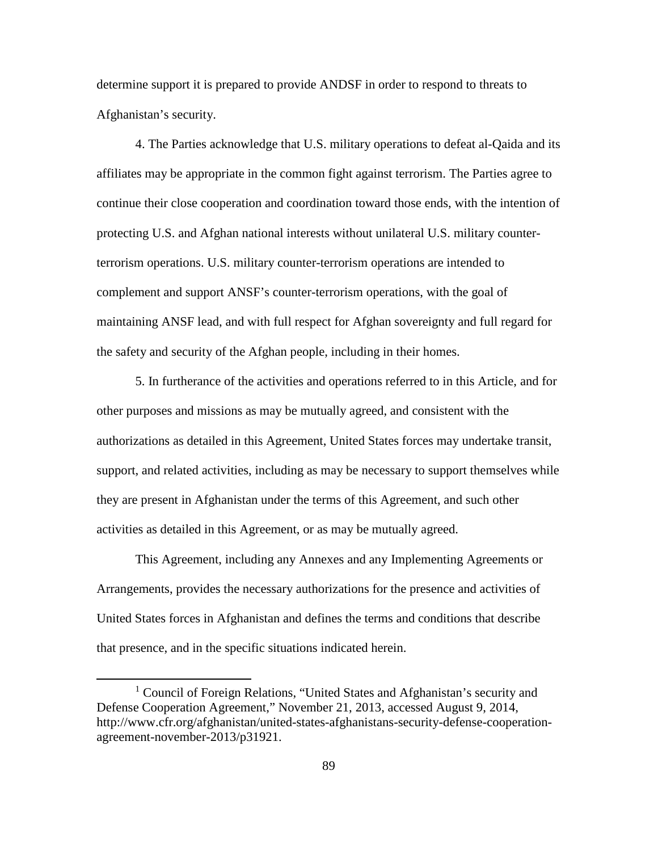determine support it is prepared to provide ANDSF in order to respond to threats to Afghanistan's security.

4. The Parties acknowledge that U.S. military operations to defeat al-Qaida and its affiliates may be appropriate in the common fight against terrorism. The Parties agree to continue their close cooperation and coordination toward those ends, with the intention of protecting U.S. and Afghan national interests without unilateral U.S. military counterterrorism operations. U.S. military counter-terrorism operations are intended to complement and support ANSF's counter-terrorism operations, with the goal of maintaining ANSF lead, and with full respect for Afghan sovereignty and full regard for the safety and security of the Afghan people, including in their homes.

5. In furtherance of the activities and operations referred to in this Article, and for other purposes and missions as may be mutually agreed, and consistent with the authorizations as detailed in this Agreement, United States forces may undertake transit, support, and related activities, including as may be necessary to support themselves while they are present in Afghanistan under the terms of this Agreement, and such other activities as detailed in this Agreement, or as may be mutually agreed.

This Agreement, including any Annexes and any Implementing Agreements or Arrangements, provides the necessary authorizations for the presence and activities of United States forces in Afghanistan and defines the terms and conditions that describe that presence, and in the specific situations indicated herein.

 $\overline{a}$ 

<span id="page-97-0"></span><sup>&</sup>lt;sup>1</sup> Council of Foreign Relations, "United States and Afghanistan's security and Defense Cooperation Agreement," November 21, 2013, accessed August 9, 2014, http://www.cfr.org/afghanistan/united-states-afghanistans-security-defense-cooperationagreement-november-2013/p31921.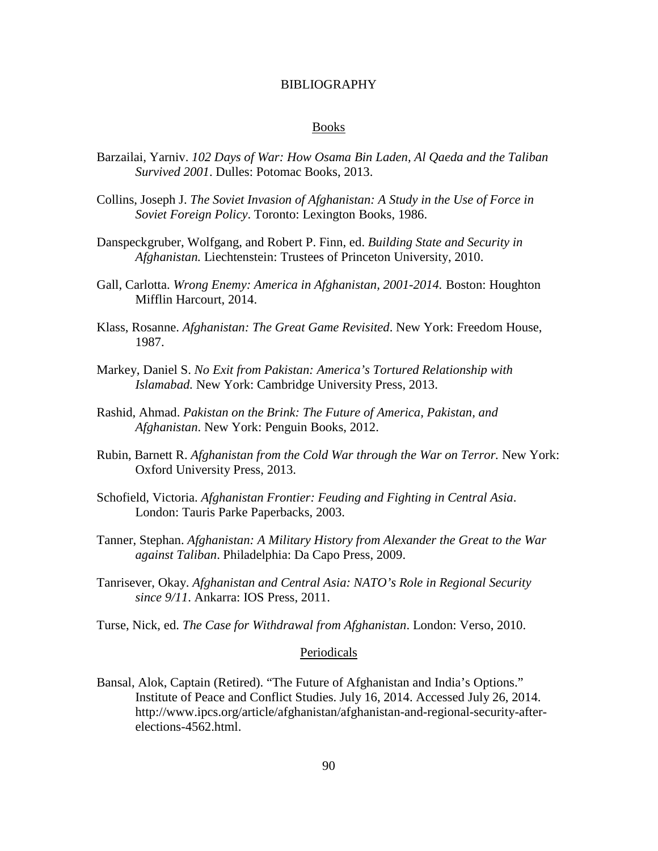#### BIBLIOGRAPHY

#### Books

- Barzailai, Yarniv. *102 Days of War: How Osama Bin Laden, Al Qaeda and the Taliban Survived 2001*. Dulles: Potomac Books, 2013.
- Collins, Joseph J. *The Soviet Invasion of Afghanistan: A Study in the Use of Force in Soviet Foreign Policy*. Toronto: Lexington Books, 1986.
- Danspeckgruber, Wolfgang, and Robert P. Finn, ed. *Building State and Security in Afghanistan.* Liechtenstein: Trustees of Princeton University, 2010.
- Gall, Carlotta. *Wrong Enemy: America in Afghanistan, 2001-2014.* Boston: Houghton Mifflin Harcourt, 2014.
- Klass, Rosanne. *Afghanistan: The Great Game Revisited*. New York: Freedom House, 1987.
- Markey, Daniel S. *No Exit from Pakistan: America's Tortured Relationship with Islamabad.* New York: Cambridge University Press, 2013.
- Rashid, Ahmad. *Pakistan on the Brink: The Future of America, Pakistan, and Afghanistan*. New York: Penguin Books, 2012.
- Rubin, Barnett R. *Afghanistan from the Cold War through the War on Terror.* New York: Oxford University Press, 2013.
- Schofield, Victoria. *Afghanistan Frontier: Feuding and Fighting in Central Asia*. London: Tauris Parke Paperbacks, 2003.
- Tanner, Stephan. *Afghanistan: A Military History from Alexander the Great to the War against Taliban*. Philadelphia: Da Capo Press, 2009.
- Tanrisever, Okay. *Afghanistan and Central Asia: NATO's Role in Regional Security since 9/11*. Ankarra: IOS Press, 2011.
- Turse, Nick, ed. *The Case for Withdrawal from Afghanistan*. London: Verso, 2010.

#### Periodicals

Bansal, Alok, Captain (Retired). "The Future of Afghanistan and India's Options." Institute of Peace and Conflict Studies. July 16, 2014. Accessed July 26, 2014. http://www.ipcs.org/article/afghanistan/afghanistan-and-regional-security-afterelections-4562.html.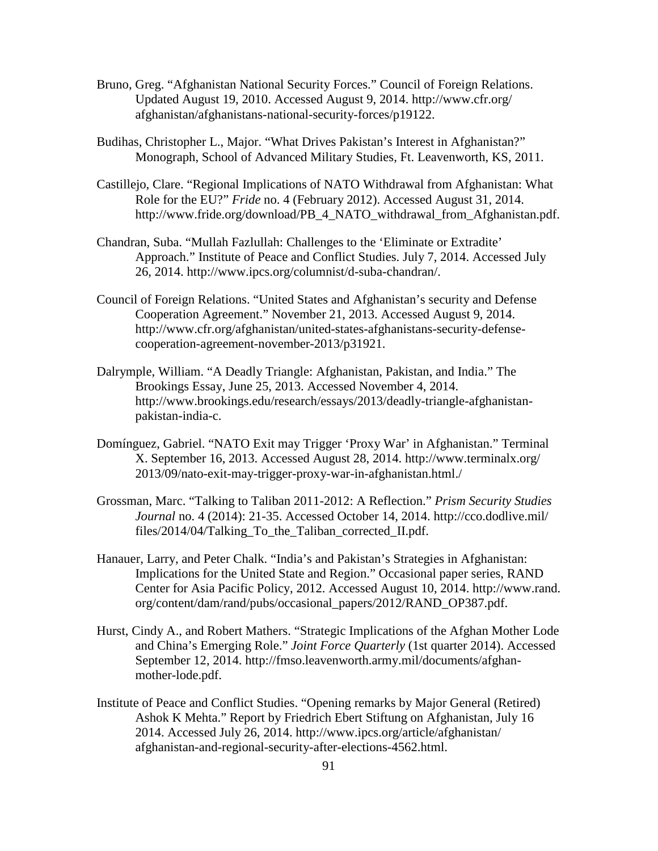- Bruno, Greg. "Afghanistan National Security Forces." Council of Foreign Relations. Updated August 19, 2010. Accessed August 9, 2014. http://www.cfr.org/ afghanistan/afghanistans-national-security-forces/p19122.
- Budihas, Christopher L., Major. "What Drives Pakistan's Interest in Afghanistan?" Monograph, School of Advanced Military Studies, Ft. Leavenworth, KS, 2011.
- Castillejo, Clare. "Regional Implications of NATO Withdrawal from Afghanistan: What Role for the EU?" *Fride* no. 4 (February 2012). Accessed August 31, 2014. http://www.fride.org/download/PB\_4\_NATO\_withdrawal\_from\_Afghanistan.pdf.
- Chandran, Suba. "Mullah Fazlullah: Challenges to the 'Eliminate or Extradite' Approach." Institute of Peace and Conflict Studies. July 7, 2014. Accessed July 26, 2014. http://www.ipcs.org/columnist/d-suba-chandran/.
- Council of Foreign Relations. "United States and Afghanistan's security and Defense Cooperation Agreement." November 21, 2013. Accessed August 9, 2014. http://www.cfr.org/afghanistan/united-states-afghanistans-security-defensecooperation-agreement-november-2013/p31921.
- Dalrymple, William. "A Deadly Triangle: Afghanistan, Pakistan, and India." The Brookings Essay, June 25, 2013. Accessed November 4, 2014. http://www.brookings.edu/research/essays/2013/deadly-triangle-afghanistanpakistan-india-c.
- Domínguez, Gabriel. "NATO Exit may Trigger 'Proxy War' in Afghanistan." Terminal X. September 16, 2013. Accessed August 28, 2014. http://www.terminalx.org/ 2013/09/nato-exit-may-trigger-proxy-war-in-afghanistan.html./
- Grossman, Marc. "Talking to Taliban 2011-2012: A Reflection." *Prism Security Studies Journal* no. 4 (2014): 21-35. Accessed October 14, 2014. http://cco.dodlive.mil/ files/2014/04/Talking\_To\_the\_Taliban\_corrected\_II.pdf.
- Hanauer, Larry, and Peter Chalk. "India's and Pakistan's Strategies in Afghanistan: Implications for the United State and Region." Occasional paper series, RAND Center for Asia Pacific Policy, 2012. Accessed August 10, 2014. http://www.rand. org/content/dam/rand/pubs/occasional\_papers/2012/RAND\_OP387.pdf.
- Hurst, Cindy A., and Robert Mathers. "Strategic Implications of the Afghan Mother Lode and China's Emerging Role." *Joint Force Quarterly* (1st quarter 2014). Accessed September 12, 2014. http://fmso.leavenworth.army.mil/documents/afghanmother-lode.pdf.
- Institute of Peace and Conflict Studies. "Opening remarks by Major General (Retired) Ashok K Mehta." Report by Friedrich Ebert Stiftung on Afghanistan*,* July 16 2014. Accessed July 26, 2014. http://www.ipcs.org/article/afghanistan/ afghanistan-and-regional-security-after-elections-4562.html.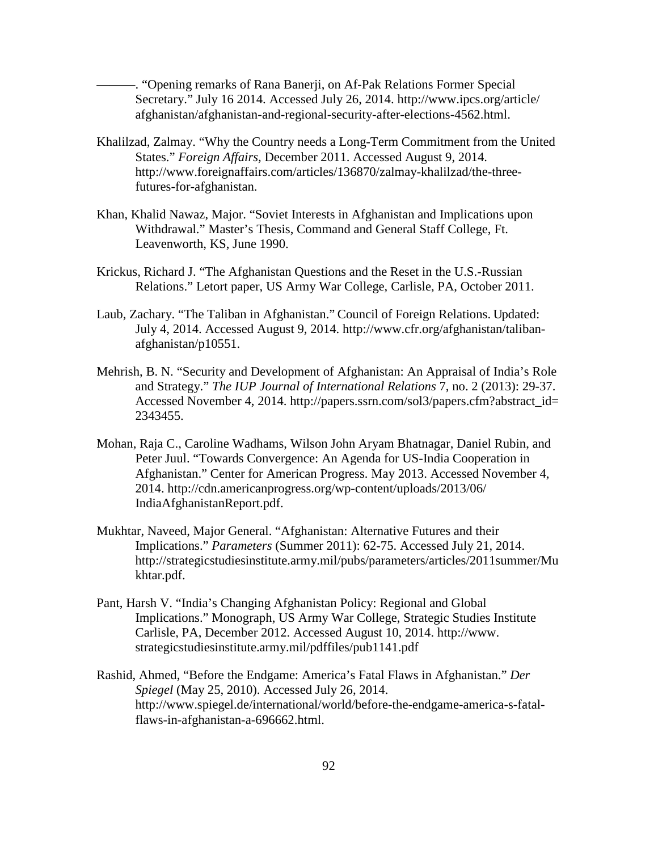———. "Opening remarks of Rana Banerji, on Af-Pak Relations Former Special Secretary." July 16 2014. Accessed July 26, 2014. http://www.ipcs.org/article/ afghanistan/afghanistan-and-regional-security-after-elections-4562.html.

- Khalilzad, Zalmay. "Why the Country needs a Long-Term Commitment from the United States." *Foreign Affairs,* December 2011. Accessed August 9, 2014. http://www.foreignaffairs.com/articles/136870/zalmay-khalilzad/the-threefutures-for-afghanistan.
- Khan, Khalid Nawaz, Major. "Soviet Interests in Afghanistan and Implications upon Withdrawal." Master's Thesis, Command and General Staff College, Ft. Leavenworth, KS, June 1990.
- Krickus, Richard J. "The Afghanistan Questions and the Reset in the U.S.-Russian Relations." Letort paper, US Army War College, Carlisle, PA, October 2011.
- Laub, Zachary. "The Taliban in Afghanistan." Council of Foreign Relations. Updated: July 4, 2014. Accessed August 9, 2014. http://www.cfr.org/afghanistan/talibanafghanistan/p10551.
- Mehrish, B. N. "Security and Development of Afghanistan: An Appraisal of India's Role and Strategy." *The IUP Journal of International Relations* 7, no. 2 (2013): 29-37. Accessed November 4, 2014. http://papers.ssrn.com/sol3/papers.cfm?abstract\_id= 2343455.
- Mohan, Raja C., Caroline Wadhams, Wilson John Aryam Bhatnagar, Daniel Rubin, and Peter Juul. "Towards Convergence: An Agenda for US-India Cooperation in Afghanistan." Center for American Progress. May 2013. Accessed November 4, 2014. http://cdn.americanprogress.org/wp-content/uploads/2013/06/ IndiaAfghanistanReport.pdf.
- Mukhtar, Naveed, Major General. "Afghanistan: Alternative Futures and their Implications." *Parameters* (Summer 2011): 62-75. Accessed July 21, 2014. http://strategicstudiesinstitute.army.mil/pubs/parameters/articles/2011summer/Mu khtar.pdf.
- Pant, Harsh V. "India's Changing Afghanistan Policy: Regional and Global Implications." Monograph, US Army War College, Strategic Studies Institute Carlisle, PA, December 2012. Accessed August 10, 2014. http://www. strategicstudiesinstitute.army.mil/pdffiles/pub1141.pdf
- Rashid, Ahmed, "Before the Endgame: America's Fatal Flaws in Afghanistan." *Der Spiegel* (May 25, 2010). Accessed July 26, 2014. http://www.spiegel.de/international/world/before-the-endgame-america-s-fatalflaws-in-afghanistan-a-696662.html.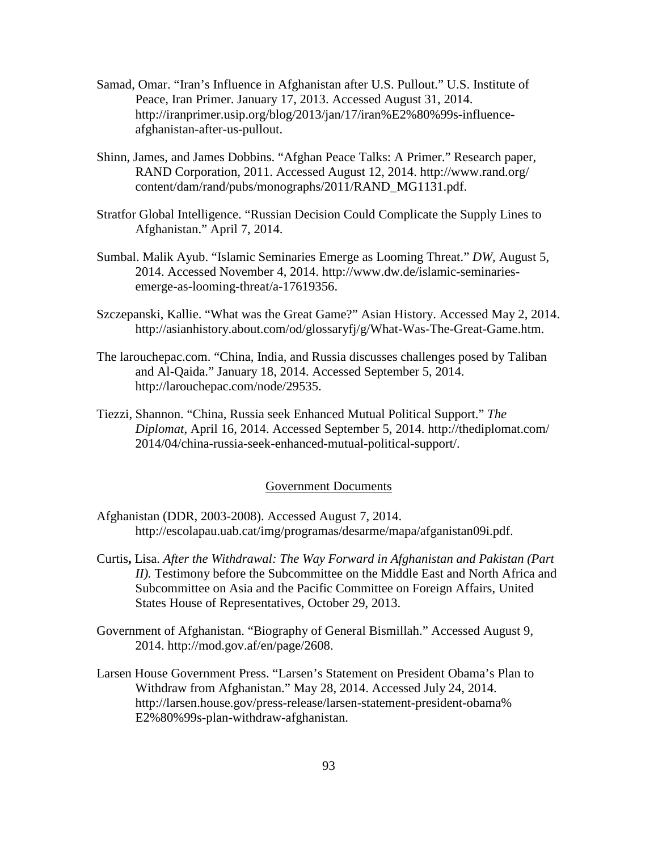- Samad, Omar. "Iran's Influence in Afghanistan after U.S. Pullout." U.S. Institute of Peace, Iran Primer. January 17, 2013. Accessed August 31, 2014. http://iranprimer.usip.org/blog/2013/jan/17/iran%E2%80%99s-influenceafghanistan-after-us-pullout.
- Shinn, James, and James Dobbins. "Afghan Peace Talks: A Primer." Research paper, RAND Corporation, 2011. Accessed August 12, 2014. http://www.rand.org/ content/dam/rand/pubs/monographs/2011/RAND\_MG1131.pdf.
- Stratfor Global Intelligence. "Russian Decision Could Complicate the Supply Lines to Afghanistan." April 7, 2014.
- Sumbal. Malik Ayub. "Islamic Seminaries Emerge as Looming Threat." *DW,* August 5, 2014. Accessed November 4, 2014. http://www.dw.de/islamic-seminariesemerge-as-looming-threat/a-17619356.
- Szczepanski, Kallie. "What was the Great Game?" Asian History. Accessed May 2, 2014. http://asianhistory.about.com/od/glossaryfj/g/What-Was-The-Great-Game.htm.
- The larouchepac.com. "China, India, and Russia discusses challenges posed by Taliban and Al-Qaida." January 18, 2014. Accessed September 5, 2014. http://larouchepac.com/node/29535.
- Tiezzi, Shannon. "China, Russia seek Enhanced Mutual Political Support." *The Diplomat*, April 16, 2014. Accessed September 5, 2014. http://thediplomat.com/ 2014/04/china-russia-seek-enhanced-mutual-political-support/.

## Government Documents

- Afghanistan (DDR, 2003-2008). Accessed August 7, 2014. http://escolapau.uab.cat/img/programas/desarme/mapa/afganistan09i.pdf.
- Curtis**,** Lisa. *After the Withdrawal: The Way Forward in Afghanistan and Pakistan (Part II*). Testimony before the Subcommittee on the Middle East and North Africa and Subcommittee on Asia and the Pacific Committee on Foreign Affairs, United States House of Representatives, October 29, 2013.
- Government of Afghanistan. "Biography of General Bismillah." Accessed August 9, 2014. http://mod.gov.af/en/page/2608.
- Larsen House Government Press. "Larsen's Statement on President Obama's Plan to Withdraw from Afghanistan." May 28, 2014. Accessed July 24, 2014. http://larsen.house.gov/press-release/larsen-statement-president-obama% E2%80%99s-plan-withdraw-afghanistan.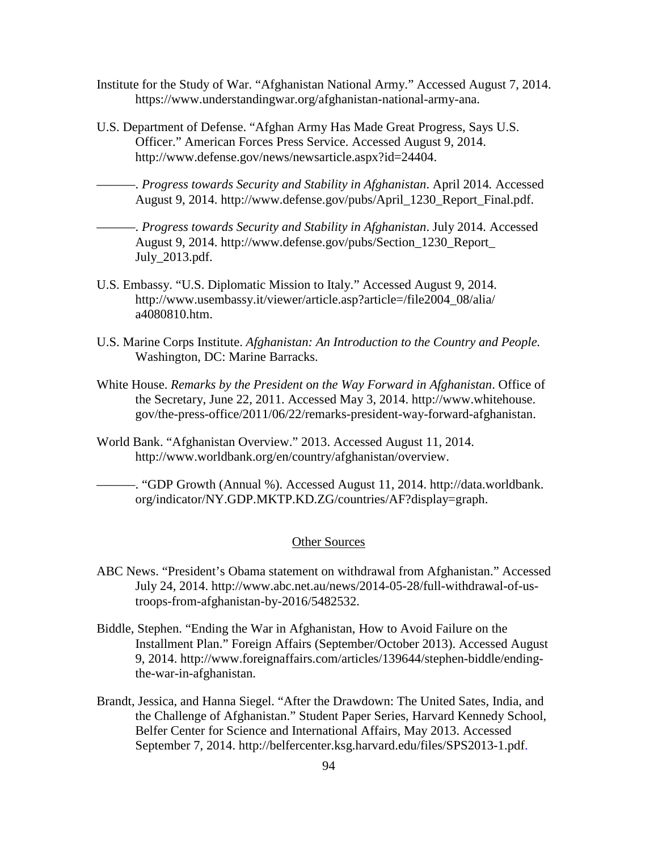- Institute for the Study of War. "Afghanistan National Army." Accessed August 7, 2014. https://www.understandingwar.org/afghanistan-national-army-ana.
- U.S. Department of Defense. "Afghan Army Has Made Great Progress, Says U.S. Officer." American Forces Press Service. Accessed August 9, 2014. http://www.defense.gov/news/newsarticle.aspx?id=24404.
	- ———. *Progress towards Security and Stability in Afghanistan*. April 2014*.* Accessed August 9, 2014. http://www.defense.gov/pubs/April\_1230\_Report\_Final.pdf.
- ———. *Progress towards Security and Stability in Afghanistan*. July 2014*.* Accessed August 9, 2014. http://www.defense.gov/pubs/Section\_1230\_Report\_ July\_2013.pdf.
- U.S. Embassy. "U.S. Diplomatic Mission to Italy." Accessed August 9, 2014. http://www.usembassy.it/viewer/article.asp?article=/file2004\_08/alia/ a4080810.htm.
- U.S. Marine Corps Institute. *Afghanistan: An Introduction to the Country and People.* Washington, DC: Marine Barracks.
- White House. *Remarks by the President* o*n the Way Forward in Afghanistan*. Office of the Secretary, June 22, 2011. Accessed May 3, 2014. http://www.whitehouse. gov/the-press-office/2011/06/22/remarks-president-way-forward-afghanistan.
- World Bank. "Afghanistan Overview." 2013. Accessed August 11, 2014. http://www.worldbank.org/en/country/afghanistan/overview.
- ———. "GDP Growth (Annual %). Accessed August 11, 2014. http://data.worldbank. org/indicator/NY.GDP.MKTP.KD.ZG/countries/AF?display=graph.

#### Other Sources

- ABC News. "President's Obama statement on withdrawal from Afghanistan." Accessed July 24, 2014. http://www.abc.net.au/news/2014-05-28/full-withdrawal-of-ustroops-from-afghanistan-by-2016/5482532.
- Biddle, Stephen. "Ending the War in Afghanistan, How to Avoid Failure on the Installment Plan." Foreign Affairs (September/October 2013). Accessed August 9, 2014. http://www.foreignaffairs.com/articles/139644/stephen-biddle/endingthe-war-in-afghanistan.
- Brandt, Jessica, and Hanna Siegel. "After the Drawdown: The United Sates, India, and the Challenge of Afghanistan." Student Paper Series, Harvard Kennedy School, Belfer Center for Science and International Affairs, May 2013. Accessed September 7, 2014. http://belfercenter.ksg.harvard.edu/files/SPS2013-1.pdf.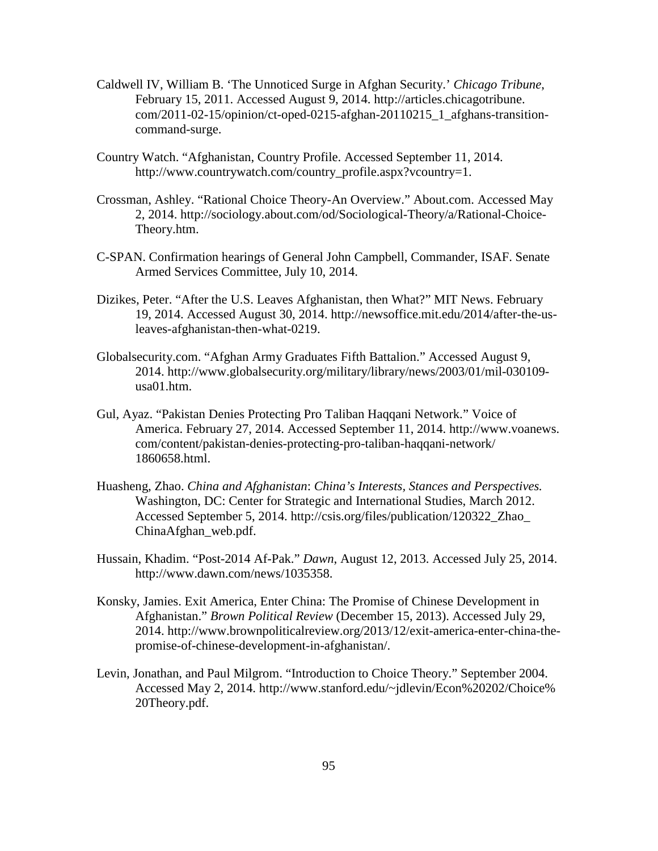- Caldwell IV, William B. 'The Unnoticed Surge in Afghan Security.' *Chicago Tribune*, February 15, 2011. Accessed August 9, 2014. http://articles.chicagotribune. com/2011-02-15/opinion/ct-oped-0215-afghan-20110215\_1\_afghans-transitioncommand-surge.
- Country Watch. "Afghanistan, Country Profile. Accessed September 11, 2014. http://www.countrywatch.com/country\_profile.aspx?vcountry=1.
- Crossman, Ashley. "Rational Choice Theory-An Overview." About.com. Accessed May 2, 2014. http://sociology.about.com/od/Sociological-Theory/a/Rational-Choice-Theory.htm.
- C-SPAN. Confirmation hearings of General John Campbell, Commander, ISAF. Senate Armed Services Committee, July 10, 2014.
- Dizikes, Peter. "After the U.S. Leaves Afghanistan, then What?" MIT News. February 19, 2014. Accessed August 30, 2014. http://newsoffice.mit.edu/2014/after-the-usleaves-afghanistan-then-what-0219.
- Globalsecurity.com. "Afghan Army Graduates Fifth Battalion." Accessed August 9, 2014. http://www.globalsecurity.org/military/library/news/2003/01/mil-030109 usa01.htm.
- Gul, Ayaz. "Pakistan Denies Protecting Pro Taliban Haqqani Network." Voice of America. February 27, 2014. Accessed September 11, 2014. http://www.voanews. com/content/pakistan-denies-protecting-pro-taliban-haqqani-network/ 1860658.html.
- Huasheng, Zhao. *China and Afghanistan*: *China's Interests, Stances and Perspectives.* Washington, DC: Center for Strategic and International Studies, March 2012. Accessed September 5, 2014. http://csis.org/files/publication/120322\_Zhao\_ ChinaAfghan\_web.pdf.
- Hussain, Khadim. "Post-2014 Af-Pak." *Dawn*, August 12, 2013. Accessed July 25, 2014. http://www.dawn.com/news/1035358.
- Konsky, Jamies. Exit America, Enter China: The Promise of Chinese Development in Afghanistan." *Brown Political Review* (December 15, 2013). Accessed July 29, 2014. http://www.brownpoliticalreview.org/2013/12/exit-america-enter-china-thepromise-of-chinese-development-in-afghanistan/.
- Levin, Jonathan, and Paul Milgrom. "Introduction to Choice Theory." September 2004. Accessed May 2, 2014. http://www.stanford.edu/~jdlevin/Econ%20202/Choice% 20Theory.pdf.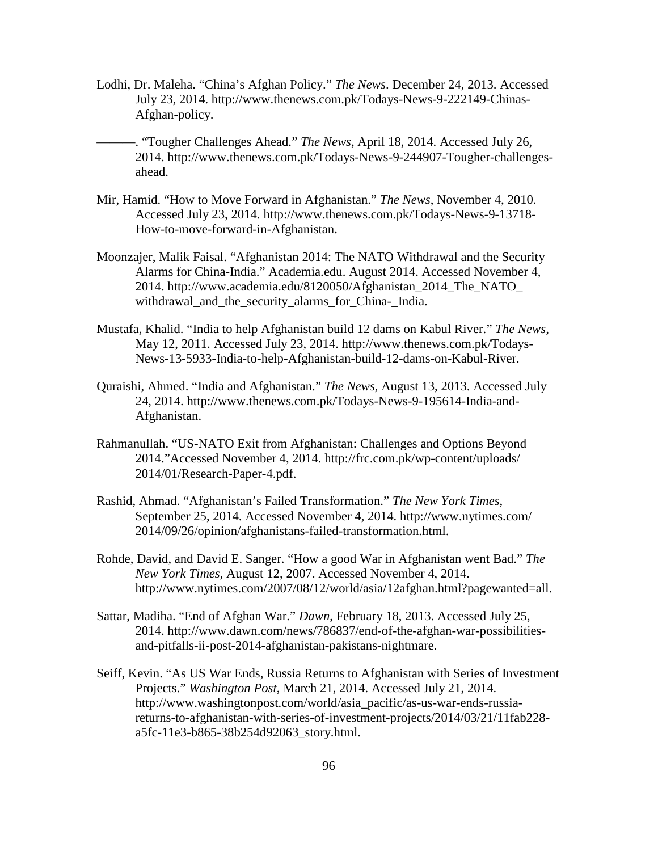- Lodhi, Dr. Maleha. "China's Afghan Policy." *The News*. December 24, 2013. Accessed July 23, 2014. http://www.thenews.com.pk/Todays-News-9-222149-Chinas-Afghan-policy.
- ———. "Tougher Challenges Ahead." *The News*, April 18, 2014. Accessed July 26, 2014. http://www.thenews.com.pk/Todays-News-9-244907-Tougher-challengesahead.
- Mir, Hamid. "How to Move Forward in Afghanistan." *The News*, November 4, 2010. Accessed July 23, 2014. http://www.thenews.com.pk/Todays-News-9-13718- How-to-move-forward-in-Afghanistan.
- Moonzajer, Malik Faisal. "Afghanistan 2014: The NATO Withdrawal and the Security Alarms for China-India." Academia.edu. August 2014. Accessed November 4, 2014. http://www.academia.edu/8120050/Afghanistan\_2014\_The\_NATO\_ withdrawal\_and\_the\_security\_alarms\_for\_China-\_India.
- Mustafa, Khalid. "India to help Afghanistan build 12 dams on Kabul River." *The News,* May 12, 2011. Accessed July 23, 2014. http://www.thenews.com.pk/Todays-News-13-5933-India-to-help-Afghanistan-build-12-dams-on-Kabul-River.
- Quraishi, Ahmed. "India and Afghanistan." *The News*, August 13, 2013. Accessed July 24, 2014. http://www.thenews.com.pk/Todays-News-9-195614-India-and-Afghanistan.
- Rahmanullah. "US-NATO Exit from Afghanistan: Challenges and Options Beyond 2014."Accessed November 4, 2014. http://frc.com.pk/wp-content/uploads/ 2014/01/Research-Paper-4.pdf.
- Rashid, Ahmad. "Afghanistan's Failed Transformation." *The New York Times*, September 25, 2014. Accessed November 4, 2014. http://www.nytimes.com/ 2014/09/26/opinion/afghanistans-failed-transformation.html.
- Rohde, David, and David E. Sanger. "How a good War in Afghanistan went Bad." *The New York Times,* August 12, 2007. Accessed November 4, 2014. http://www.nytimes.com/2007/08/12/world/asia/12afghan.html?pagewanted=all.
- Sattar, Madiha. "End of Afghan War." *Dawn*, February 18, 2013. Accessed July 25, 2014. http://www.dawn.com/news/786837/end-of-the-afghan-war-possibilitiesand-pitfalls-ii-post-2014-afghanistan-pakistans-nightmare.
- Seiff, Kevin. "As US War Ends, Russia Returns to Afghanistan with Series of Investment Projects." *Washington Post*, March 21, 2014. Accessed July 21, 2014. http://www.washingtonpost.com/world/asia\_pacific/as-us-war-ends-russiareturns-to-afghanistan-with-series-of-investment-projects/2014/03/21/11fab228 a5fc-11e3-b865-38b254d92063\_story.html.